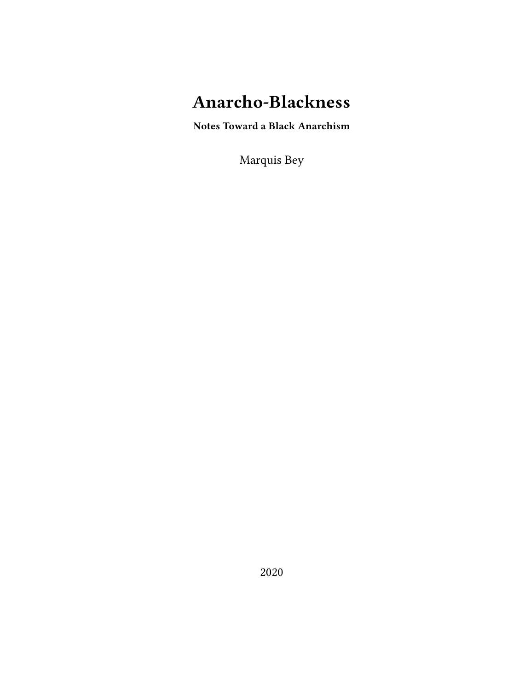# **Anarcho-Blackness**

**Notes Toward a Black Anarchism**

Marquis Bey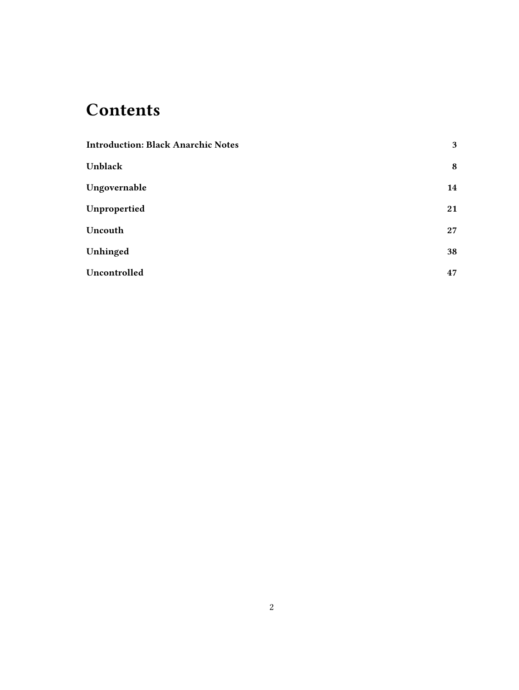## **Contents**

| <b>Introduction: Black Anarchic Notes</b> | 3  |
|-------------------------------------------|----|
| <b>Unblack</b>                            | 8  |
| Ungovernable                              | 14 |
| Unpropertied                              | 21 |
| Uncouth                                   | 27 |
| Unhinged                                  | 38 |
| Uncontrolled                              | 47 |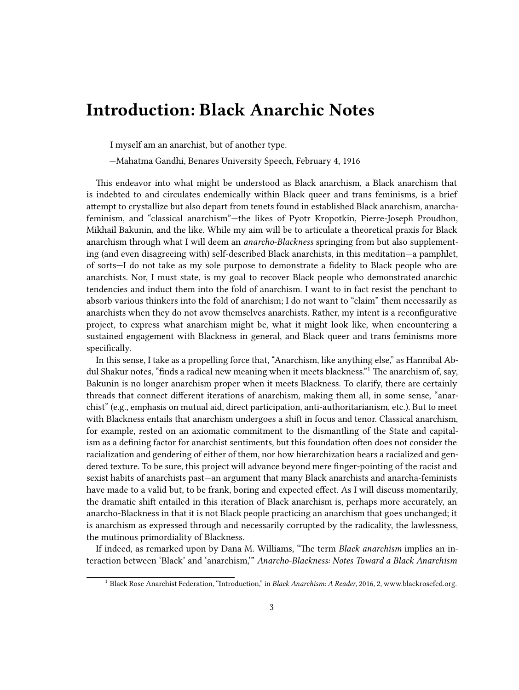#### <span id="page-2-0"></span>**Introduction: Black Anarchic Notes**

I myself am an anarchist, but of another type.

—Mahatma Gandhi, Benares University Speech, February 4, 1916

This endeavor into what might be understood as Black anarchism, a Black anarchism that is indebted to and circulates endemically within Black queer and trans feminisms, is a brief attempt to crystallize but also depart from tenets found in established Black anarchism, anarchafeminism, and "classical anarchism"—the likes of Pyotr Kropotkin, Pierre-Joseph Proudhon, Mikhail Bakunin, and the like. While my aim will be to articulate a theoretical praxis for Black anarchism through what I will deem an *anarcho-Blackness* springing from but also supplementing (and even disagreeing with) self-described Black anarchists, in this meditation—a pamphlet, of sorts—I do not take as my sole purpose to demonstrate a fidelity to Black people who are anarchists. Nor, I must state, is my goal to recover Black people who demonstrated anarchic tendencies and induct them into the fold of anarchism. I want to in fact resist the penchant to absorb various thinkers into the fold of anarchism; I do not want to "claim" them necessarily as anarchists when they do not avow themselves anarchists. Rather, my intent is a reconfigurative project, to express what anarchism might be, what it might look like, when encountering a sustained engagement with Blackness in general, and Black queer and trans feminisms more specifically.

In this sense, I take as a propelling force that, "Anarchism, like anything else," as Hannibal Abdul Shakur notes, "finds a radical new meaning when it meets blackness."<sup>1</sup> The anarchism of, say, Bakunin is no longer anarchism proper when it meets Blackness. To clarify, there are certainly threads that connect different iterations of anarchism, making them all, in some sense, "anarchist" (e.g., emphasis on mutual aid, direct participation, anti-authoritarianism, etc.). But to meet with Blackness entails that anarchism undergoes a shift in focus and tenor. Classical anarchism, for example, rested on an axiomatic commitment to the dismantling of the State and capitalism as a defining factor for anarchist sentiments, but this foundation often does not consider the racialization and gendering of either of them, nor how hierarchization bears a racialized and gendered texture. To be sure, this project will advance beyond mere finger-pointing of the racist and sexist habits of anarchists past—an argument that many Black anarchists and anarcha-feminists have made to a valid but, to be frank, boring and expected effect. As I will discuss momentarily, the dramatic shift entailed in this iteration of Black anarchism is, perhaps more accurately, an anarcho-Blackness in that it is not Black people practicing an anarchism that goes unchanged; it is anarchism as expressed through and necessarily corrupted by the radicality, the lawlessness, the mutinous primordiality of Blackness.

If indeed, as remarked upon by Dana M. Williams, "The term *Black anarchism* implies an interaction between 'Black' and 'anarchism,'" *Anarcho-Blackness: Notes Toward a Black Anarchism*

<sup>1</sup> Black Rose Anarchist Federation, "Introduction," in *Black Anarchism: A Reader*, 2016, 2, [www.blackrosefed.org](https://www.blackrosefed.org/wp-content/uploads/2016/02/Black-Anarchism-A-Reader-4.pdf).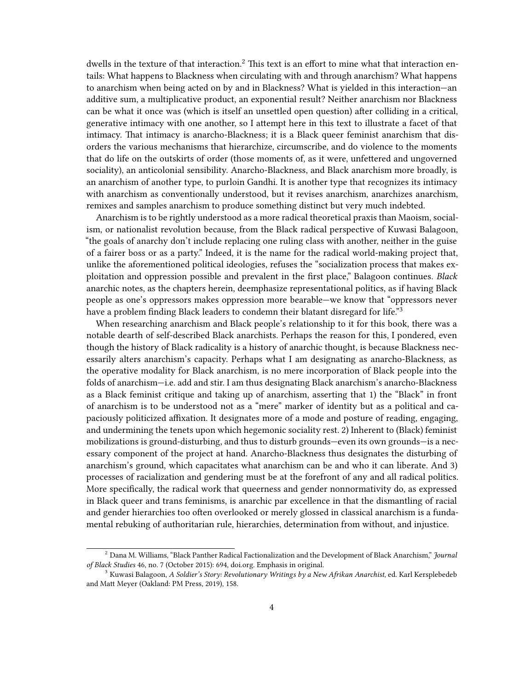dwells in the texture of that interaction.<sup>2</sup> This text is an effort to mine what that interaction entails: What happens to Blackness when circulating with and through anarchism? What happens to anarchism when being acted on by and in Blackness? What is yielded in this interaction—an additive sum, a multiplicative product, an exponential result? Neither anarchism nor Blackness can be what it once was (which is itself an unsettled open question) after colliding in a critical, generative intimacy with one another, so I attempt here in this text to illustrate a facet of that intimacy. That intimacy is anarcho-Blackness; it is a Black queer feminist anarchism that disorders the various mechanisms that hierarchize, circumscribe, and do violence to the moments that do life on the outskirts of order (those moments of, as it were, unfettered and ungoverned sociality), an anticolonial sensibility. Anarcho-Blackness, and Black anarchism more broadly, is an anarchism of another type, to purloin Gandhi. It is another type that recognizes its intimacy with anarchism as conventionally understood, but it revises anarchism, anarchizes anarchism, remixes and samples anarchism to produce something distinct but very much indebted.

Anarchism is to be rightly understood as a more radical theoretical praxis than Maoism, socialism, or nationalist revolution because, from the Black radical perspective of Kuwasi Balagoon, "the goals of anarchy don't include replacing one ruling class with another, neither in the guise of a fairer boss or as a party." Indeed, it is the name for the radical world-making project that, unlike the aforementioned political ideologies, refuses the "socialization process that makes exploitation and oppression possible and prevalent in the first place," Balagoon continues. *Black* anarchic notes, as the chapters herein, deemphasize representational politics, as if having Black people as one's oppressors makes oppression more bearable—we know that "oppressors never have a problem finding Black leaders to condemn their blatant disregard for life."<sup>3</sup>

When researching anarchism and Black people's relationship to it for this book, there was a notable dearth of self-described Black anarchists. Perhaps the reason for this, I pondered, even though the history of Black radicality is a history of anarchic thought, is because Blackness necessarily alters anarchism's capacity. Perhaps what I am designating as anarcho-Blackness, as the operative modality for Black anarchism, is no mere incorporation of Black people into the folds of anarchism—i.e. add and stir. I am thus designating Black anarchism's anarcho-Blackness as a Black feminist critique and taking up of anarchism, asserting that 1) the "Black" in front of anarchism is to be understood not as a "mere" marker of identity but as a political and capaciously politicized affixation. It designates more of a mode and posture of reading, engaging, and undermining the tenets upon which hegemonic sociality rest. 2) Inherent to (Black) feminist mobilizations is ground-disturbing, and thus to disturb grounds—even its own grounds—is a necessary component of the project at hand. Anarcho-Blackness thus designates the disturbing of anarchism's ground, which capacitates what anarchism can be and who it can liberate. And 3) processes of racialization and gendering must be at the forefront of any and all radical politics. More specifically, the radical work that queerness and gender nonnormativity do, as expressed in Black queer and trans feminisms, is anarchic par excellence in that the dismantling of racial and gender hierarchies too often overlooked or merely glossed in classical anarchism is a fundamental rebuking of authoritarian rule, hierarchies, determination from without, and injustice.

<sup>2</sup> Dana M. Williams, "Black Panther Radical Factionalization and the Development of Black Anarchism," *Journal of Black Studies* 46, no. 7 (October 2015): 694, [doi.org.](https://doi.org/10.1177/0021934715593053) Emphasis in original.

<sup>&</sup>lt;sup>3</sup> Kuwasi Balagoon, *A Soldier's Story: Revolutionary Writings by a New Afrikan Anarchist*, ed. Karl Kersplebedeb and Matt Meyer (Oakland: PM Press, 2019), 158.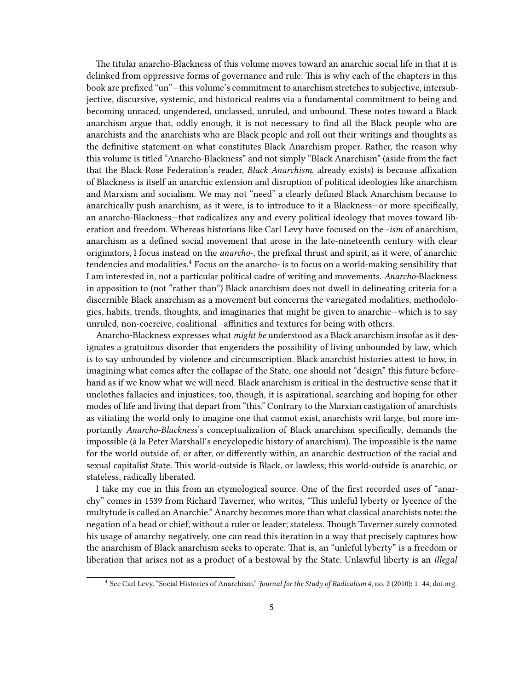The titular anarcho-Blackness of this volume moves toward an anarchic social life in that it is delinked from oppressive forms of governance and rule. This is why each of the chapters in this book are prefixed "un"—this volume's commitment to anarchism stretches to subjective, intersubjective, discursive, systemic, and historical realms via a fundamental commitment to being and becoming unraced, ungendered, unclassed, unruled, and unbound. These notes toward a Black anarchism argue that, oddly enough, it is not necessary to find all the Black people who are anarchists and the anarchists who are Black people and roll out their writings and thoughts as the definitive statement on what constitutes Black Anarchism proper. Rather, the reason why this volume is titled "Anarcho-Blackness" and not simply "Black Anarchism" (aside from the fact that the Black Rose Federation's reader, *Black Anarchism*, already exists) is because affixation of Blackness is itself an anarchic extension and disruption of political ideologies like anarchism and Marxism and socialism. We may not "need" a clearly defined Black Anarchism because to anarchically push anarchism, as it were, is to introduce to it a Blackness—or more specifically, an anarcho-Blackness—that radicalizes any and every political ideology that moves toward liberation and freedom. Whereas historians like Carl Levy have focused on the -*ism* of anarchism, anarchism as a defined social movement that arose in the late-nineteenth century with clear originators, I focus instead on the *anarcho-*, the prefixal thrust and spirit, as it were, of anarchic tendencies and modalities.<sup>4</sup> Focus on the anarcho- is to focus on a world-making sensibility that I am interested in, not a particular political cadre of writing and movements. *Anarcho-*Blackness in apposition to (not "rather than") Black anarchism does not dwell in delineating criteria for a discernible Black anarchism as a movement but concerns the variegated modalities, methodologies, habits, trends, thoughts, and imaginaries that might be given to anarchic—which is to say unruled, non-coercive, coalitional—affinities and textures for being with others.

Anarcho-Blackness expresses what *might be* understood as a Black anarchism insofar as it designates a gratuitous disorder that engenders the possibility of living unbounded by law, which is to say unbounded by violence and circumscription. Black anarchist histories attest to how, in imagining what comes after the collapse of the State, one should not "design" this future beforehand as if we know what we will need. Black anarchism is critical in the destructive sense that it unclothes fallacies and injustices; too, though, it is aspirational, searching and hoping for other modes of life and living that depart from "this." Contrary to the Marxian castigation of anarchists as vitiating the world only to imagine one that cannot exist, anarchists writ large, but more importantly *Anarcho-Blackness*'s conceptualization of Black anarchism specifically, demands the impossible (á la Peter Marshall's encyclopedic history of anarchism). The impossible is the name for the world outside of, or after, or differently within, an anarchic destruction of the racial and sexual capitalist State. This world-outside is Black, or lawless; this world-outside is anarchic, or stateless, radically liberated.

I take my cue in this from an etymological source. One of the first recorded uses of "anarchy" comes in 1539 from Richard Taverner, who writes, "This unleful lyberty or lycence of the multytude is called an Anarchie." Anarchy becomes more than what classical anarchists note: the negation of a head or chief; without a ruler or leader; stateless. Though Taverner surely connoted his usage of anarchy negatively, one can read this iteration in a way that precisely captures how the anarchism of Black anarchism seeks to operate. That is, an "unleful lyberty" is a freedom or liberation that arises not as a product of a bestowal by the State. Unlawful liberty is an *illegal*

<sup>4</sup> See Carl Levy, "Social Histories of Anarchism," *Journal for the Study of Radicalism* 4, no. 2 (2010): 1–44, [doi.org](https://doi.org/10.1353/jsr.2010.0003).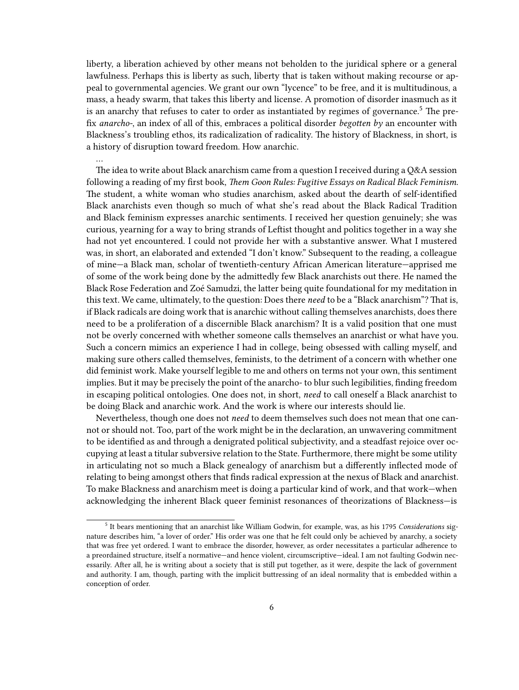liberty, a liberation achieved by other means not beholden to the juridical sphere or a general lawfulness. Perhaps this is liberty as such, liberty that is taken without making recourse or appeal to governmental agencies. We grant our own "lycence" to be free, and it is multitudinous, a mass, a heady swarm, that takes this liberty and license. A promotion of disorder inasmuch as it is an anarchy that refuses to cater to order as instantiated by regimes of governance.<sup>5</sup> The prefix *anarcho-*, an index of all of this, embraces a political disorder *begotten by* an encounter with Blackness's troubling ethos, its radicalization of radicality. The history of Blackness, in short, is a history of disruption toward freedom. How anarchic.

… The idea to write about Black anarchism came from a question I received during a Q&A session following a reading of my first book, *Them Goon Rules: Fugitive Essays on Radical Black Feminism*. The student, a white woman who studies anarchism, asked about the dearth of self-identified Black anarchists even though so much of what she's read about the Black Radical Tradition and Black feminism expresses anarchic sentiments. I received her question genuinely; she was curious, yearning for a way to bring strands of Leftist thought and politics together in a way she had not yet encountered. I could not provide her with a substantive answer. What I mustered was, in short, an elaborated and extended "I don't know." Subsequent to the reading, a colleague of mine—a Black man, scholar of twentieth-century African American literature—apprised me of some of the work being done by the admittedly few Black anarchists out there. He named the Black Rose Federation and Zoé Samudzi, the latter being quite foundational for my meditation in this text. We came, ultimately, to the question: Does there *need* to be a "Black anarchism"? That is, if Black radicals are doing work that is anarchic without calling themselves anarchists, does there need to be a proliferation of a discernible Black anarchism? It is a valid position that one must not be overly concerned with whether someone calls themselves an anarchist or what have you. Such a concern mimics an experience I had in college, being obsessed with calling myself, and making sure others called themselves, feminists, to the detriment of a concern with whether one did feminist work. Make yourself legible to me and others on terms not your own, this sentiment implies. But it may be precisely the point of the anarcho- to blur such legibilities, finding freedom in escaping political ontologies. One does not, in short, *need* to call oneself a Black anarchist to be doing Black and anarchic work. And the work is where our interests should lie.

Nevertheless, though one does not *need* to deem themselves such does not mean that one cannot or should not. Too, part of the work might be in the declaration, an unwavering commitment to be identified as and through a denigrated political subjectivity, and a steadfast rejoice over occupying at least a titular subversive relation to the State. Furthermore, there might be some utility in articulating not so much a Black genealogy of anarchism but a differently inflected mode of relating to being amongst others that finds radical expression at the nexus of Black and anarchist. To make Blackness and anarchism meet is doing a particular kind of work, and that work—when acknowledging the inherent Black queer feminist resonances of theorizations of Blackness—is

<sup>5</sup> It bears mentioning that an anarchist like William Godwin, for example, was, as his 1795 *Considerations* signature describes him, "a lover of order." His order was one that he felt could only be achieved by anarchy, a society that was free yet ordered. I want to embrace the disorder, however, as order necessitates a particular adherence to a preordained structure, itself a normative—and hence violent, circumscriptive—ideal. I am not faulting Godwin necessarily. After all, he is writing about a society that is still put together, as it were, despite the lack of government and authority. I am, though, parting with the implicit buttressing of an ideal normality that is embedded within a conception of order.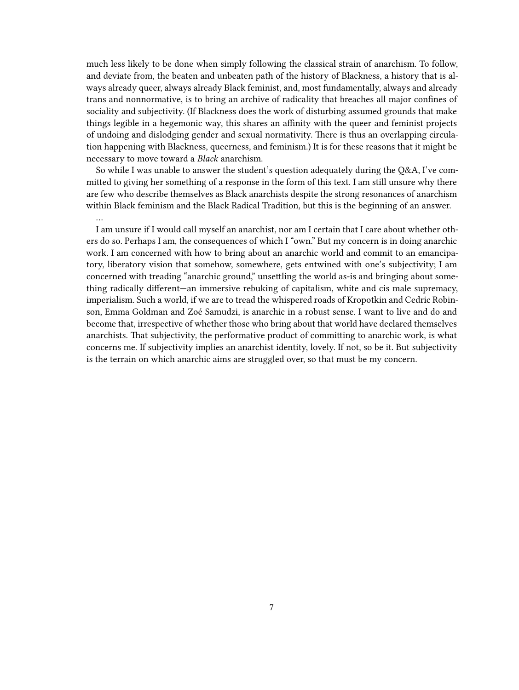much less likely to be done when simply following the classical strain of anarchism. To follow, and deviate from, the beaten and unbeaten path of the history of Blackness, a history that is always already queer, always already Black feminist, and, most fundamentally, always and already trans and nonnormative, is to bring an archive of radicality that breaches all major confines of sociality and subjectivity. (If Blackness does the work of disturbing assumed grounds that make things legible in a hegemonic way, this shares an affinity with the queer and feminist projects of undoing and dislodging gender and sexual normativity. There is thus an overlapping circulation happening with Blackness, queerness, and feminism.) It is for these reasons that it might be necessary to move toward a *Black* anarchism.

So while I was unable to answer the student's question adequately during the Q&A, I've committed to giving her something of a response in the form of this text. I am still unsure why there are few who describe themselves as Black anarchists despite the strong resonances of anarchism within Black feminism and the Black Radical Tradition, but this is the beginning of an answer.

#### …

I am unsure if I would call myself an anarchist, nor am I certain that I care about whether others do so. Perhaps I am, the consequences of which I "own." But my concern is in doing anarchic work. I am concerned with how to bring about an anarchic world and commit to an emancipatory, liberatory vision that somehow, somewhere, gets entwined with one's subjectivity; I am concerned with treading "anarchic ground," unsettling the world as-is and bringing about something radically different—an immersive rebuking of capitalism, white and cis male supremacy, imperialism. Such a world, if we are to tread the whispered roads of Kropotkin and Cedric Robinson, Emma Goldman and Zoé Samudzi, is anarchic in a robust sense. I want to live and do and become that, irrespective of whether those who bring about that world have declared themselves anarchists. That subjectivity, the performative product of committing to anarchic work, is what concerns me. If subjectivity implies an anarchist identity, lovely. If not, so be it. But subjectivity is the terrain on which anarchic aims are struggled over, so that must be my concern.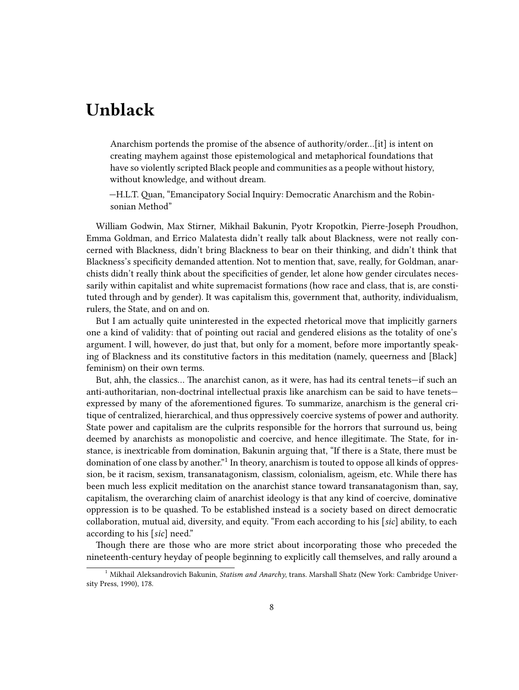#### <span id="page-7-0"></span>**Unblack**

Anarchism portends the promise of the absence of authority/order…[it] is intent on creating mayhem against those epistemological and metaphorical foundations that have so violently scripted Black people and communities as a people without history, without knowledge, and without dream.

—H.L.T. Quan, "Emancipatory Social Inquiry: Democratic Anarchism and the Robinsonian Method"

William Godwin, Max Stirner, Mikhail Bakunin, Pyotr Kropotkin, Pierre-Joseph Proudhon, Emma Goldman, and Errico Malatesta didn't really talk about Blackness, were not really concerned with Blackness, didn't bring Blackness to bear on their thinking, and didn't think that Blackness's specificity demanded attention. Not to mention that, save, really, for Goldman, anarchists didn't really think about the specificities of gender, let alone how gender circulates necessarily within capitalist and white supremacist formations (how race and class, that is, are constituted through and by gender). It was capitalism this, government that, authority, individualism, rulers, the State, and on and on.

But I am actually quite uninterested in the expected rhetorical move that implicitly garners one a kind of validity: that of pointing out racial and gendered elisions as the totality of one's argument. I will, however, do just that, but only for a moment, before more importantly speaking of Blackness and its constitutive factors in this meditation (namely, queerness and [Black] feminism) on their own terms.

But, ahh, the classics… The anarchist canon, as it were, has had its central tenets—if such an anti-authoritarian, non-doctrinal intellectual praxis like anarchism can be said to have tenets expressed by many of the aforementioned figures. To summarize, anarchism is the general critique of centralized, hierarchical, and thus oppressively coercive systems of power and authority. State power and capitalism are the culprits responsible for the horrors that surround us, being deemed by anarchists as monopolistic and coercive, and hence illegitimate. The State, for instance, is inextricable from domination, Bakunin arguing that, "If there is a State, there must be domination of one class by another."<sup>1</sup> In theory, anarchism is touted to oppose all kinds of oppression, be it racism, sexism, transanatagonism, classism, colonialism, ageism, etc. While there has been much less explicit meditation on the anarchist stance toward transanatagonism than, say, capitalism, the overarching claim of anarchist ideology is that any kind of coercive, dominative oppression is to be quashed. To be established instead is a society based on direct democratic collaboration, mutual aid, diversity, and equity. "From each according to his [*sic*] ability, to each according to his [*sic*] need."

Though there are those who are more strict about incorporating those who preceded the nineteenth-century heyday of people beginning to explicitly call themselves, and rally around a

<sup>1</sup> Mikhail Aleksandrovich Bakunin, *Statism and Anarchy*, trans. Marshall Shatz (New York: Cambridge University Press, 1990), 178.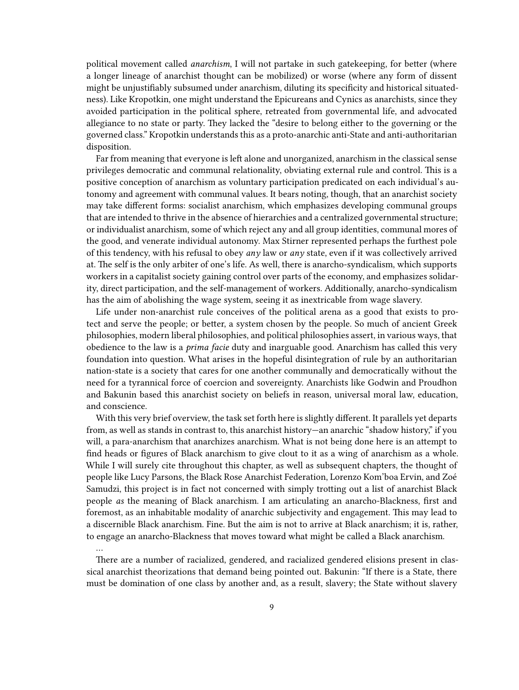political movement called *anarchism*, I will not partake in such gatekeeping, for better (where a longer lineage of anarchist thought can be mobilized) or worse (where any form of dissent might be unjustifiably subsumed under anarchism, diluting its specificity and historical situatedness). Like Kropotkin, one might understand the Epicureans and Cynics as anarchists, since they avoided participation in the political sphere, retreated from governmental life, and advocated allegiance to no state or party. They lacked the "desire to belong either to the governing or the governed class." Kropotkin understands this as a proto-anarchic anti-State and anti-authoritarian disposition.

Far from meaning that everyone is left alone and unorganized, anarchism in the classical sense privileges democratic and communal relationality, obviating external rule and control. This is a positive conception of anarchism as voluntary participation predicated on each individual's autonomy and agreement with communal values. It bears noting, though, that an anarchist society may take different forms: socialist anarchism, which emphasizes developing communal groups that are intended to thrive in the absence of hierarchies and a centralized governmental structure; or individualist anarchism, some of which reject any and all group identities, communal mores of the good, and venerate individual autonomy. Max Stirner represented perhaps the furthest pole of this tendency, with his refusal to obey *any* law or *any* state, even if it was collectively arrived at. The self is the only arbiter of one's life. As well, there is anarcho-syndicalism, which supports workers in a capitalist society gaining control over parts of the economy, and emphasizes solidarity, direct participation, and the self-management of workers. Additionally, anarcho-syndicalism has the aim of abolishing the wage system, seeing it as inextricable from wage slavery.

Life under non-anarchist rule conceives of the political arena as a good that exists to protect and serve the people; or better, a system chosen by the people. So much of ancient Greek philosophies, modern liberal philosophies, and political philosophies assert, in various ways, that obedience to the law is a *prima facie* duty and inarguable good. Anarchism has called this very foundation into question. What arises in the hopeful disintegration of rule by an authoritarian nation-state is a society that cares for one another communally and democratically without the need for a tyrannical force of coercion and sovereignty. Anarchists like Godwin and Proudhon and Bakunin based this anarchist society on beliefs in reason, universal moral law, education, and conscience.

With this very brief overview, the task set forth here is slightly different. It parallels yet departs from, as well as stands in contrast to, this anarchist history—an anarchic "shadow history," if you will, a para-anarchism that anarchizes anarchism. What is not being done here is an attempt to find heads or figures of Black anarchism to give clout to it as a wing of anarchism as a whole. While I will surely cite throughout this chapter, as well as subsequent chapters, the thought of people like Lucy Parsons, the Black Rose Anarchist Federation, Lorenzo Kom'boa Ervin, and Zoé Samudzi, this project is in fact not concerned with simply trotting out a list of anarchist Black people *as* the meaning of Black anarchism. I am articulating an anarcho-Blackness, first and foremost, as an inhabitable modality of anarchic subjectivity and engagement. This may lead to a discernible Black anarchism. Fine. But the aim is not to arrive at Black anarchism; it is, rather, to engage an anarcho-Blackness that moves toward what might be called a Black anarchism.

There are a number of racialized, gendered, and racialized gendered elisions present in classical anarchist theorizations that demand being pointed out. Bakunin: "If there is a State, there must be domination of one class by another and, as a result, slavery; the State without slavery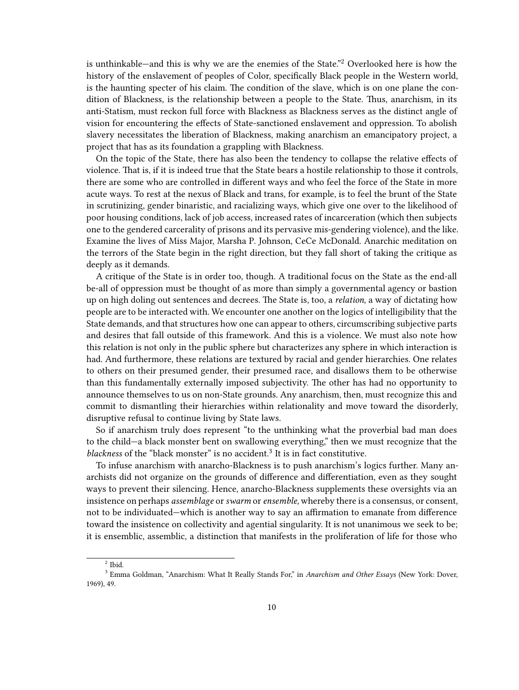is unthinkable—and this is why we are the enemies of the State."<sup>2</sup> Overlooked here is how the history of the enslavement of peoples of Color, specifically Black people in the Western world, is the haunting specter of his claim. The condition of the slave, which is on one plane the condition of Blackness, is the relationship between a people to the State. Thus, anarchism, in its anti-Statism, must reckon full force with Blackness as Blackness serves as the distinct angle of vision for encountering the effects of State-sanctioned enslavement and oppression. To abolish slavery necessitates the liberation of Blackness, making anarchism an emancipatory project, a project that has as its foundation a grappling with Blackness.

On the topic of the State, there has also been the tendency to collapse the relative effects of violence. That is, if it is indeed true that the State bears a hostile relationship to those it controls, there are some who are controlled in different ways and who feel the force of the State in more acute ways. To rest at the nexus of Black and trans, for example, is to feel the brunt of the State in scrutinizing, gender binaristic, and racializing ways, which give one over to the likelihood of poor housing conditions, lack of job access, increased rates of incarceration (which then subjects one to the gendered carcerality of prisons and its pervasive mis-gendering violence), and the like. Examine the lives of Miss Major, Marsha P. Johnson, CeCe McDonald. Anarchic meditation on the terrors of the State begin in the right direction, but they fall short of taking the critique as deeply as it demands.

A critique of the State is in order too, though. A traditional focus on the State as the end-all be-all of oppression must be thought of as more than simply a governmental agency or bastion up on high doling out sentences and decrees. The State is, too, a *relation*, a way of dictating how people are to be interacted with. We encounter one another on the logics of intelligibility that the State demands, and that structures how one can appear to others, circumscribing subjective parts and desires that fall outside of this framework. And this is a violence. We must also note how this relation is not only in the public sphere but characterizes any sphere in which interaction is had. And furthermore, these relations are textured by racial and gender hierarchies. One relates to others on their presumed gender, their presumed race, and disallows them to be otherwise than this fundamentally externally imposed subjectivity. The other has had no opportunity to announce themselves to us on non-State grounds. Any anarchism, then, must recognize this and commit to dismantling their hierarchies within relationality and move toward the disorderly, disruptive refusal to continue living by State laws.

So if anarchism truly does represent "to the unthinking what the proverbial bad man does to the child—a black monster bent on swallowing everything," then we must recognize that the blackness of the "black monster" is no accident.<sup>3</sup> It is in fact constitutive.

To infuse anarchism with anarcho-Blackness is to push anarchism's logics further. Many anarchists did not organize on the grounds of difference and differentiation, even as they sought ways to prevent their silencing. Hence, anarcho-Blackness supplements these oversights via an insistence on perhaps *assemblage* or*swarm* or *ensemble,* whereby there is a consensus, or consent, not to be individuated—which is another way to say an affirmation to emanate from difference toward the insistence on collectivity and agential singularity. It is not unanimous we seek to be; it is ensemblic, assemblic, a distinction that manifests in the proliferation of life for those who

 $<sup>2</sup>$  Ibid.</sup>

<sup>3</sup> Emma Goldman, "Anarchism: What It Really Stands For," in *Anarchism and Other Essays* (New York: Dover, 1969), 49.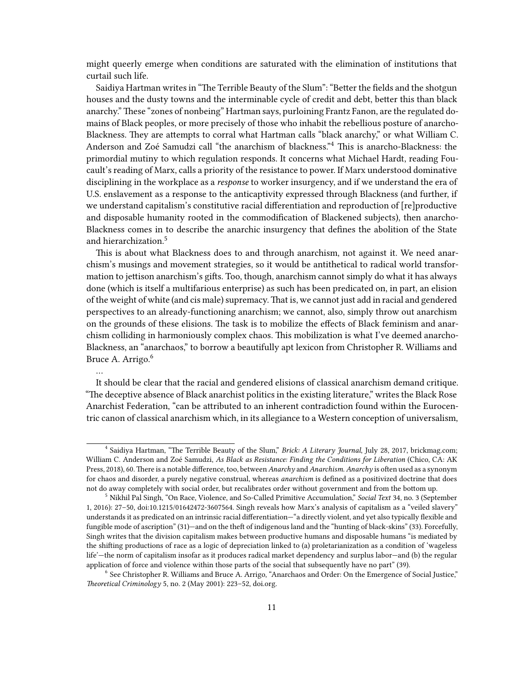might queerly emerge when conditions are saturated with the elimination of institutions that curtail such life.

Saidiya Hartman writes in "The Terrible Beauty of the Slum": "Better the fields and the shotgun houses and the dusty towns and the interminable cycle of credit and debt, better this than black anarchy." These "zones of nonbeing" Hartman says, purloining Frantz Fanon, are the regulated domains of Black peoples, or more precisely of those who inhabit the rebellious posture of anarcho-Blackness. They are attempts to corral what Hartman calls "black anarchy," or what William C. Anderson and Zoé Samudzi call "the anarchism of blackness."<sup>4</sup> This is anarcho-Blackness: the primordial mutiny to which regulation responds. It concerns what Michael Hardt, reading Foucault's reading of Marx, calls a priority of the resistance to power. If Marx understood dominative disciplining in the workplace as a *response* to worker insurgency, and if we understand the era of U.S. enslavement as a response to the anticaptivity expressed through Blackness (and further, if we understand capitalism's constitutive racial differentiation and reproduction of [re]productive and disposable humanity rooted in the commodification of Blackened subjects), then anarcho-Blackness comes in to describe the anarchic insurgency that defines the abolition of the State and hierarchization.<sup>5</sup>

This is about what Blackness does to and through anarchism, not against it. We need anarchism's musings and movement strategies, so it would be antithetical to radical world transformation to jettison anarchism's gifts. Too, though, anarchism cannot simply do what it has always done (which is itself a multifarious enterprise) as such has been predicated on, in part, an elision of the weight of white (and cis male) supremacy. That is, we cannot just add in racial and gendered perspectives to an already-functioning anarchism; we cannot, also, simply throw out anarchism on the grounds of these elisions. The task is to mobilize the effects of Black feminism and anarchism colliding in harmoniously complex chaos. This mobilization is what I've deemed anarcho-Blackness, an "anarchaos," to borrow a beautifully apt lexicon from Christopher R. Williams and Bruce A. Arrigo.<sup>6</sup>

It should be clear that the racial and gendered elisions of classical anarchism demand critique. "The deceptive absence of Black anarchist politics in the existing literature," writes the Black Rose Anarchist Federation, "can be attributed to an inherent contradiction found within the Eurocentric canon of classical anarchism which, in its allegiance to a Western conception of universalism,

…

<sup>4</sup> Saidiya Hartman, "The Terrible Beauty of the Slum," *Brick: A Literary Journal*, July 28, 2017, [brickmag.com;](https://brickmag.com/the-terrible-beauty-of-the-slum) William C. Anderson and Zoé Samudzi, *As Black as Resistance: Finding the Conditions for Liberation* (Chico, CA: AK Press, 2018), 60.There is a notable difference, too, between *Anarchy* and *Anarchism*. *Anarchy* is often used as a synonym for chaos and disorder, a purely negative construal, whereas *anarchism* is defined as a positivized doctrine that does not do away completely with social order, but recalibrates order without government and from the bottom up.

<sup>5</sup> Nikhil Pal Singh, "On Race, Violence, and So-Called Primitive Accumulation," *Social Text* 34, no. 3 (September 1, 2016): 27–50, doi:10.1215/01642472-3607564. Singh reveals how Marx's analysis of capitalism as a "veiled slavery" understands it as predicated on an intrinsic racial differentiation—"a directly violent, and yet also typically flexible and fungible mode of ascription" (31)—and on the theft of indigenous land and the "hunting of black-skins" (33). Forcefully, Singh writes that the division capitalism makes between productive humans and disposable humans "is mediated by the shifting productions of race as a logic of depreciation linked to (a) proletarianization as a condition of 'wageless life'—the norm of capitalism insofar as it produces radical market dependency and surplus labor—and (b) the regular application of force and violence within those parts of the social that subsequently have no part" (39).

<sup>6</sup> See Christopher R. Williams and Bruce A. Arrigo, "Anarchaos and Order: On the Emergence of Social Justice," *Theoretical Criminology* 5, no. 2 (May 2001): 223–52, [doi.org](https://doi.org/10.1177/1362480601005002005).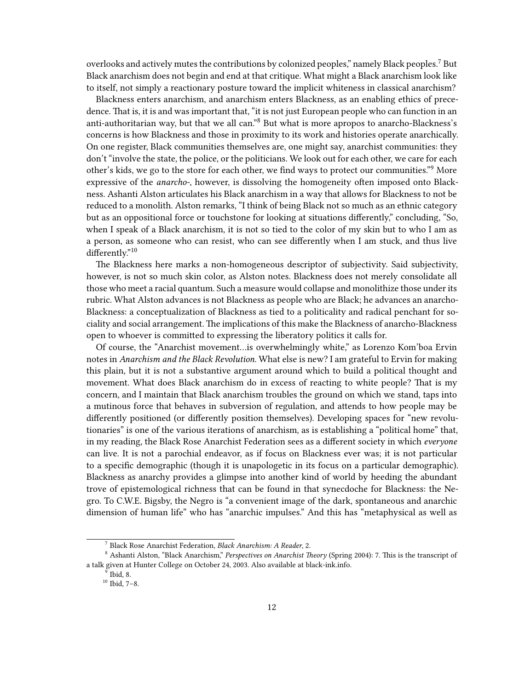overlooks and actively mutes the contributions by colonized peoples," namely Black peoples.<sup>7</sup> But Black anarchism does not begin and end at that critique. What might a Black anarchism look like to itself, not simply a reactionary posture toward the implicit whiteness in classical anarchism?

Blackness enters anarchism, and anarchism enters Blackness, as an enabling ethics of precedence. That is, it is and was important that, "it is not just European people who can function in an anti-authoritarian way, but that we all can."<sup>8</sup> But what is more apropos to anarcho-Blackness's concerns is how Blackness and those in proximity to its work and histories operate anarchically. On one register, Black communities themselves are, one might say, anarchist communities: they don't "involve the state, the police, or the politicians. We look out for each other, we care for each other's kids, we go to the store for each other, we find ways to protect our communities."<sup>9</sup> More expressive of the *anarcho-*, however, is dissolving the homogeneity often imposed onto Blackness. Ashanti Alston articulates his Black anarchism in a way that allows for Blackness to not be reduced to a monolith. Alston remarks, "I think of being Black not so much as an ethnic category but as an oppositional force or touchstone for looking at situations differently," concluding, "So, when I speak of a Black anarchism, it is not so tied to the color of my skin but to who I am as a person, as someone who can resist, who can see differently when I am stuck, and thus live differently."<sup>10</sup>

The Blackness here marks a non-homogeneous descriptor of subjectivity. Said subjectivity, however, is not so much skin color, as Alston notes. Blackness does not merely consolidate all those who meet a racial quantum. Such a measure would collapse and monolithize those under its rubric. What Alston advances is not Blackness as people who are Black; he advances an anarcho-Blackness: a conceptualization of Blackness as tied to a politicality and radical penchant for sociality and social arrangement. The implications of this make the Blackness of anarcho-Blackness open to whoever is committed to expressing the liberatory politics it calls for.

Of course, the "Anarchist movement…is overwhelmingly white," as Lorenzo Kom'boa Ervin notes in *Anarchism and the Black Revolution*. What else is new? I am grateful to Ervin for making this plain, but it is not a substantive argument around which to build a political thought and movement. What does Black anarchism do in excess of reacting to white people? That is my concern, and I maintain that Black anarchism troubles the ground on which we stand, taps into a mutinous force that behaves in subversion of regulation, and attends to how people may be differently positioned (or differently position themselves). Developing spaces for "new revolutionaries" is one of the various iterations of anarchism, as is establishing a "political home" that, in my reading, the Black Rose Anarchist Federation sees as a different society in which *everyone* can live. It is not a parochial endeavor, as if focus on Blackness ever was; it is not particular to a specific demographic (though it is unapologetic in its focus on a particular demographic). Blackness as anarchy provides a glimpse into another kind of world by heeding the abundant trove of epistemological richness that can be found in that synecdoche for Blackness: the Negro. To C.W.E. Bigsby, the Negro is "a convenient image of the dark, spontaneous and anarchic dimension of human life" who has "anarchic impulses." And this has "metaphysical as well as

<sup>7</sup> Black Rose Anarchist Federation, *Black Anarchism: A Reader*, 2.

<sup>8</sup> Ashanti Alston, "Black Anarchism," *Perspectives on Anarchist Theory* (Spring 2004): 7. This is the transcript of a talk given at Hunter College on October 24, 2003. Also available at [black-ink.info.](https://black-ink.info/2018/03/08/ashanti-alstons-black-anarchism/)

<sup>9</sup> Ibid, 8.

 $10$  Ibid, 7-8.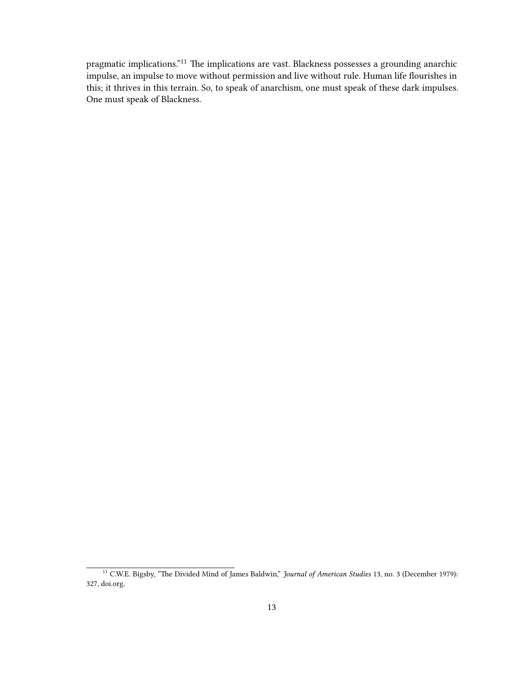pragmatic implications."<sup>11</sup> The implications are vast. Blackness possesses a grounding anarchic impulse, an impulse to move without permission and live without rule. Human life flourishes in this; it thrives in this terrain. So, to speak of anarchism, one must speak of these dark impulses. One must speak of Blackness.

<sup>&</sup>lt;sup>11</sup> C.W.E. Bigsby, "The Divided Mind of James Baldwin," *Journal of American Studies* 13, no. 3 (December 1979): 327, [doi.org.](https://doi.org/10.1017/S0021875800007398)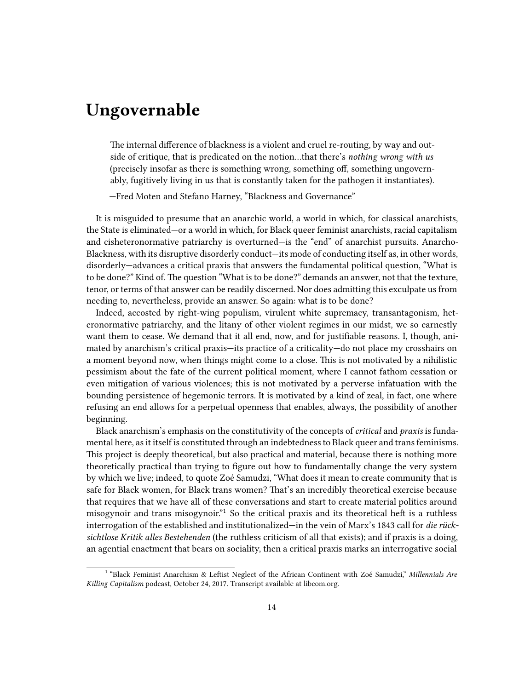### <span id="page-13-0"></span>**Ungovernable**

The internal difference of blackness is a violent and cruel re-routing, by way and outside of critique, that is predicated on the notion…that there's *nothing wrong with us* (precisely insofar as there is something wrong, something off, something ungovernably, fugitively living in us that is constantly taken for the pathogen it instantiates).

—Fred Moten and Stefano Harney, "Blackness and Governance"

It is misguided to presume that an anarchic world, a world in which, for classical anarchists, the State is eliminated—or a world in which, for Black queer feminist anarchists, racial capitalism and cisheteronormative patriarchy is overturned—is the "end" of anarchist pursuits. Anarcho-Blackness, with its disruptive disorderly conduct—its mode of conducting itself as, in other words, disorderly—advances a critical praxis that answers the fundamental political question, "What is to be done?" Kind of. The question "What is to be done?" demands an answer, not that the texture, tenor, or terms of that answer can be readily discerned. Nor does admitting this exculpate us from needing to, nevertheless, provide an answer. So again: what is to be done?

Indeed, accosted by right-wing populism, virulent white supremacy, transantagonism, heteronormative patriarchy, and the litany of other violent regimes in our midst, we so earnestly want them to cease. We demand that it all end, now, and for justifiable reasons. I, though, animated by anarchism's critical praxis—its practice of a criticality—do not place my crosshairs on a moment beyond now, when things might come to a close. This is not motivated by a nihilistic pessimism about the fate of the current political moment, where I cannot fathom cessation or even mitigation of various violences; this is not motivated by a perverse infatuation with the bounding persistence of hegemonic terrors. It is motivated by a kind of zeal, in fact, one where refusing an end allows for a perpetual openness that enables, always, the possibility of another beginning.

Black anarchism's emphasis on the constitutivity of the concepts of *critical* and *praxis* is fundamental here, as it itself is constituted through an indebtedness to Black queer and trans feminisms. This project is deeply theoretical, but also practical and material, because there is nothing more theoretically practical than trying to figure out how to fundamentally change the very system by which we live; indeed, to quote Zoé Samudzi, "What does it mean to create community that is safe for Black women, for Black trans women? That's an incredibly theoretical exercise because that requires that we have all of these conversations and start to create material politics around misogynoir and trans misogynoir."<sup>1</sup> So the critical praxis and its theoretical heft is a ruthless interrogation of the established and institutionalized—in the vein of Marx's 1843 call for *die rücksichtlose Kritik alles Bestehenden* (the ruthless criticism of all that exists); and if praxis is a doing, an agential enactment that bears on sociality, then a critical praxis marks an interrogative social

<sup>1</sup> "Black Feminist Anarchism & Leftist Neglect of the African Continent with Zoé Samudzi," *Millennials Are Killing Capitalism* podcast, October 24, 2017. Transcript available at [libcom.org](https://libcom.org/library/black-feminist-anarchism-leftist-neglect-african-continent-zoe-samudzi).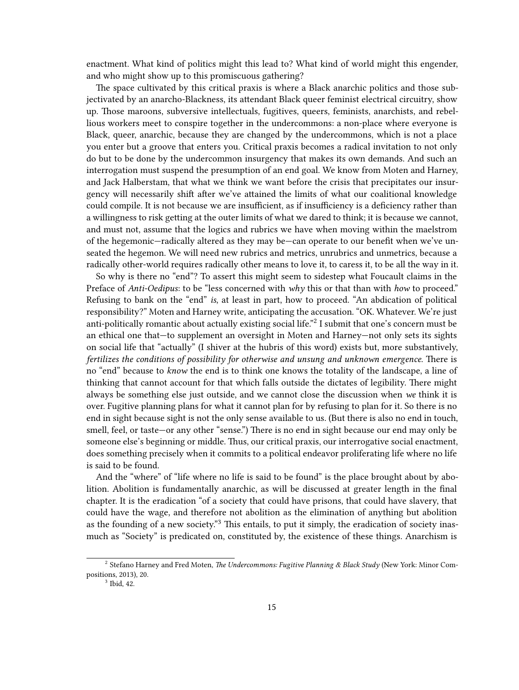enactment. What kind of politics might this lead to? What kind of world might this engender, and who might show up to this promiscuous gathering?

The space cultivated by this critical praxis is where a Black anarchic politics and those subjectivated by an anarcho-Blackness, its attendant Black queer feminist electrical circuitry, show up. Those maroons, subversive intellectuals, fugitives, queers, feminists, anarchists, and rebellious workers meet to conspire together in the undercommons: a non-place where everyone is Black, queer, anarchic, because they are changed by the undercommons, which is not a place you enter but a groove that enters you. Critical praxis becomes a radical invitation to not only do but to be done by the undercommon insurgency that makes its own demands. And such an interrogation must suspend the presumption of an end goal. We know from Moten and Harney, and Jack Halberstam, that what we think we want before the crisis that precipitates our insurgency will necessarily shift after we've attained the limits of what our coalitional knowledge could compile. It is not because we are insufficient, as if insufficiency is a deficiency rather than a willingness to risk getting at the outer limits of what we dared to think; it is because we cannot, and must not, assume that the logics and rubrics we have when moving within the maelstrom of the hegemonic—radically altered as they may be—can operate to our benefit when we've unseated the hegemon. We will need new rubrics and metrics, unrubrics and unmetrics, because a radically other-world requires radically other means to love it, to caress it, to be all the way in it.

So why is there no "end"? To assert this might seem to sidestep what Foucault claims in the Preface of *Anti-Oedipus*: to be "less concerned with *why* this or that than with *how* to proceed." Refusing to bank on the "end" *is*, at least in part, how to proceed. "An abdication of political responsibility?" Moten and Harney write, anticipating the accusation. "OK. Whatever. We're just anti-politically romantic about actually existing social life."<sup>2</sup> I submit that one's concern must be an ethical one that—to supplement an oversight in Moten and Harney—not only sets its sights on social life that "actually" (I shiver at the hubris of this word) exists but, more substantively, *fertilizes the conditions of possibility for otherwise and unsung and unknown emergence*. There is no "end" because to *know* the end is to think one knows the totality of the landscape, a line of thinking that cannot account for that which falls outside the dictates of legibility. There might always be something else just outside, and we cannot close the discussion when *we* think it is over. Fugitive planning plans for what it cannot plan for by refusing to plan for it. So there is no end in sight because sight is not the only sense available to us. (But there is also no end in touch, smell, feel, or taste—or any other "sense.") There is no end in sight because our end may only be someone else's beginning or middle. Thus, our critical praxis, our interrogative social enactment, does something precisely when it commits to a political endeavor proliferating life where no life is said to be found.

And the "where" of "life where no life is said to be found" is the place brought about by abolition. Abolition is fundamentally anarchic, as will be discussed at greater length in the final chapter. It is the eradication "of a society that could have prisons, that could have slavery, that could have the wage, and therefore not abolition as the elimination of anything but abolition as the founding of a new society."<sup>3</sup> This entails, to put it simply, the eradication of society inasmuch as "Society" is predicated on, constituted by, the existence of these things. Anarchism is

<sup>2</sup> Stefano Harney and Fred Moten, *The Undercommons: Fugitive Planning & Black Study* (New York: Minor Compositions, 2013), 20.

<sup>3</sup> Ibid, 42.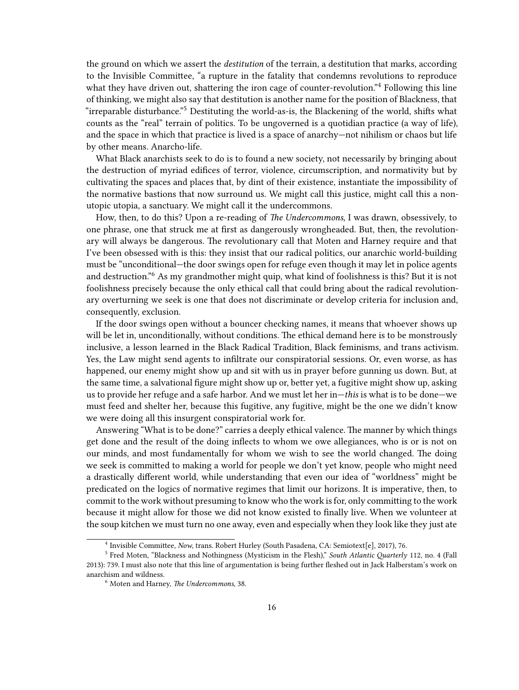the ground on which we assert the *destitution* of the terrain, a destitution that marks, according to the Invisible Committee, "a rupture in the fatality that condemns revolutions to reproduce what they have driven out, shattering the iron cage of counter-revolution.<sup>24</sup> Following this line of thinking, we might also say that destitution is another name for the position of Blackness, that "irreparable disturbance."<sup>5</sup> Destituting the world-as-is, the Blackening of the world, shifts what counts as the "real" terrain of politics. To be ungoverned is a quotidian practice (a way of life), and the space in which that practice is lived is a space of anarchy—not nihilism or chaos but life by other means. Anarcho-life.

What Black anarchists seek to do is to found a new society, not necessarily by bringing about the destruction of myriad edifices of terror, violence, circumscription, and normativity but by cultivating the spaces and places that, by dint of their existence, instantiate the impossibility of the normative bastions that now surround us. We might call this justice, might call this a nonutopic utopia, a sanctuary. We might call it the undercommons.

How, then, to do this? Upon a re-reading of *The Undercommons*, I was drawn, obsessively, to one phrase, one that struck me at first as dangerously wrongheaded. But, then, the revolutionary will always be dangerous. The revolutionary call that Moten and Harney require and that I've been obsessed with is this: they insist that our radical politics, our anarchic world-building must be "unconditional—the door swings open for refuge even though it may let in police agents and destruction."<sup>6</sup> As my grandmother might quip, what kind of foolishness is this? But it is not foolishness precisely because the only ethical call that could bring about the radical revolutionary overturning we seek is one that does not discriminate or develop criteria for inclusion and, consequently, exclusion.

If the door swings open without a bouncer checking names, it means that whoever shows up will be let in, unconditionally, without conditions. The ethical demand here is to be monstrously inclusive, a lesson learned in the Black Radical Tradition, Black feminisms, and trans activism. Yes, the Law might send agents to infiltrate our conspiratorial sessions. Or, even worse, as has happened, our enemy might show up and sit with us in prayer before gunning us down. But, at the same time, a salvational figure might show up or, better yet, a fugitive might show up, asking us to provide her refuge and a safe harbor. And we must let her in—*this* is what is to be done—we must feed and shelter her, because this fugitive, any fugitive, might be the one we didn't know we were doing all this insurgent conspiratorial work for.

Answering "What is to be done?" carries a deeply ethical valence. The manner by which things get done and the result of the doing inflects to whom we owe allegiances, who is or is not on our minds, and most fundamentally for whom we wish to see the world changed. The doing we seek is committed to making a world for people we don't yet know, people who might need a drastically different world, while understanding that even our idea of "worldness" might be predicated on the logics of normative regimes that limit our horizons. It is imperative, then, to commit to the work without presuming to know who the work is for, only committing to the work because it might allow for those we did not know existed to finally live. When we volunteer at the soup kitchen we must turn no one away, even and especially when they look like they just ate

<sup>&</sup>lt;sup>4</sup> Invisible Committee, *Now*, trans. Robert Hurley (South Pasadena, CA: Semiotext[e], 2017), 76.

<sup>&</sup>lt;sup>5</sup> Fred Moten, "Blackness and Nothingness (Mysticism in the Flesh)," South Atlantic Quarterly 112, no. 4 (Fall 2013): 739. I must also note that this line of argumentation is being further fleshed out in Jack Halberstam's work on anarchism and wildness.

<sup>6</sup> Moten and Harney, *The Undercommons*, 38.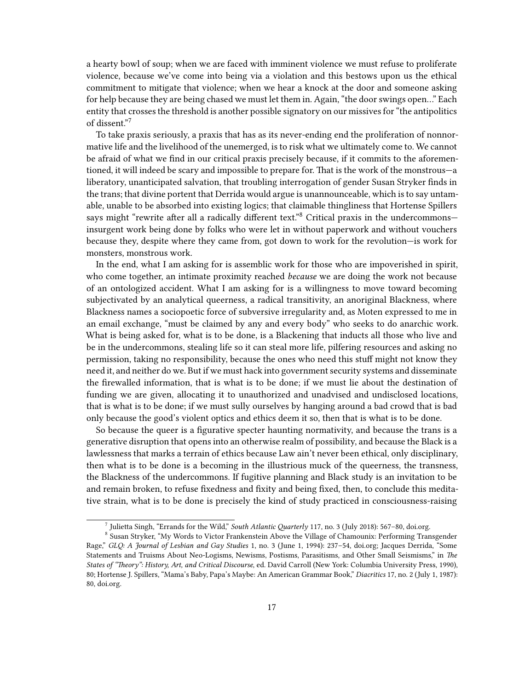a hearty bowl of soup; when we are faced with imminent violence we must refuse to proliferate violence, because we've come into being via a violation and this bestows upon us the ethical commitment to mitigate that violence; when we hear a knock at the door and someone asking for help because they are being chased we must let them in. Again, "the door swings open…" Each entity that crosses the threshold is another possible signatory on our missives for "the antipolitics of dissent."<sup>7</sup>

To take praxis seriously, a praxis that has as its never-ending end the proliferation of nonnormative life and the livelihood of the unemerged, is to risk what we ultimately come to. We cannot be afraid of what we find in our critical praxis precisely because, if it commits to the aforementioned, it will indeed be scary and impossible to prepare for. That is the work of the monstrous—a liberatory, unanticipated salvation, that troubling interrogation of gender Susan Stryker finds in the trans; that divine portent that Derrida would argue is unannounceable, which is to say untamable, unable to be absorbed into existing logics; that claimable thingliness that Hortense Spillers says might "rewrite after all a radically different text."<sup>8</sup> Critical praxis in the undercommonsinsurgent work being done by folks who were let in without paperwork and without vouchers because they, despite where they came from, got down to work for the revolution—is work for monsters, monstrous work.

In the end, what I am asking for is assemblic work for those who are impoverished in spirit, who come together, an intimate proximity reached *because* we are doing the work not because of an ontologized accident. What I am asking for is a willingness to move toward becoming subjectivated by an analytical queerness, a radical transitivity, an anoriginal Blackness, where Blackness names a sociopoetic force of subversive irregularity and, as Moten expressed to me in an email exchange, "must be claimed by any and every body" who seeks to do anarchic work. What is being asked for, what is to be done, is a Blackening that inducts all those who live and be in the undercommons, stealing life so it can steal more life, pilfering resources and asking no permission, taking no responsibility, because the ones who need this stuff might not know they need it, and neither do we. But if we must hack into government security systems and disseminate the firewalled information, that is what is to be done; if we must lie about the destination of funding we are given, allocating it to unauthorized and unadvised and undisclosed locations, that is what is to be done; if we must sully ourselves by hanging around a bad crowd that is bad only because the good's violent optics and ethics deem it so, then that is what is to be done.

So because the queer is a figurative specter haunting normativity, and because the trans is a generative disruption that opens into an otherwise realm of possibility, and because the Black is a lawlessness that marks a terrain of ethics because Law ain't never been ethical, only disciplinary, then what is to be done is a becoming in the illustrious muck of the queerness, the transness, the Blackness of the undercommons. If fugitive planning and Black study is an invitation to be and remain broken, to refuse fixedness and fixity and being fixed, then, to conclude this meditative strain, what is to be done is precisely the kind of study practiced in consciousness-raising

<sup>7</sup> Julietta Singh, "Errands for the Wild," *South Atlantic Quarterly* 117, no. 3 (July 2018): 567–80, [doi.org](https://doi.org/10.1215/00382876-6942159).

<sup>8</sup> Susan Stryker, "My Words to Victor Frankenstein Above the Village of Chamounix: Performing Transgender Rage," *GLQ: A Journal of Lesbian and Gay Studies* 1, no. 3 (June 1, 1994): 237–54, [doi.org](https://doi.org/10.1215/10642684-1-3-237); Jacques Derrida, "Some Statements and Truisms About Neo-Logisms, Newisms, Postisms, Parasitisms, and Other Small Seismisms," in *The States of "Theory": History, Art, and Critical Discourse*, ed. David Carroll (New York: Columbia University Press, 1990), 80; Hortense J. Spillers, "Mama's Baby, Papa's Maybe: An American Grammar Book," *Diacritics* 17, no. 2 (July 1, 1987): 80, [doi.org.](https://doi.org/10.2307/464747)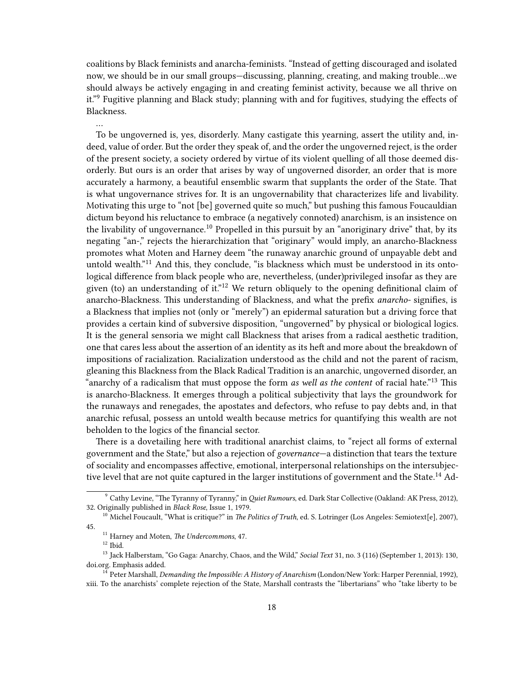coalitions by Black feminists and anarcha-feminists. "Instead of getting discouraged and isolated now, we should be in our small groups—discussing, planning, creating, and making trouble…we should always be actively engaging in and creating feminist activity, because we all thrive on it."<sup>9</sup> Fugitive planning and Black study; planning with and for fugitives, studying the effects of Blackness.

To be ungoverned is, yes, disorderly. Many castigate this yearning, assert the utility and, indeed, value of order. But the order they speak of, and the order the ungoverned reject, is the order of the present society, a society ordered by virtue of its violent quelling of all those deemed disorderly. But ours is an order that arises by way of ungoverned disorder, an order that is more accurately a harmony, a beautiful ensemblic swarm that supplants the order of the State. That is what ungovernance strives for. It is an ungovernability that characterizes life and livability. Motivating this urge to "not [be] governed quite so much," but pushing this famous Foucauldian dictum beyond his reluctance to embrace (a negatively connoted) anarchism, is an insistence on the livability of ungovernance.<sup>10</sup> Propelled in this pursuit by an "anoriginary drive" that, by its negating "an-," rejects the hierarchization that "originary" would imply, an anarcho-Blackness promotes what Moten and Harney deem "the runaway anarchic ground of unpayable debt and untold wealth."<sup>11</sup> And this, they conclude, "is blackness which must be understood in its ontological difference from black people who are, nevertheless, (under)privileged insofar as they are given (to) an understanding of it."<sup>12</sup> We return obliquely to the opening definitional claim of anarcho-Blackness. This understanding of Blackness, and what the prefix *anarcho-* signifies, is a Blackness that implies not (only or "merely") an epidermal saturation but a driving force that provides a certain kind of subversive disposition, "ungoverned" by physical or biological logics. It is the general sensoria we might call Blackness that arises from a radical aesthetic tradition, one that cares less about the assertion of an identity as its heft and more about the breakdown of impositions of racialization. Racialization understood as the child and not the parent of racism, gleaning this Blackness from the Black Radical Tradition is an anarchic, ungoverned disorder, an "anarchy of a radicalism that must oppose the form *as well as the content* of racial hate."<sup>13</sup> This is anarcho-Blackness. It emerges through a political subjectivity that lays the groundwork for the runaways and renegades, the apostates and defectors, who refuse to pay debts and, in that anarchic refusal, possess an untold wealth because metrics for quantifying this wealth are not beholden to the logics of the financial sector.

There is a dovetailing here with traditional anarchist claims, to "reject all forms of external government and the State," but also a rejection of *governance*—a distinction that tears the texture of sociality and encompasses affective, emotional, interpersonal relationships on the intersubjective level that are not quite captured in the larger institutions of government and the State.<sup>14</sup> Ad-

…

<sup>9</sup> Cathy Levine, "The Tyranny of Tyranny," in *Quiet Rumours*, ed. Dark Star Collective (Oakland: AK Press, 2012), 32. Originally published in *Black Rose*, Issue 1, 1979.

<sup>10</sup> Michel Foucault, "What is critique?" in *The Politics of Truth*, ed. S. Lotringer (Los Angeles: Semiotext[e], 2007), 45.

<sup>11</sup> Harney and Moten, *The Undercommons*, 47.

 $^{12}$  Ibid.

<sup>&</sup>lt;sup>13</sup> Jack Halberstam, "Go Gaga: Anarchy, Chaos, and the Wild," Social Text 31, no. 3 (116) (September 1, 2013): 130, [doi.org](https://doi.org/10.1215/01642472-2152873). Emphasis added.

<sup>&</sup>lt;sup>14</sup> Peter Marshall, *Demanding the Impossible: A History of Anarchism* (London/New York: Harper Perennial, 1992), xiii. To the anarchists' complete rejection of the State, Marshall contrasts the "libertarians" who "take liberty to be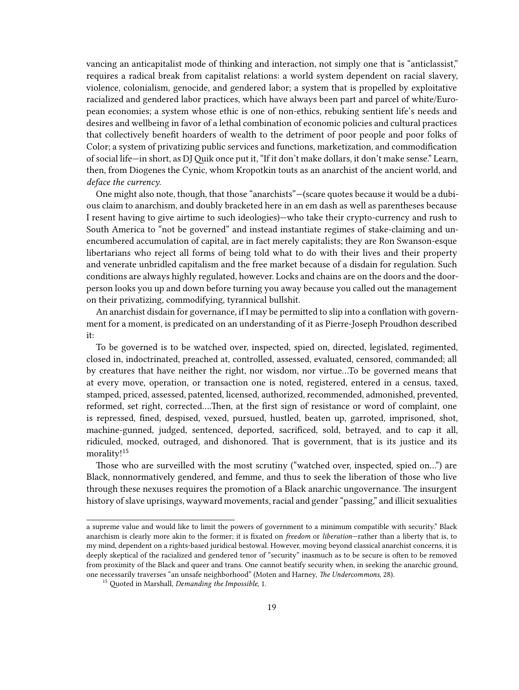vancing an anticapitalist mode of thinking and interaction, not simply one that is "anticlassist," requires a radical break from capitalist relations: a world system dependent on racial slavery, violence, colonialism, genocide, and gendered labor; a system that is propelled by exploitative racialized and gendered labor practices, which have always been part and parcel of white/European economies; a system whose ethic is one of non-ethics, rebuking sentient life's needs and desires and wellbeing in favor of a lethal combination of economic policies and cultural practices that collectively benefit hoarders of wealth to the detriment of poor people and poor folks of Color; a system of privatizing public services and functions, marketization, and commodification of social life—in short, as DJQuik once put it, "If it don't make dollars, it don't make sense." Learn, then, from Diogenes the Cynic, whom Kropotkin touts as an anarchist of the ancient world, and *deface the currency*.

One might also note, though, that those "anarchists"—(scare quotes because it would be a dubious claim to anarchism, and doubly bracketed here in an em dash as well as parentheses because I resent having to give airtime to such ideologies)—who take their crypto-currency and rush to South America to "not be governed" and instead instantiate regimes of stake-claiming and unencumbered accumulation of capital, are in fact merely capitalists; they are Ron Swanson-esque libertarians who reject all forms of being told what to do with their lives and their property and venerate unbridled capitalism and the free market because of a disdain for regulation. Such conditions are always highly regulated, however. Locks and chains are on the doors and the doorperson looks you up and down before turning you away because you called out the management on their privatizing, commodifying, tyrannical bullshit.

An anarchist disdain for governance, if I may be permitted to slip into a conflation with government for a moment, is predicated on an understanding of it as Pierre-Joseph Proudhon described it:

To be governed is to be watched over, inspected, spied on, directed, legislated, regimented, closed in, indoctrinated, preached at, controlled, assessed, evaluated, censored, commanded; all by creatures that have neither the right, nor wisdom, nor virtue…To be governed means that at every move, operation, or transaction one is noted, registered, entered in a census, taxed, stamped, priced, assessed, patented, licensed, authorized, recommended, admonished, prevented, reformed, set right, corrected….Then, at the first sign of resistance or word of complaint, one is repressed, fined, despised, vexed, pursued, hustled, beaten up, garroted, imprisoned, shot, machine-gunned, judged, sentenced, deported, sacrificed, sold, betrayed, and to cap it all, ridiculed, mocked, outraged, and dishonored. That is government, that is its justice and its morality!<sup>15</sup>

Those who are surveilled with the most scrutiny ("watched over, inspected, spied on…") are Black, nonnormatively gendered, and femme, and thus to seek the liberation of those who live through these nexuses requires the promotion of a Black anarchic ungovernance. The insurgent history of slave uprisings, wayward movements, racial and gender "passing," and illicit sexualities

a supreme value and would like to limit the powers of government to a minimum compatible with security." Black anarchism is clearly more akin to the former; it is fixated on *freedom* or *liberation*—rather than a liberty that is, to my mind, dependent on a rights-based juridical bestowal. However, moving beyond classical anarchist concerns, it is deeply skeptical of the racialized and gendered tenor of "security" inasmuch as to be secure is often to be removed from proximity of the Black and queer and trans. One cannot beatify security when, in seeking the anarchic ground, one necessarily traverses "an unsafe neighborhood" (Moten and Harney, *The Undercommons*, 28).

<sup>15</sup> Quoted in Marshall, *Demanding the Impossible*, 1.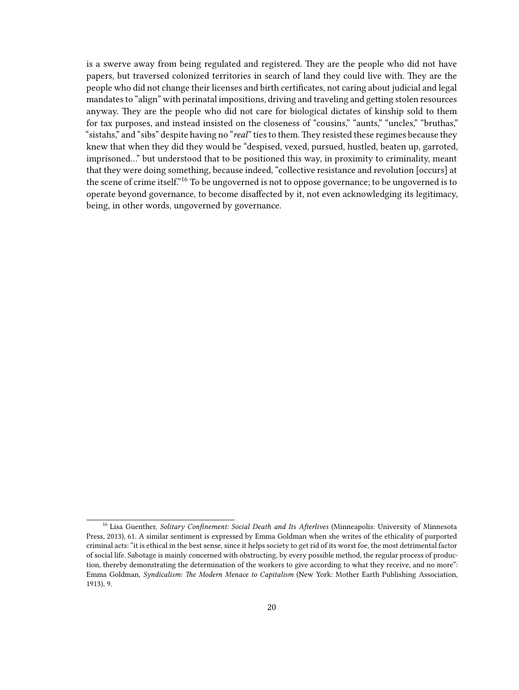is a swerve away from being regulated and registered. They are the people who did not have papers, but traversed colonized territories in search of land they could live with. They are the people who did not change their licenses and birth certificates, not caring about judicial and legal mandates to "align" with perinatal impositions, driving and traveling and getting stolen resources anyway. They are the people who did not care for biological dictates of kinship sold to them for tax purposes, and instead insisted on the closeness of "cousins," "aunts," "uncles," "bruthas," "sistahs," and "sibs" despite having no "*real*" ties to them.They resisted these regimes because they knew that when they did they would be "despised, vexed, pursued, hustled, beaten up, garroted, imprisoned…" but understood that to be positioned this way, in proximity to criminality, meant that they were doing something, because indeed, "collective resistance and revolution [occurs] at the scene of crime itself."<sup>16</sup> To be ungoverned is not to oppose governance; to be ungoverned is to operate beyond governance, to become disaffected by it, not even acknowledging its legitimacy, being, in other words, ungoverned by governance.

<sup>16</sup> Lisa Guenther, *Solitary Confinement: Social Death and Its Afterlives* (Minneapolis: University of Minnesota Press, 2013), 61. A similar sentiment is expressed by Emma Goldman when she writes of the ethicality of purported criminal acts: "it is ethical in the best sense, since it helps society to get rid of its worst foe, the most detrimental factor of social life. Sabotage is mainly concerned with obstructing, by every possible method, the regular process of production, thereby demonstrating the determination of the workers to give according to what they receive, and no more": Emma Goldman, *Syndicalism: The Modern Menace to Capitalism* (New York: Mother Earth Publishing Association, 1913), 9.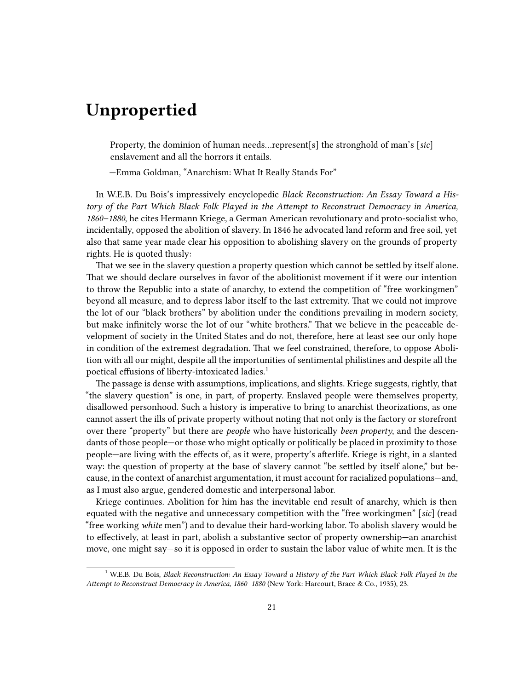### <span id="page-20-0"></span>**Unpropertied**

Property, the dominion of human needs…represent[s] the stronghold of man's [*sic*] enslavement and all the horrors it entails.

—Emma Goldman, "Anarchism: What It Really Stands For"

In W.E.B. Du Bois's impressively encyclopedic *Black Reconstruction: An Essay Toward a History of the Part Which Black Folk Played in the Attempt to Reconstruct Democracy in America, 1860–1880*, he cites Hermann Kriege, a German American revolutionary and proto-socialist who, incidentally, opposed the abolition of slavery. In 1846 he advocated land reform and free soil, yet also that same year made clear his opposition to abolishing slavery on the grounds of property rights. He is quoted thusly:

That we see in the slavery question a property question which cannot be settled by itself alone. That we should declare ourselves in favor of the abolitionist movement if it were our intention to throw the Republic into a state of anarchy, to extend the competition of "free workingmen" beyond all measure, and to depress labor itself to the last extremity. That we could not improve the lot of our "black brothers" by abolition under the conditions prevailing in modern society, but make infinitely worse the lot of our "white brothers." That we believe in the peaceable development of society in the United States and do not, therefore, here at least see our only hope in condition of the extremest degradation. That we feel constrained, therefore, to oppose Abolition with all our might, despite all the importunities of sentimental philistines and despite all the poetical effusions of liberty-intoxicated ladies.<sup>1</sup>

The passage is dense with assumptions, implications, and slights. Kriege suggests, rightly, that "the slavery question" is one, in part, of property. Enslaved people were themselves property, disallowed personhood. Such a history is imperative to bring to anarchist theorizations, as one cannot assert the ills of private property without noting that not only is the factory or storefront over there "property" but there are *people* who have historically *been property*, and the descendants of those people—or those who might optically or politically be placed in proximity to those people—are living with the effects of, as it were, property's afterlife. Kriege is right, in a slanted way: the question of property at the base of slavery cannot "be settled by itself alone," but because, in the context of anarchist argumentation, it must account for racialized populations—and, as I must also argue, gendered domestic and interpersonal labor.

Kriege continues. Abolition for him has the inevitable end result of anarchy, which is then equated with the negative and unnecessary competition with the "free workingmen" [*sic*] (read "free working *white* men") and to devalue their hard-working labor. To abolish slavery would be to effectively, at least in part, abolish a substantive sector of property ownership—an anarchist move, one might say—so it is opposed in order to sustain the labor value of white men. It is the

<sup>1</sup> W.E.B. Du Bois, *Black Reconstruction: An Essay Toward a History of the Part Which Black Folk Played in the Attempt to Reconstruct Democracy in America, 1860–1880* (New York: Harcourt, Brace & Co., 1935), 23.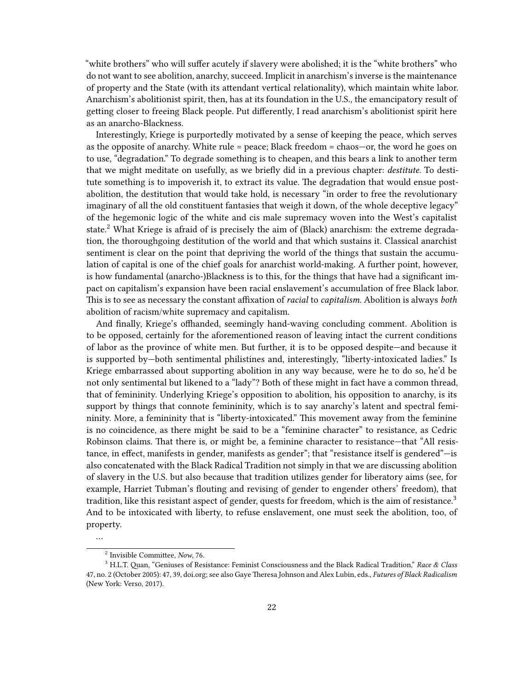"white brothers" who will suffer acutely if slavery were abolished; it is the "white brothers" who do not want to see abolition, anarchy, succeed. Implicit in anarchism's inverse is the maintenance of property and the State (with its attendant vertical relationality), which maintain white labor. Anarchism's abolitionist spirit, then, has at its foundation in the U.S., the emancipatory result of getting closer to freeing Black people. Put differently, I read anarchism's abolitionist spirit here as an anarcho-Blackness.

Interestingly, Kriege is purportedly motivated by a sense of keeping the peace, which serves as the opposite of anarchy. White rule = peace; Black freedom = chaos—or, the word he goes on to use, "degradation." To degrade something is to cheapen, and this bears a link to another term that we might meditate on usefully, as we briefly did in a previous chapter: *destitute*. To destitute something is to impoverish it, to extract its value. The degradation that would ensue postabolition, the destitution that would take hold, is necessary "in order to free the revolutionary imaginary of all the old constituent fantasies that weigh it down, of the whole deceptive legacy" of the hegemonic logic of the white and cis male supremacy woven into the West's capitalist state.<sup>2</sup> What Kriege is afraid of is precisely the aim of (Black) anarchism: the extreme degradation, the thoroughgoing destitution of the world and that which sustains it. Classical anarchist sentiment is clear on the point that depriving the world of the things that sustain the accumulation of capital is one of the chief goals for anarchist world-making. A further point, however, is how fundamental (anarcho-)Blackness is to this, for the things that have had a significant impact on capitalism's expansion have been racial enslavement's accumulation of free Black labor. This is to see as necessary the constant affixation of *racial* to *capitalism*. Abolition is always *both* abolition of racism/white supremacy and capitalism.

And finally, Kriege's offhanded, seemingly hand-waving concluding comment. Abolition is to be opposed, certainly for the aforementioned reason of leaving intact the current conditions of labor as the province of white men. But further, it is to be opposed despite—and because it is supported by—both sentimental philistines and, interestingly, "liberty-intoxicated ladies." Is Kriege embarrassed about supporting abolition in any way because, were he to do so, he'd be not only sentimental but likened to a "lady"? Both of these might in fact have a common thread, that of femininity. Underlying Kriege's opposition to abolition, his opposition to anarchy, is its support by things that connote femininity, which is to say anarchy's latent and spectral femininity. More, a femininity that is "liberty-intoxicated." This movement away from the feminine is no coincidence, as there might be said to be a "feminine character" to resistance, as Cedric Robinson claims. That there is, or might be, a feminine character to resistance—that "All resistance, in effect, manifests in gender, manifests as gender"; that "resistance itself is gendered"—is also concatenated with the Black Radical Tradition not simply in that we are discussing abolition of slavery in the U.S. but also because that tradition utilizes gender for liberatory aims (see, for example, Harriet Tubman's flouting and revising of gender to engender others' freedom), that tradition, like this resistant aspect of gender, quests for freedom, which is the aim of resistance.<sup>3</sup> And to be intoxicated with liberty, to refuse enslavement, one must seek the abolition, too, of property.

…

<sup>2</sup> Invisible Committee, *Now*, 76.

<sup>3</sup> H.L.T. Quan, "Geniuses of Resistance: Feminist Consciousness and the Black Radical Tradition," *Race & Class* 47, no. 2 (October 2005): 47, 39, [doi.org](https://doi.org/10.1177/0306396805058081); see also Gaye Theresa Johnson and Alex Lubin, eds., *Futures of Black Radicalism* (New York: Verso, 2017).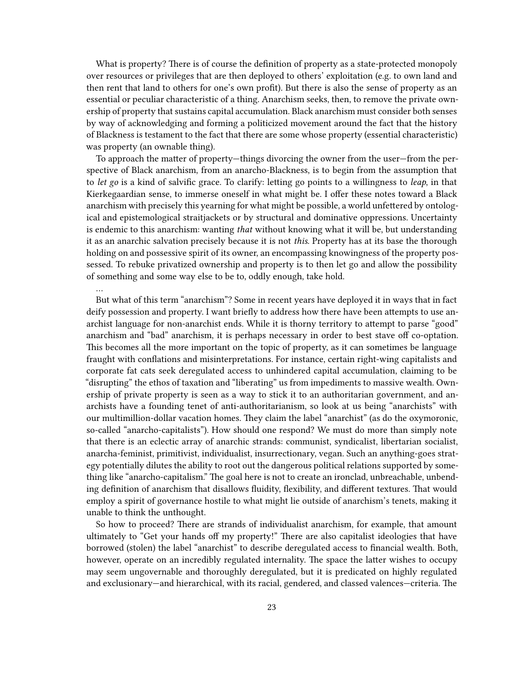What is property? There is of course the definition of property as a state-protected monopoly over resources or privileges that are then deployed to others' exploitation (e.g. to own land and then rent that land to others for one's own profit). But there is also the sense of property as an essential or peculiar characteristic of a thing. Anarchism seeks, then, to remove the private ownership of property that sustains capital accumulation. Black anarchism must consider both senses by way of acknowledging and forming a politicized movement around the fact that the history of Blackness is testament to the fact that there are some whose property (essential characteristic) was property (an ownable thing).

To approach the matter of property—things divorcing the owner from the user—from the perspective of Black anarchism, from an anarcho-Blackness, is to begin from the assumption that to *let go* is a kind of salvific grace. To clarify: letting go points to a willingness to *leap*, in that Kierkegaardian sense, to immerse oneself in what might be. I offer these notes toward a Black anarchism with precisely this yearning for what might be possible, a world unfettered by ontological and epistemological straitjackets or by structural and dominative oppressions. Uncertainty is endemic to this anarchism: wanting *that* without knowing what it will be, but understanding it as an anarchic salvation precisely because it is not *this*. Property has at its base the thorough holding on and possessive spirit of its owner, an encompassing knowingness of the property possessed. To rebuke privatized ownership and property is to then let go and allow the possibility of something and some way else to be to, oddly enough, take hold.

…

But what of this term "anarchism"? Some in recent years have deployed it in ways that in fact deify possession and property. I want briefly to address how there have been attempts to use anarchist language for non-anarchist ends. While it is thorny territory to attempt to parse "good" anarchism and "bad" anarchism, it is perhaps necessary in order to best stave off co-optation. This becomes all the more important on the topic of property, as it can sometimes be language fraught with conflations and misinterpretations. For instance, certain right-wing capitalists and corporate fat cats seek deregulated access to unhindered capital accumulation, claiming to be "disrupting" the ethos of taxation and "liberating" us from impediments to massive wealth. Ownership of private property is seen as a way to stick it to an authoritarian government, and anarchists have a founding tenet of anti-authoritarianism, so look at us being "anarchists" with our multimillion-dollar vacation homes. They claim the label "anarchist" (as do the oxymoronic, so-called "anarcho-capitalists"). How should one respond? We must do more than simply note that there is an eclectic array of anarchic strands: communist, syndicalist, libertarian socialist, anarcha-feminist, primitivist, individualist, insurrectionary, vegan. Such an anything-goes strategy potentially dilutes the ability to root out the dangerous political relations supported by something like "anarcho-capitalism." The goal here is not to create an ironclad, unbreachable, unbending definition of anarchism that disallows fluidity, flexibility, and different textures. That would employ a spirit of governance hostile to what might lie outside of anarchism's tenets, making it unable to think the unthought.

So how to proceed? There are strands of individualist anarchism, for example, that amount ultimately to "Get your hands off my property!" There are also capitalist ideologies that have borrowed (stolen) the label "anarchist" to describe deregulated access to financial wealth. Both, however, operate on an incredibly regulated internality. The space the latter wishes to occupy may seem ungovernable and thoroughly deregulated, but it is predicated on highly regulated and exclusionary—and hierarchical, with its racial, gendered, and classed valences—criteria. The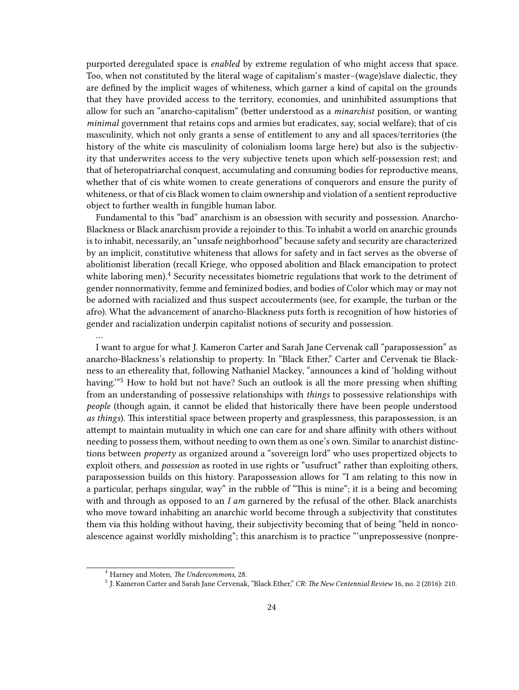purported deregulated space is *enabled* by extreme regulation of who might access that space. Too, when not constituted by the literal wage of capitalism's master–(wage)slave dialectic, they are defined by the implicit wages of whiteness, which garner a kind of capital on the grounds that they have provided access to the territory, economies, and uninhibited assumptions that allow for such an "anarcho-capitalism" (better understood as a *minarchist* position, or wanting *minimal* government that retains cops and armies but eradicates, say, social welfare); that of cis masculinity, which not only grants a sense of entitlement to any and all spaces/territories (the history of the white cis masculinity of colonialism looms large here) but also is the subjectivity that underwrites access to the very subjective tenets upon which self-possession rest; and that of heteropatriarchal conquest, accumulating and consuming bodies for reproductive means, whether that of cis white women to create generations of conquerors and ensure the purity of whiteness, or that of cis Black women to claim ownership and violation of a sentient reproductive object to further wealth in fungible human labor.

Fundamental to this "bad" anarchism is an obsession with security and possession. Anarcho-Blackness or Black anarchism provide a rejoinder to this. To inhabit a world on anarchic grounds is to inhabit, necessarily, an "unsafe neighborhood" because safety and security are characterized by an implicit, constitutive whiteness that allows for safety and in fact serves as the obverse of abolitionist liberation (recall Kriege, who opposed abolition and Black emancipation to protect white laboring men).<sup>4</sup> Security necessitates biometric regulations that work to the detriment of gender nonnormativity, femme and feminized bodies, and bodies of Color which may or may not be adorned with racialized and thus suspect accouterments (see, for example, the turban or the afro). What the advancement of anarcho-Blackness puts forth is recognition of how histories of gender and racialization underpin capitalist notions of security and possession.

I want to argue for what J. Kameron Carter and Sarah Jane Cervenak call "parapossession" as anarcho-Blackness's relationship to property. In "Black Ether," Carter and Cervenak tie Blackness to an ethereality that, following Nathaniel Mackey, "announces a kind of 'holding without having."<sup>5</sup> How to hold but not have? Such an outlook is all the more pressing when shifting from an understanding of possessive relationships with *things* to possessive relationships with *people* (though again, it cannot be elided that historically there have been people understood *as things*)*.* This interstitial space between property and grasplessness, this parapossession, is an attempt to maintain mutuality in which one can care for and share affinity with others without needing to possess them, without needing to own them as one's own. Similar to anarchist distinctions between *property* as organized around a "sovereign lord" who uses propertized objects to exploit others, and *possession* as rooted in use rights or "usufruct" rather than exploiting others, parapossession builds on this history. Parapossession allows for "I am relating to this now in a particular, perhaps singular, way" in the rubble of "This is mine"; it is a being and becoming with and through as opposed to an *I am* garnered by the refusal of the other. Black anarchists who move toward inhabiting an anarchic world become through a subjectivity that constitutes them via this holding without having, their subjectivity becoming that of being "held in noncoalescence against worldly misholding"; this anarchism is to practice "'unprepossessive (nonpre-

…

<sup>4</sup> Harney and Moten, *The Undercommons*, 28.

<sup>5</sup> J. Kameron Carter and Sarah Jane Cervenak, "Black Ether," *CR: The New Centennial Review* 16, no. 2 (2016): 210.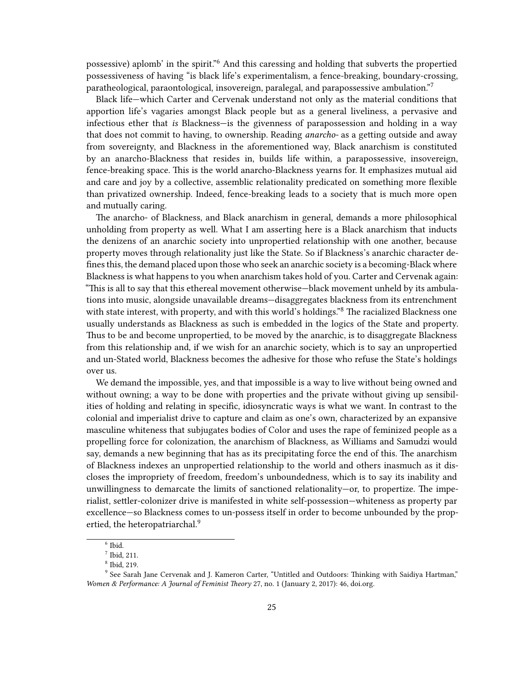possessive) aplomb' in the spirit."<sup>6</sup> And this caressing and holding that subverts the propertied possessiveness of having "is black life's experimentalism, a fence-breaking, boundary-crossing, paratheological, paraontological, insovereign, paralegal, and parapossessive ambulation."<sup>7</sup>

Black life—which Carter and Cervenak understand not only as the material conditions that apportion life's vagaries amongst Black people but as a general liveliness, a pervasive and infectious ether that *is* Blackness—is the givenness of parapossession and holding in a way that does not commit to having, to ownership. Reading *anarcho-* as a getting outside and away from sovereignty, and Blackness in the aforementioned way, Black anarchism is constituted by an anarcho-Blackness that resides in, builds life within, a parapossessive, insovereign, fence-breaking space. This is the world anarcho-Blackness yearns for. It emphasizes mutual aid and care and joy by a collective, assemblic relationality predicated on something more flexible than privatized ownership. Indeed, fence-breaking leads to a society that is much more open and mutually caring.

The anarcho- of Blackness, and Black anarchism in general, demands a more philosophical unholding from property as well. What I am asserting here is a Black anarchism that inducts the denizens of an anarchic society into unpropertied relationship with one another, because property moves through relationality just like the State. So if Blackness's anarchic character defines this, the demand placed upon those who seek an anarchic society is a becoming-Black where Blackness is what happens to you when anarchism takes hold of you. Carter and Cervenak again: "This is all to say that this ethereal movement otherwise—black movement unheld by its ambulations into music, alongside unavailable dreams—disaggregates blackness from its entrenchment with state interest, with property, and with this world's holdings."<sup>8</sup> The racialized Blackness one usually understands as Blackness as such is embedded in the logics of the State and property. Thus to be and become unpropertied, to be moved by the anarchic, is to disaggregate Blackness from this relationship and, if we wish for an anarchic society, which is to say an unpropertied and un-Stated world, Blackness becomes the adhesive for those who refuse the State's holdings over us.

We demand the impossible, yes, and that impossible is a way to live without being owned and without owning; a way to be done with properties and the private without giving up sensibilities of holding and relating in specific, idiosyncratic ways is what we want. In contrast to the colonial and imperialist drive to capture and claim as one's own, characterized by an expansive masculine whiteness that subjugates bodies of Color and uses the rape of feminized people as a propelling force for colonization, the anarchism of Blackness, as Williams and Samudzi would say, demands a new beginning that has as its precipitating force the end of this. The anarchism of Blackness indexes an unpropertied relationship to the world and others inasmuch as it discloses the impropriety of freedom, freedom's unboundedness, which is to say its inability and unwillingness to demarcate the limits of sanctioned relationality—or, to propertize. The imperialist, settler-colonizer drive is manifested in white self-possession—whiteness as property par excellence—so Blackness comes to un-possess itself in order to become unbounded by the propertied, the heteropatriarchal.<sup>9</sup>

<sup>6</sup> Ibid.

<sup>7</sup> Ibid, 211.

<sup>8</sup> Ibid, 219.

<sup>9</sup> See Sarah Jane Cervenak and J. Kameron Carter, "Untitled and Outdoors: Thinking with Saidiya Hartman," *Women & Performance: A Journal of Feminist Theory* 27, no. 1 (January 2, 2017): 46, [doi.org](https://doi.org/10.1080/0740770X.2017.1282116).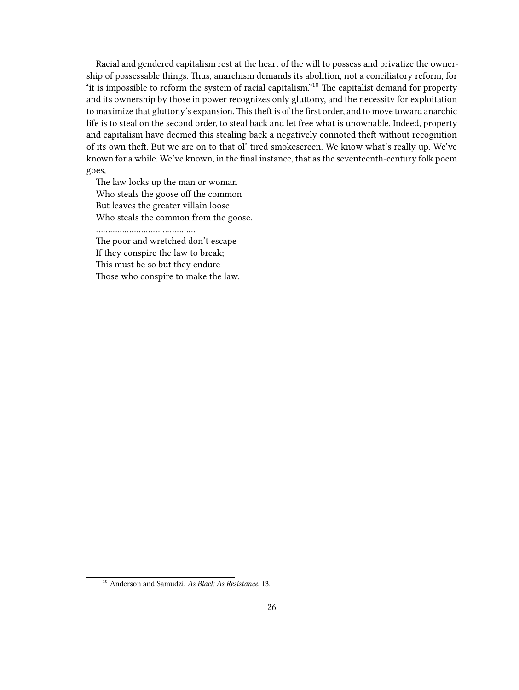Racial and gendered capitalism rest at the heart of the will to possess and privatize the ownership of possessable things. Thus, anarchism demands its abolition, not a conciliatory reform, for "it is impossible to reform the system of racial capitalism."<sup>10</sup> The capitalist demand for property and its ownership by those in power recognizes only gluttony, and the necessity for exploitation to maximize that gluttony's expansion.This theft is of the first order, and to move toward anarchic life is to steal on the second order, to steal back and let free what is unownable. Indeed, property and capitalism have deemed this stealing back a negatively connoted theft without recognition of its own theft. But we are on to that ol' tired smokescreen. We know what's really up. We've known for a while. We've known, in the final instance, that as the seventeenth-century folk poem goes,

The law locks up the man or woman Who steals the goose off the common But leaves the greater villain loose Who steals the common from the goose.

#### ……………………………………

The poor and wretched don't escape If they conspire the law to break; This must be so but they endure Those who conspire to make the law.

<sup>10</sup> Anderson and Samudzi, *As Black As Resistance*, 13.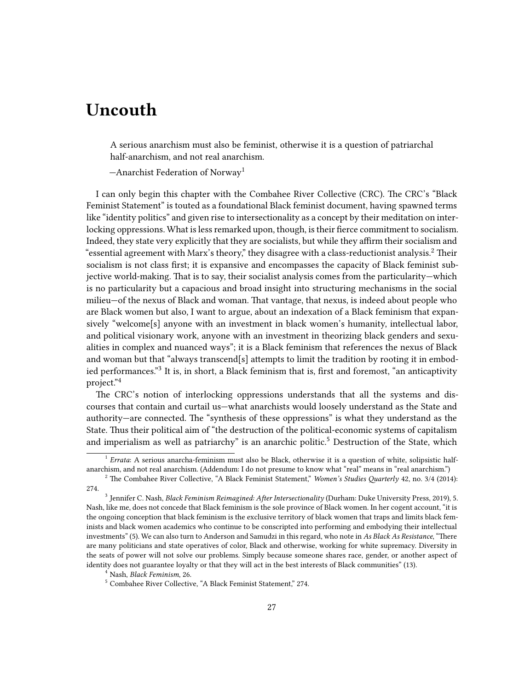#### <span id="page-26-0"></span>**Uncouth**

A serious anarchism must also be feminist, otherwise it is a question of patriarchal half-anarchism, and not real anarchism.

—Anarchist Federation of Norway<sup>1</sup>

I can only begin this chapter with the Combahee River Collective (CRC). The CRC's "Black Feminist Statement" is touted as a foundational Black feminist document, having spawned terms like "identity politics" and given rise to intersectionality as a concept by their meditation on interlocking oppressions. What is less remarked upon, though, is their fierce commitment to socialism. Indeed, they state very explicitly that they are socialists, but while they affirm their socialism and "essential agreement with Marx's theory," they disagree with a class-reductionist analysis.<sup>2</sup> Their socialism is not class first; it is expansive and encompasses the capacity of Black feminist subjective world-making. That is to say, their socialist analysis comes from the particularity—which is no particularity but a capacious and broad insight into structuring mechanisms in the social milieu—of the nexus of Black and woman. That vantage, that nexus, is indeed about people who are Black women but also, I want to argue, about an indexation of a Black feminism that expansively "welcome[s] anyone with an investment in black women's humanity, intellectual labor, and political visionary work, anyone with an investment in theorizing black genders and sexualities in complex and nuanced ways"; it is a Black feminism that references the nexus of Black and woman but that "always transcend[s] attempts to limit the tradition by rooting it in embodied performances."<sup>3</sup> It is, in short, a Black feminism that is, first and foremost, "an anticaptivity project."<sup>4</sup>

The CRC's notion of interlocking oppressions understands that all the systems and discourses that contain and curtail us—what anarchists would loosely understand as the State and authority—are connected. The "synthesis of these oppressions" is what they understand as the State. Thus their political aim of "the destruction of the political-economic systems of capitalism and imperialism as well as patriarchy" is an anarchic politic.<sup>5</sup> Destruction of the State, which

<sup>&</sup>lt;sup>1</sup> Errata: A serious anarcha-feminism must also be Black, otherwise it is a question of white, solipsistic halfanarchism, and not real anarchism. (Addendum: I do not presume to know what "real" means in "real anarchism.")

<sup>&</sup>lt;sup>2</sup> The Combahee River Collective, "A Black Feminist Statement," *Women's Studies Quarterly* 42, no. 3/4 (2014): 274.

<sup>3</sup> Jennifer C. Nash, *Black Feminism Reimagined: After Intersectionality* (Durham: Duke University Press, 2019), 5. Nash, like me, does not concede that Black feminism is the sole province of Black women. In her cogent account, "it is the ongoing conception that black feminism is the exclusive territory of black women that traps and limits black feminists and black women academics who continue to be conscripted into performing and embodying their intellectual investments" (5). We can also turn to Anderson and Samudzi in this regard, who note in *As Black As Resistance*, "There are many politicians and state operatives of color, Black and otherwise, working for white supremacy. Diversity in the seats of power will not solve our problems. Simply because someone shares race, gender, or another aspect of identity does not guarantee loyalty or that they will act in the best interests of Black communities" (13).

<sup>4</sup> Nash, *Black Feminism*, 26.

<sup>5</sup> Combahee River Collective, "A Black Feminist Statement," 274.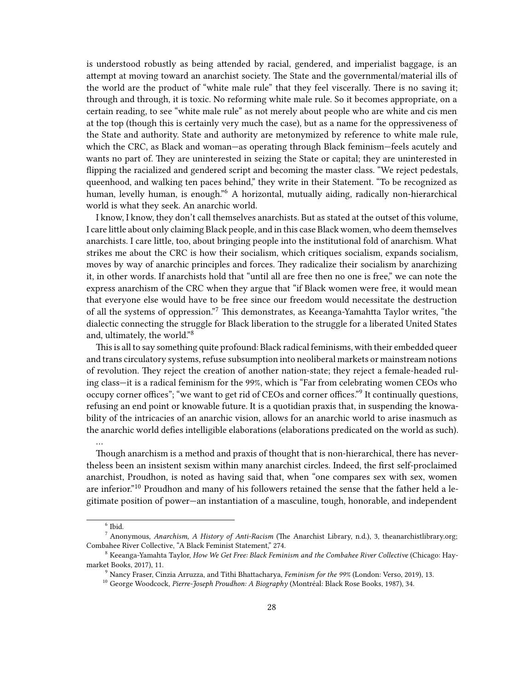is understood robustly as being attended by racial, gendered, and imperialist baggage, is an attempt at moving toward an anarchist society. The State and the governmental/material ills of the world are the product of "white male rule" that they feel viscerally. There is no saving it; through and through, it is toxic. No reforming white male rule. So it becomes appropriate, on a certain reading, to see "white male rule" as not merely about people who are white and cis men at the top (though this is certainly very much the case), but as a name for the oppressiveness of the State and authority. State and authority are metonymized by reference to white male rule, which the CRC, as Black and woman—as operating through Black feminism—feels acutely and wants no part of. They are uninterested in seizing the State or capital; they are uninterested in flipping the racialized and gendered script and becoming the master class. "We reject pedestals, queenhood, and walking ten paces behind," they write in their Statement. "To be recognized as human, levelly human, is enough."<sup>6</sup> A horizontal, mutually aiding, radically non-hierarchical world is what they seek. An anarchic world.

I know, I know, they don't call themselves anarchists. But as stated at the outset of this volume, I care little about only claiming Black people, and in this case Black women, who deem themselves anarchists. I care little, too, about bringing people into the institutional fold of anarchism. What strikes me about the CRC is how their socialism, which critiques socialism, expands socialism, moves by way of anarchic principles and forces. They radicalize their socialism by anarchizing it, in other words. If anarchists hold that "until all are free then no one is free," we can note the express anarchism of the CRC when they argue that "if Black women were free, it would mean that everyone else would have to be free since our freedom would necessitate the destruction of all the systems of oppression."<sup>7</sup> This demonstrates, as Keeanga-Yamahtta Taylor writes, "the dialectic connecting the struggle for Black liberation to the struggle for a liberated United States and, ultimately, the world."<sup>8</sup>

This is all to say something quite profound: Black radical feminisms, with their embedded queer and trans circulatory systems, refuse subsumption into neoliberal markets or mainstream notions of revolution. They reject the creation of another nation-state; they reject a female-headed ruling class—it is a radical feminism for the 99%, which is "Far from celebrating women CEOs who occupy corner offices"; "we want to get rid of CEOs and corner offices."<sup>9</sup> It continually questions, refusing an end point or knowable future. It is a quotidian praxis that, in suspending the knowability of the intricacies of an anarchic vision, allows for an anarchic world to arise inasmuch as the anarchic world defies intelligible elaborations (elaborations predicated on the world as such).

Though anarchism is a method and praxis of thought that is non-hierarchical, there has nevertheless been an insistent sexism within many anarchist circles. Indeed, the first self-proclaimed anarchist, Proudhon, is noted as having said that, when "one compares sex with sex, women are inferior."<sup>10</sup> Proudhon and many of his followers retained the sense that the father held a legitimate position of power—an instantiation of a masculine, tough, honorable, and independent

…

<sup>6</sup> Ibid.

<sup>7</sup> Anonymous, *Anarchism, A History of Anti-Racism* (The Anarchist Library, n.d.), 3, [theanarchistlibrary.org;](https://theanarchistlibrary.org/library/anonymous-anarchism-a-history-of-anti-racism) Combahee River Collective, "A Black Feminist Statement," 274.

<sup>8</sup> Keeanga-Yamahta Taylor, *How We Get Free: Black Feminism and the Combahee River Collective* (Chicago: Haymarket Books, 2017), 11.

<sup>9</sup> Nancy Fraser, Cinzia Arruzza, and Tithi Bhattacharya, *Feminism for the 99%* (London: Verso, 2019), 13.

<sup>10</sup> George Woodcock, *Pierre-Joseph Proudhon: A Biography* (Montréal: Black Rose Books, 1987), 34.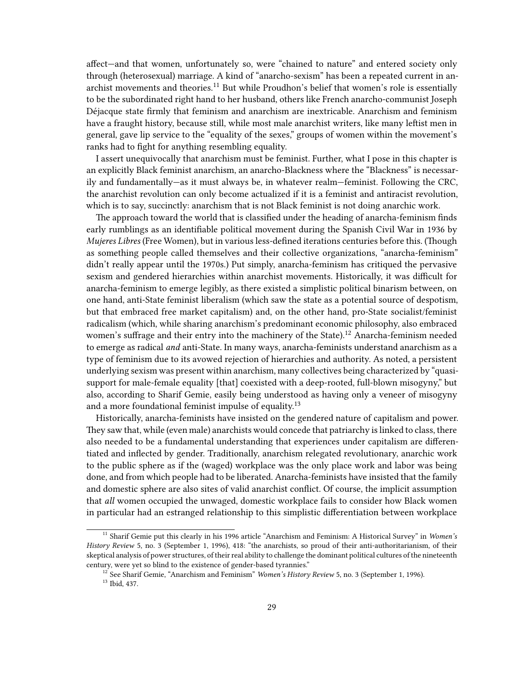affect—and that women, unfortunately so, were "chained to nature" and entered society only through (heterosexual) marriage. A kind of "anarcho-sexism" has been a repeated current in anarchist movements and theories.<sup>11</sup> But while Proudhon's belief that women's role is essentially to be the subordinated right hand to her husband, others like French anarcho-communist Joseph Déjacque state firmly that feminism and anarchism are inextricable. Anarchism and feminism have a fraught history, because still, while most male anarchist writers, like many leftist men in general, gave lip service to the "equality of the sexes," groups of women within the movement's ranks had to fight for anything resembling equality.

I assert unequivocally that anarchism must be feminist. Further, what I pose in this chapter is an explicitly Black feminist anarchism, an anarcho-Blackness where the "Blackness" is necessarily and fundamentally—as it must always be, in whatever realm—feminist. Following the CRC, the anarchist revolution can only become actualized if it is a feminist and antiracist revolution, which is to say, succinctly: anarchism that is not Black feminist is not doing anarchic work.

The approach toward the world that is classified under the heading of anarcha-feminism finds early rumblings as an identifiable political movement during the Spanish Civil War in 1936 by *Mujeres Libres* (Free Women), but in various less-defined iterations centuries before this. (Though as something people called themselves and their collective organizations, "anarcha-feminism" didn't really appear until the 1970s.) Put simply, anarcha-feminism has critiqued the pervasive sexism and gendered hierarchies within anarchist movements. Historically, it was difficult for anarcha-feminism to emerge legibly, as there existed a simplistic political binarism between, on one hand, anti-State feminist liberalism (which saw the state as a potential source of despotism, but that embraced free market capitalism) and, on the other hand, pro-State socialist/feminist radicalism (which, while sharing anarchism's predominant economic philosophy, also embraced women's suffrage and their entry into the machinery of the State).<sup>12</sup> Anarcha-feminism needed to emerge as radical *and* anti-State. In many ways, anarcha-feminists understand anarchism as a type of feminism due to its avowed rejection of hierarchies and authority. As noted, a persistent underlying sexism was present within anarchism, many collectives being characterized by "quasisupport for male-female equality [that] coexisted with a deep-rooted, full-blown misogyny," but also, according to Sharif Gemie, easily being understood as having only a veneer of misogyny and a more foundational feminist impulse of equality.<sup>13</sup>

Historically, anarcha-feminists have insisted on the gendered nature of capitalism and power. They saw that, while (even male) anarchists would concede that patriarchy is linked to class, there also needed to be a fundamental understanding that experiences under capitalism are differentiated and inflected by gender. Traditionally, anarchism relegated revolutionary, anarchic work to the public sphere as if the (waged) workplace was the only place work and labor was being done, and from which people had to be liberated. Anarcha-feminists have insisted that the family and domestic sphere are also sites of valid anarchist conflict. Of course, the implicit assumption that *all* women occupied the unwaged, domestic workplace fails to consider how Black women in particular had an estranged relationship to this simplistic differentiation between workplace

<sup>11</sup> Sharif Gemie put this clearly in his 1996 article "Anarchism and Feminism: A Historical Survey" in *Women's History Review* 5, no. 3 (September 1, 1996), 418: "the anarchists, so proud of their anti-authoritarianism, of their skeptical analysis of power structures, of their real ability to challenge the dominant political cultures of the nineteenth century, were yet so blind to the existence of gender-based tyrannies."

<sup>&</sup>lt;sup>12</sup> See Sharif Gemie, "Anarchism and Feminism" *Women's History Review* 5, no. 3 (September 1, 1996).

<sup>13</sup> Ibid, 437.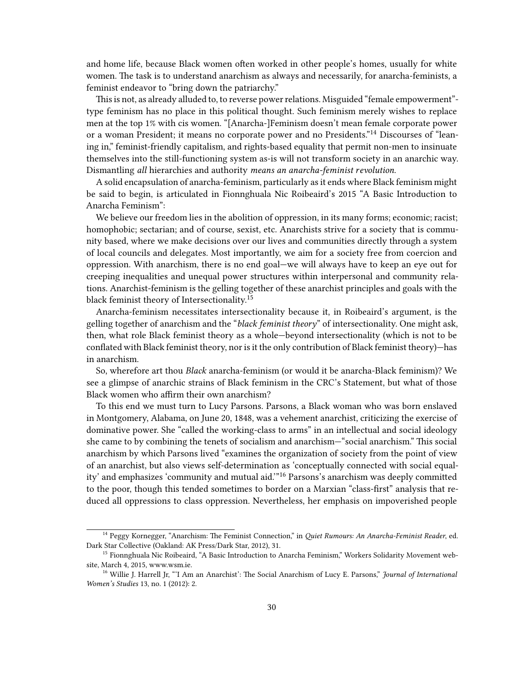and home life, because Black women often worked in other people's homes, usually for white women. The task is to understand anarchism as always and necessarily, for anarcha-feminists, a feminist endeavor to "bring down the patriarchy."

This is not, as already alluded to, to reverse power relations. Misguided "female empowerment" type feminism has no place in this political thought. Such feminism merely wishes to replace men at the top 1% with cis women. "[Anarcha-]Feminism doesn't mean female corporate power or a woman President; it means no corporate power and no Presidents."<sup>14</sup> Discourses of "leaning in," feminist-friendly capitalism, and rights-based equality that permit non-men to insinuate themselves into the still-functioning system as-is will not transform society in an anarchic way. Dismantling *all* hierarchies and authority *means an anarcha-feminist revolution*.

A solid encapsulation of anarcha-feminism, particularly as it ends where Black feminism might be said to begin, is articulated in Fionnghuala Nic Roibeaird's 2015 "A Basic Introduction to Anarcha Feminism":

We believe our freedom lies in the abolition of oppression, in its many forms; economic; racist; homophobic; sectarian; and of course, sexist, etc. Anarchists strive for a society that is community based, where we make decisions over our lives and communities directly through a system of local councils and delegates. Most importantly, we aim for a society free from coercion and oppression. With anarchism, there is no end goal—we will always have to keep an eye out for creeping inequalities and unequal power structures within interpersonal and community relations. Anarchist-feminism is the gelling together of these anarchist principles and goals with the black feminist theory of Intersectionality.<sup>15</sup>

Anarcha-feminism necessitates intersectionality because it, in Roibeaird's argument, is the gelling together of anarchism and the "*black feminist theory*" of intersectionality. One might ask, then, what role Black feminist theory as a whole—beyond intersectionality (which is not to be conflated with Black feminist theory, nor is it the only contribution of Black feminist theory)—has in anarchism.

So, wherefore art thou *Black* anarcha-feminism (or would it be anarcha-Black feminism)? We see a glimpse of anarchic strains of Black feminism in the CRC's Statement, but what of those Black women who affirm their own anarchism?

To this end we must turn to Lucy Parsons. Parsons, a Black woman who was born enslaved in Montgomery, Alabama, on June 20, 1848, was a vehement anarchist, criticizing the exercise of dominative power. She "called the working-class to arms" in an intellectual and social ideology she came to by combining the tenets of socialism and anarchism—"social anarchism." This social anarchism by which Parsons lived "examines the organization of society from the point of view of an anarchist, but also views self-determination as 'conceptually connected with social equality' and emphasizes 'community and mutual aid.'"<sup>16</sup> Parsons's anarchism was deeply committed to the poor, though this tended sometimes to border on a Marxian "class-first" analysis that reduced all oppressions to class oppression. Nevertheless, her emphasis on impoverished people

<sup>14</sup> Peggy Kornegger, "Anarchism: The Feminist Connection," in *Quiet Rumours: An Anarcha-Feminist Reader*, ed. Dark Star Collective (Oakland: AK Press/Dark Star, 2012), 31.

<sup>&</sup>lt;sup>15</sup> Fionnghuala Nic Roibeaird, "A Basic Introduction to Anarcha Feminism," Workers Solidarity Movement website, March 4, 2015, [www.wsm.ie.](http://www.wsm.ie/c/introduction-anarcha-feminism-anarchist)

<sup>16</sup> Willie J. Harrell Jr, "'I Am an Anarchist': The Social Anarchism of Lucy E. Parsons," *Journal of International Women's Studies* 13, no. 1 (2012): 2.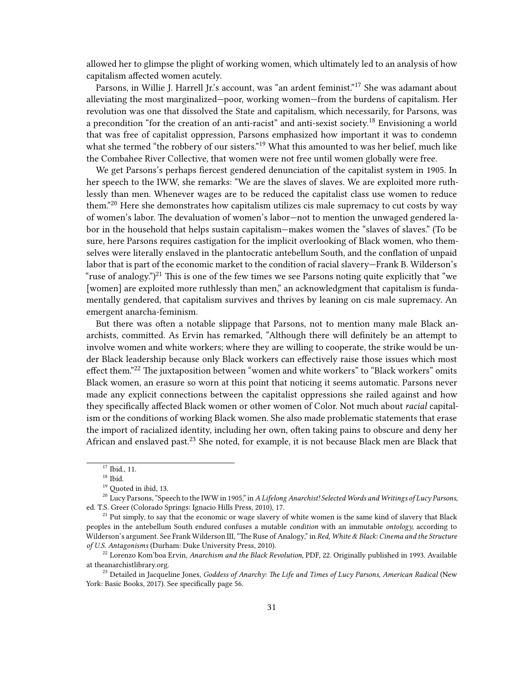allowed her to glimpse the plight of working women, which ultimately led to an analysis of how capitalism affected women acutely.

Parsons, in Willie J. Harrell Jr.'s account, was "an ardent feminist."<sup>17</sup> She was adamant about alleviating the most marginalized—poor, working women—from the burdens of capitalism. Her revolution was one that dissolved the State and capitalism, which necessarily, for Parsons, was a precondition "for the creation of an anti-racist" and anti-sexist society.<sup>18</sup> Envisioning a world that was free of capitalist oppression, Parsons emphasized how important it was to condemn what she termed "the robbery of our sisters."<sup>19</sup> What this amounted to was her belief, much like the Combahee River Collective, that women were not free until women globally were free.

We get Parsons's perhaps fiercest gendered denunciation of the capitalist system in 1905. In her speech to the IWW, she remarks: "We are the slaves of slaves. We are exploited more ruthlessly than men. Whenever wages are to be reduced the capitalist class use women to reduce them."<sup>20</sup> Here she demonstrates how capitalism utilizes cis male supremacy to cut costs by way of women's labor. The devaluation of women's labor—not to mention the unwaged gendered labor in the household that helps sustain capitalism—makes women the "slaves of slaves." (To be sure, here Parsons requires castigation for the implicit overlooking of Black women, who themselves were literally enslaved in the plantocratic antebellum South, and the conflation of unpaid labor that is part of the economic market to the condition of racial slavery—Frank B. Wilderson's "ruse of analogy.")<sup>21</sup> This is one of the few times we see Parsons noting quite explicitly that "we [women] are exploited more ruthlessly than men," an acknowledgment that capitalism is fundamentally gendered, that capitalism survives and thrives by leaning on cis male supremacy. An emergent anarcha-feminism.

But there was often a notable slippage that Parsons, not to mention many male Black anarchists, committed. As Ervin has remarked, "Although there will definitely be an attempt to involve women and white workers; where they are willing to cooperate, the strike would be under Black leadership because only Black workers can effectively raise those issues which most effect them."<sup>22</sup> The juxtaposition between "women and white workers" to "Black workers" omits Black women, an erasure so worn at this point that noticing it seems automatic. Parsons never made any explicit connections between the capitalist oppressions she railed against and how they specifically affected Black women or other women of Color. Not much about *racial* capitalism or the conditions of working Black women. She also made problematic statements that erase the import of racialized identity, including her own, often taking pains to obscure and deny her African and enslaved past.<sup>23</sup> She noted, for example, it is not because Black men are Black that

<sup>17</sup> Ibid., 11.

 $^{\rm 18}$  Ibid.

 $^{19}$  Quoted in ibid, 13.

<sup>20</sup> Lucy Parsons, "Speech to the IWW in 1905," in *A Lifelong Anarchist! Selected Words and Writings of Lucy Parsons*, ed. T.S. Greer (Colorado Springs: Ignacio Hills Press, 2010), 17.

<sup>&</sup>lt;sup>21</sup> Put simply, to say that the economic or wage slavery of white women is the same kind of slavery that Black peoples in the antebellum South endured confuses a mutable *condition* with an immutable *ontology,* according to Wilderson's argument. See Frank Wilderson III, "The Ruse of Analogy," in *Red, White & Black: Cinema and the Structure of U.S. Antagonisms* (Durham: Duke University Press, 2010).

<sup>22</sup> Lorenzo Kom'boa Ervin, *Anarchism and the Black Revolution*, PDF, 22. Originally published in 1993. Available at [theanarchistlibrary.org](http://theanarchistlibrary.org/library/lorenzo-kom-boa-ervin-anarchism-and-the-black-revolution).

<sup>23</sup> Detailed in Jacqueline Jones, *Goddess of Anarchy: The Life and Times of Lucy Parsons, American Radical* (New York: Basic Books, 2017). See specifically page 56.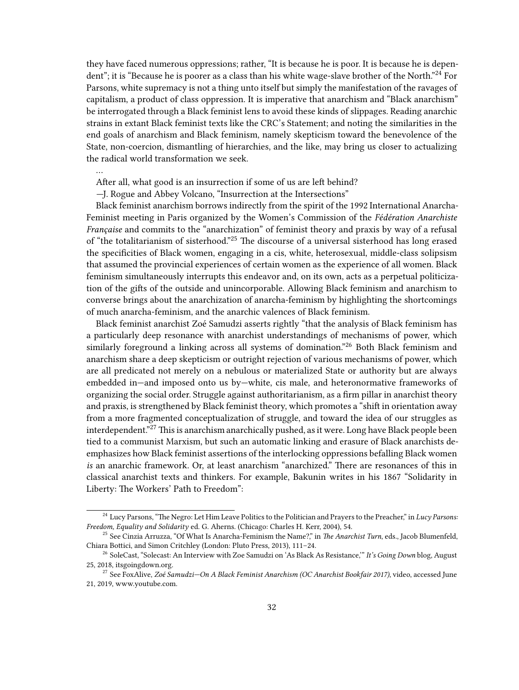they have faced numerous oppressions; rather, "It is because he is poor. It is because he is dependent"; it is "Because he is poorer as a class than his white wage-slave brother of the North."<sup>24</sup> For Parsons, white supremacy is not a thing unto itself but simply the manifestation of the ravages of capitalism, a product of class oppression. It is imperative that anarchism and "Black anarchism" be interrogated through a Black feminist lens to avoid these kinds of slippages. Reading anarchic strains in extant Black feminist texts like the CRC's Statement; and noting the similarities in the end goals of anarchism and Black feminism, namely skepticism toward the benevolence of the State, non-coercion, dismantling of hierarchies, and the like, may bring us closer to actualizing the radical world transformation we seek.

After all, what good is an insurrection if some of us are left behind?

*—*J. Rogue and Abbey Volcano, "Insurrection at the Intersections"

…

Black feminist anarchism borrows indirectly from the spirit of the 1992 International Anarcha-Feminist meeting in Paris organized by the Women's Commission of the *Fédération Anarchiste Française* and commits to the "anarchization" of feminist theory and praxis by way of a refusal of "the totalitarianism of sisterhood."<sup>25</sup> The discourse of a universal sisterhood has long erased the specificities of Black women, engaging in a cis, white, heterosexual, middle-class solipsism that assumed the provincial experiences of certain women as the experience of all women. Black feminism simultaneously interrupts this endeavor and, on its own, acts as a perpetual politicization of the gifts of the outside and unincorporable. Allowing Black feminism and anarchism to converse brings about the anarchization of anarcha-feminism by highlighting the shortcomings of much anarcha-feminism, and the anarchic valences of Black feminism.

Black feminist anarchist Zoé Samudzi asserts rightly "that the analysis of Black feminism has a particularly deep resonance with anarchist understandings of mechanisms of power, which similarly foreground a linking across all systems of domination."<sup>26</sup> Both Black feminism and anarchism share a deep skepticism or outright rejection of various mechanisms of power, which are all predicated not merely on a nebulous or materialized State or authority but are always embedded in—and imposed onto us by—white, cis male, and heteronormative frameworks of organizing the social order. Struggle against authoritarianism, as a firm pillar in anarchist theory and praxis, is strengthened by Black feminist theory, which promotes a "shift in orientation away from a more fragmented conceptualization of struggle, and toward the idea of our struggles as interdependent."<sup>27</sup> This is anarchism anarchically pushed, as it were. Long have Black people been tied to a communist Marxism, but such an automatic linking and erasure of Black anarchists deemphasizes how Black feminist assertions of the interlocking oppressions befalling Black women *is* an anarchic framework. Or, at least anarchism "anarchized." There are resonances of this in classical anarchist texts and thinkers. For example, Bakunin writes in his 1867 "Solidarity in Liberty: The Workers' Path to Freedom":

<sup>24</sup> Lucy Parsons, "The Negro: Let Him Leave Politics to the Politician and Prayers to the Preacher," in *Lucy Parsons: Freedom, Equality and Solidarity* ed. G. Aherns. (Chicago: Charles H. Kerr, 2004), 54.

<sup>25</sup> See Cinzia Arruzza, "Of What Is Anarcha-Feminism the Name?," in *The Anarchist Turn*, eds., Jacob Blumenfeld, Chiara Bottici, and Simon Critchley (London: Pluto Press, 2013), 111–24.

<sup>26</sup> SoleCast, "Solecast: An Interview with Zoe Samudzi on 'As Black As Resistance,'" *It's Going Down* blog, August 25, 2018, [itsgoingdown.org](https://itsgoingdown.org/solecast-an-interview-with-zoe-samudzi-on-as-black-as-resistance/).

<sup>27</sup> See FoxAlive, *Zoé Samudzi—On A Black Feminist Anarchism (OC Anarchist Bookfair 2017)*, video, accessed June 21, 2019, [www.youtube.com.](https://www.youtube.com/watch?v=F09BowIVEQo)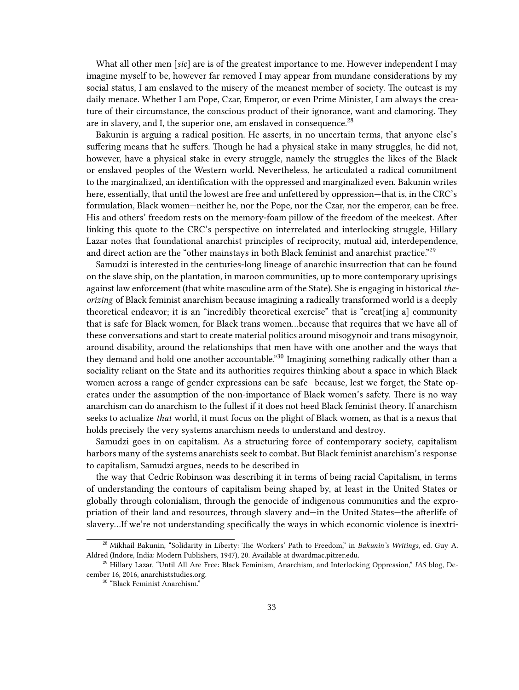What all other men [*sic*] are is of the greatest importance to me. However independent I may imagine myself to be, however far removed I may appear from mundane considerations by my social status, I am enslaved to the misery of the meanest member of society. The outcast is my daily menace. Whether I am Pope, Czar, Emperor, or even Prime Minister, I am always the creature of their circumstance, the conscious product of their ignorance, want and clamoring. They are in slavery, and I, the superior one, am enslaved in consequence. $^{28}$ 

Bakunin is arguing a radical position. He asserts, in no uncertain terms, that anyone else's suffering means that he suffers. Though he had a physical stake in many struggles, he did not, however, have a physical stake in every struggle, namely the struggles the likes of the Black or enslaved peoples of the Western world. Nevertheless, he articulated a radical commitment to the marginalized, an identification with the oppressed and marginalized even. Bakunin writes here, essentially, that until the lowest are free and unfettered by oppression—that is, in the CRC's formulation, Black women—neither he, nor the Pope, nor the Czar, nor the emperor, can be free. His and others' freedom rests on the memory-foam pillow of the freedom of the meekest. After linking this quote to the CRC's perspective on interrelated and interlocking struggle, Hillary Lazar notes that foundational anarchist principles of reciprocity, mutual aid, interdependence, and direct action are the "other mainstays in both Black feminist and anarchist practice."<sup>29</sup>

Samudzi is interested in the centuries-long lineage of anarchic insurrection that can be found on the slave ship, on the plantation, in maroon communities, up to more contemporary uprisings against law enforcement (that white masculine arm of the State). She is engaging in historical *theorizing* of Black feminist anarchism because imagining a radically transformed world is a deeply theoretical endeavor; it is an "incredibly theoretical exercise" that is "creat[ing a] community that is safe for Black women, for Black trans women…because that requires that we have all of these conversations and start to create material politics around misogynoir and trans misogynoir, around disability, around the relationships that men have with one another and the ways that they demand and hold one another accountable."<sup>30</sup> Imagining something radically other than a sociality reliant on the State and its authorities requires thinking about a space in which Black women across a range of gender expressions can be safe—because, lest we forget, the State operates under the assumption of the non-importance of Black women's safety. There is no way anarchism can do anarchism to the fullest if it does not heed Black feminist theory. If anarchism seeks to actualize *that* world, it must focus on the plight of Black women, as that is a nexus that holds precisely the very systems anarchism needs to understand and destroy.

Samudzi goes in on capitalism. As a structuring force of contemporary society, capitalism harbors many of the systems anarchists seek to combat. But Black feminist anarchism's response to capitalism, Samudzi argues, needs to be described in

the way that Cedric Robinson was describing it in terms of being racial Capitalism, in terms of understanding the contours of capitalism being shaped by, at least in the United States or globally through colonialism, through the genocide of indigenous communities and the expropriation of their land and resources, through slavery and—in the United States—the afterlife of slavery…If we're not understanding specifically the ways in which economic violence is inextri-

<sup>28</sup> Mikhail Bakunin, "Solidarity in Liberty: The Workers' Path to Freedom," in *Bakunin's Writings*, ed. Guy A. Aldred (Indore, India: Modern Publishers, 1947), 20. Available at [dwardmac.pitzer.edu](http://dwardmac.pitzer.edu/Anarchist_Archives/bakunin/writings/Bakliberty.html).

<sup>29</sup> Hillary Lazar, "Until All Are Free: Black Feminism, Anarchism, and Interlocking Oppression," *IAS* blog, December 16, 2016, [anarchiststudies.org](https://anarchiststudies.org/2016/12/15/until-all-are-free-black-feminism-anarchism-and-interlocking-oppression-by-hillary-lazar/).

<sup>30</sup> "Black Feminist Anarchism."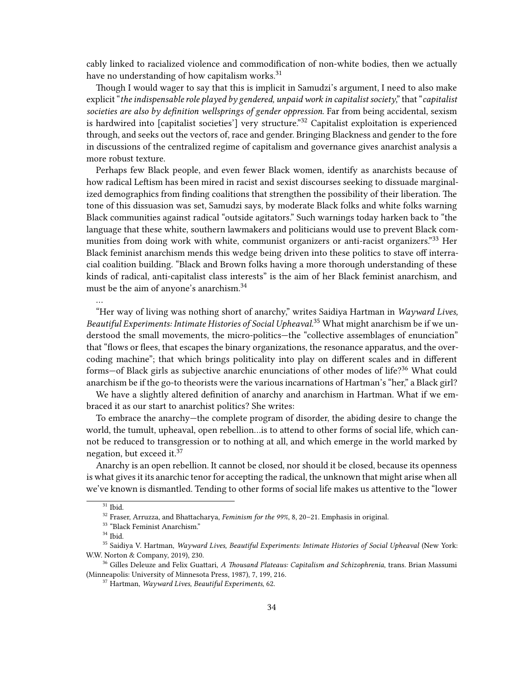cably linked to racialized violence and commodification of non-white bodies, then we actually have no understanding of how capitalism works.<sup>31</sup>

Though I would wager to say that this is implicit in Samudzi's argument, I need to also make explicit "*the indispensable role played by gendered, unpaid work in capitalist society*," that "*capitalist societies are also by definition wellsprings of gender oppression*. Far from being accidental, sexism is hardwired into [capitalist societies'] very structure."<sup>32</sup> Capitalist exploitation is experienced through, and seeks out the vectors of, race and gender. Bringing Blackness and gender to the fore in discussions of the centralized regime of capitalism and governance gives anarchist analysis a more robust texture.

Perhaps few Black people, and even fewer Black women, identify as anarchists because of how radical Leftism has been mired in racist and sexist discourses seeking to dissuade marginalized demographics from finding coalitions that strengthen the possibility of their liberation. The tone of this dissuasion was set, Samudzi says, by moderate Black folks and white folks warning Black communities against radical "outside agitators." Such warnings today harken back to "the language that these white, southern lawmakers and politicians would use to prevent Black communities from doing work with white, communist organizers or anti-racist organizers."<sup>33</sup> Her Black feminist anarchism mends this wedge being driven into these politics to stave off interracial coalition building. "Black and Brown folks having a more thorough understanding of these kinds of radical, anti-capitalist class interests" is the aim of her Black feminist anarchism, and must be the aim of anyone's anarchism.<sup>34</sup>

"Her way of living was nothing short of anarchy," writes Saidiya Hartman in *Wayward Lives, Beautiful Experiments: Intimate Histories of Social Upheaval.*<sup>35</sup> What might anarchism be if we understood the small movements, the micro-politics—the "collective assemblages of enunciation" that "flows or flees, that escapes the binary organizations, the resonance apparatus, and the overcoding machine"; that which brings politicality into play on different scales and in different forms—of Black girls as subjective anarchic enunciations of other modes of life?<sup>36</sup> What could anarchism be if the go-to theorists were the various incarnations of Hartman's "her," a Black girl?

We have a slightly altered definition of anarchy and anarchism in Hartman. What if we embraced it as our start to anarchist politics? She writes:

To embrace the anarchy—the complete program of disorder, the abiding desire to change the world, the tumult, upheaval, open rebellion…is to attend to other forms of social life, which cannot be reduced to transgression or to nothing at all, and which emerge in the world marked by negation, but exceed it.<sup>37</sup>

Anarchy is an open rebellion. It cannot be closed, nor should it be closed, because its openness is what gives it its anarchic tenor for accepting the radical, the unknown that might arise when all we've known is dismantled. Tending to other forms of social life makes us attentive to the "lower

…

 $31$  Ibid.

<sup>32</sup> Fraser, Arruzza, and Bhattacharya, *Feminism for the 99%*, 8, 20–21. Emphasis in original.

<sup>&</sup>lt;sup>33</sup> "Black Feminist Anarchism."

 $34$  Ibid.

<sup>35</sup> Saidiya V. Hartman, *Wayward Lives, Beautiful Experiments: Intimate Histories of Social Upheaval* (New York: W.W. Norton & Company, 2019), 230.

<sup>36</sup> Gilles Deleuze and Felix Guattari, *A Thousand Plateaus: Capitalism and Schizophrenia*, trans. Brian Massumi (Minneapolis: University of Minnesota Press, 1987), 7, 199, 216.

<sup>37</sup> Hartman, *Wayward Lives, Beautiful Experiments*, 62.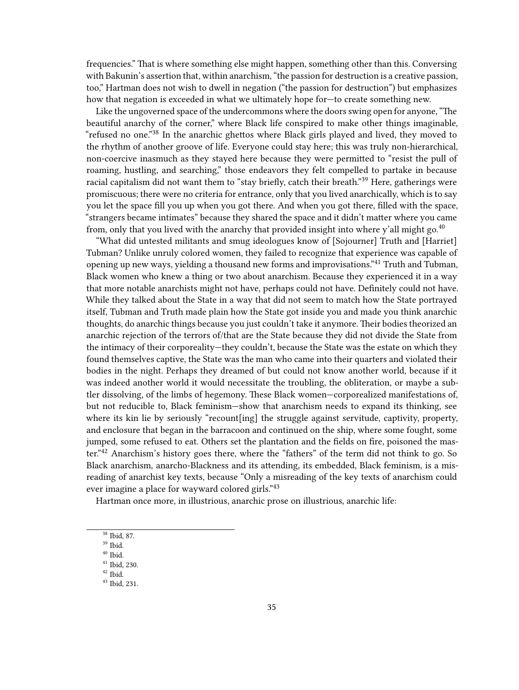frequencies." That is where something else might happen, something other than this. Conversing with Bakunin's assertion that, within anarchism, "the passion for destruction is a creative passion, too," Hartman does not wish to dwell in negation ("the passion for destruction") but emphasizes how that negation is exceeded in what we ultimately hope for—to create something new.

Like the ungoverned space of the undercommons where the doors swing open for anyone, "The beautiful anarchy of the corner," where Black life conspired to make other things imaginable, "refused no one."<sup>38</sup> In the anarchic ghettos where Black girls played and lived, they moved to the rhythm of another groove of life. Everyone could stay here; this was truly non-hierarchical, non-coercive inasmuch as they stayed here because they were permitted to "resist the pull of roaming, hustling, and searching," those endeavors they felt compelled to partake in because racial capitalism did not want them to "stay briefly, catch their breath."<sup>39</sup> Here, gatherings were promiscuous; there were no criteria for entrance, only that you lived anarchically, which is to say you let the space fill you up when you got there. And when you got there, filled with the space, "strangers became intimates" because they shared the space and it didn't matter where you came from, only that you lived with the anarchy that provided insight into where y'all might go.<sup>40</sup>

"What did untested militants and smug ideologues know of [Sojourner] Truth and [Harriet] Tubman? Unlike unruly colored women, they failed to recognize that experience was capable of opening up new ways, yielding a thousand new forms and improvisations."<sup>41</sup> Truth and Tubman, Black women who knew a thing or two about anarchism. Because they experienced it in a way that more notable anarchists might not have, perhaps could not have. Definitely could not have. While they talked about the State in a way that did not seem to match how the State portrayed itself, Tubman and Truth made plain how the State got inside you and made you think anarchic thoughts, do anarchic things because you just couldn't take it anymore. Their bodies theorized an anarchic rejection of the terrors of/that are the State because they did not divide the State from the intimacy of their corporeality—they couldn't, because the State was the estate on which they found themselves captive, the State was the man who came into their quarters and violated their bodies in the night. Perhaps they dreamed of but could not know another world, because if it was indeed another world it would necessitate the troubling, the obliteration, or maybe a subtler dissolving, of the limbs of hegemony. These Black women—corporealized manifestations of, but not reducible to, Black feminism—show that anarchism needs to expand its thinking, see where its kin lie by seriously "recount [ing] the struggle against servitude, captivity, property, and enclosure that began in the barracoon and continued on the ship, where some fought, some jumped, some refused to eat. Others set the plantation and the fields on fire, poisoned the master."<sup>42</sup> Anarchism's history goes there, where the "fathers" of the term did not think to go. So Black anarchism, anarcho-Blackness and its attending, its embedded, Black feminism, is a misreading of anarchist key texts, because "Only a misreading of the key texts of anarchism could ever imagine a place for wayward colored girls."<sup>43</sup>

Hartman once more, in illustrious, anarchic prose on illustrious, anarchic life:

 $\overline{38}$  Ibid, 87.

<sup>39</sup> Ibid.

 $^{40}$  Ibid.

<sup>41</sup> Ibid, 230.  $42$  Ibid.

<sup>43</sup> Ibid, 231.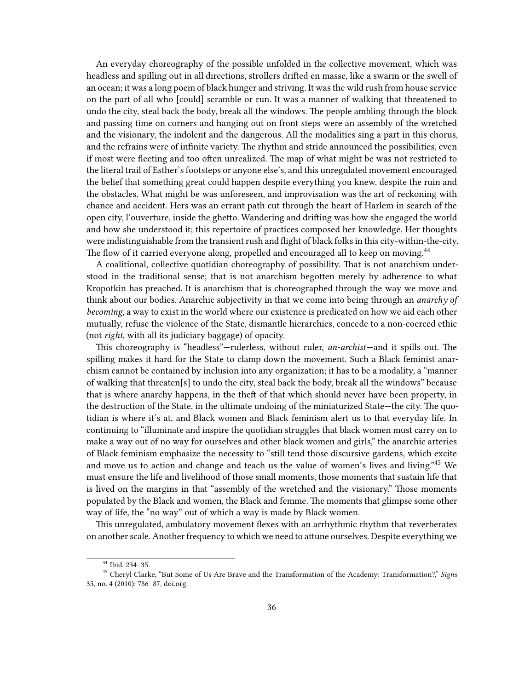An everyday choreography of the possible unfolded in the collective movement, which was headless and spilling out in all directions, strollers drifted en masse, like a swarm or the swell of an ocean; it was a long poem of black hunger and striving. It was the wild rush from house service on the part of all who [could] scramble or run. It was a manner of walking that threatened to undo the city, steal back the body, break all the windows. The people ambling through the block and passing time on corners and hanging out on front steps were an assembly of the wretched and the visionary, the indolent and the dangerous. All the modalities sing a part in this chorus, and the refrains were of infinite variety. The rhythm and stride announced the possibilities, even if most were fleeting and too often unrealized. The map of what might be was not restricted to the literal trail of Esther's footsteps or anyone else's, and this unregulated movement encouraged the belief that something great could happen despite everything you knew, despite the ruin and the obstacles. What might be was unforeseen, and improvisation was the art of reckoning with chance and accident. Hers was an errant path cut through the heart of Harlem in search of the open city, l'ouverture, inside the ghetto. Wandering and drifting was how she engaged the world and how she understood it; this repertoire of practices composed her knowledge. Her thoughts were indistinguishable from the transient rush and flight of black folks in this city-within-the-city. The flow of it carried everyone along, propelled and encouraged all to keep on moving.<sup>44</sup>

A coalitional, collective quotidian choreography of possibility. That is not anarchism understood in the traditional sense; that is not anarchism begotten merely by adherence to what Kropotkin has preached. It is anarchism that is choreographed through the way we move and think about our bodies. Anarchic subjectivity in that we come into being through an *anarchy of becoming*, a way to exist in the world where our existence is predicated on how we aid each other mutually, refuse the violence of the State, dismantle hierarchies, concede to a non-coerced ethic (not *right*, with all its judiciary baggage) of opacity.

This choreography is "headless"—rulerless, without ruler, *an-archist*—and it spills out. The spilling makes it hard for the State to clamp down the movement. Such a Black feminist anarchism cannot be contained by inclusion into any organization; it has to be a modality, a "manner of walking that threaten[s] to undo the city, steal back the body, break all the windows" because that is where anarchy happens, in the theft of that which should never have been property, in the destruction of the State, in the ultimate undoing of the miniaturized State—the city. The quotidian is where it's at, and Black women and Black feminism alert us to that everyday life. In continuing to "illuminate and inspire the quotidian struggles that black women must carry on to make a way out of no way for ourselves and other black women and girls," the anarchic arteries of Black feminism emphasize the necessity to "still tend those discursive gardens, which excite and move us to action and change and teach us the value of women's lives and living."<sup>45</sup> We must ensure the life and livelihood of those small moments, those moments that sustain life that is lived on the margins in that "assembly of the wretched and the visionary." Those moments populated by the Black and women, the Black and femme. The moments that glimpse some other way of life, the "no way" out of which a way is made by Black women.

This unregulated, ambulatory movement flexes with an arrhythmic rhythm that reverberates on another scale. Another frequency to which we need to attune ourselves. Despite everything we

<sup>44</sup> Ibid, 234–35.

<sup>45</sup> Cheryl Clarke, "But Some of Us Are Brave and the Transformation of the Academy: Transformation?," *Signs* 35, no. 4 (2010): 786–87, [doi.org.](https://doi.org/10.1086/651049)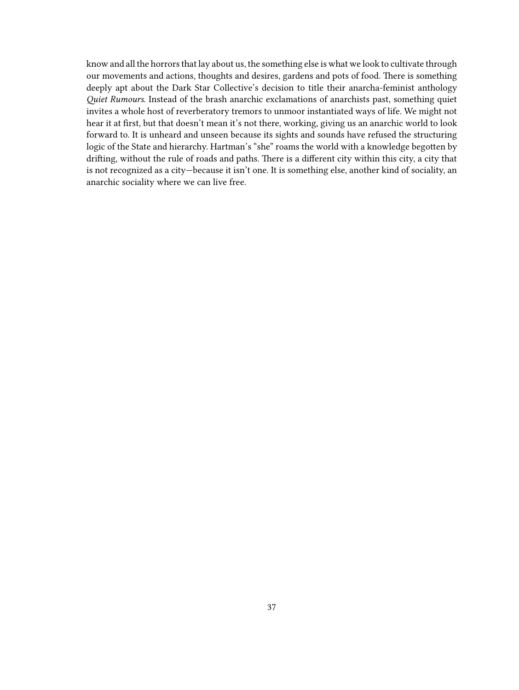know and all the horrors that lay about us, the something else is what we look to cultivate through our movements and actions, thoughts and desires, gardens and pots of food. There is something deeply apt about the Dark Star Collective's decision to title their anarcha-feminist anthology *Quiet Rumours*. Instead of the brash anarchic exclamations of anarchists past, something quiet invites a whole host of reverberatory tremors to unmoor instantiated ways of life. We might not hear it at first, but that doesn't mean it's not there, working, giving us an anarchic world to look forward to. It is unheard and unseen because its sights and sounds have refused the structuring logic of the State and hierarchy. Hartman's "she" roams the world with a knowledge begotten by drifting, without the rule of roads and paths. There is a different city within this city, a city that is not recognized as a city—because it isn't one. It is something else, another kind of sociality, an anarchic sociality where we can live free.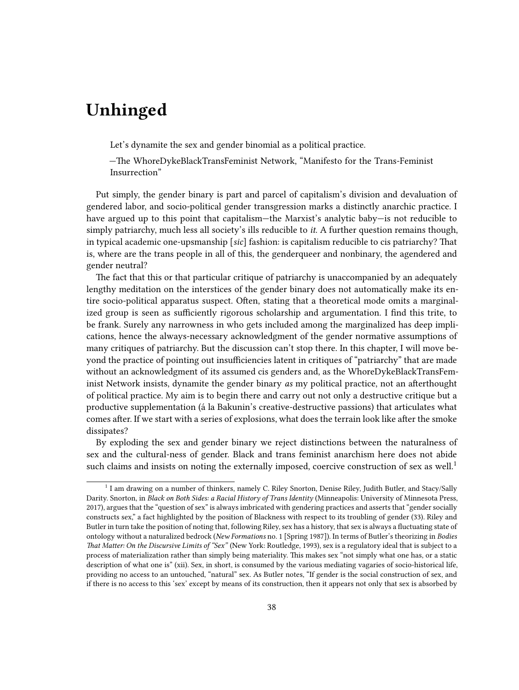## <span id="page-37-0"></span>**Unhinged**

Let's dynamite the sex and gender binomial as a political practice.

—The WhoreDykeBlackTransFeminist Network, "Manifesto for the Trans-Feminist Insurrection"

Put simply, the gender binary is part and parcel of capitalism's division and devaluation of gendered labor, and socio-political gender transgression marks a distinctly anarchic practice. I have argued up to this point that capitalism—the Marxist's analytic baby—is not reducible to simply patriarchy, much less all society's ills reducible to *it*. A further question remains though, in typical academic one-upsmanship [*sic*] fashion: is capitalism reducible to cis patriarchy? That is, where are the trans people in all of this, the genderqueer and nonbinary, the agendered and gender neutral?

The fact that this or that particular critique of patriarchy is unaccompanied by an adequately lengthy meditation on the interstices of the gender binary does not automatically make its entire socio-political apparatus suspect. Often, stating that a theoretical mode omits a marginalized group is seen as sufficiently rigorous scholarship and argumentation. I find this trite, to be frank. Surely any narrowness in who gets included among the marginalized has deep implications, hence the always-necessary acknowledgment of the gender normative assumptions of many critiques of patriarchy. But the discussion can't stop there. In this chapter, I will move beyond the practice of pointing out insufficiencies latent in critiques of "patriarchy" that are made without an acknowledgment of its assumed cis genders and, as the WhoreDykeBlackTransFeminist Network insists, dynamite the gender binary *as* my political practice, not an afterthought of political practice. My aim is to begin there and carry out not only a destructive critique but a productive supplementation (á la Bakunin's creative-destructive passions) that articulates what comes after. If we start with a series of explosions, what does the terrain look like after the smoke dissipates?

By exploding the sex and gender binary we reject distinctions between the naturalness of sex and the cultural-ness of gender. Black and trans feminist anarchism here does not abide such claims and insists on noting the externally imposed, coercive construction of sex as well.<sup>1</sup>

<sup>&</sup>lt;sup>1</sup> I am drawing on a number of thinkers, namely C. Riley Snorton, Denise Riley, Judith Butler, and Stacy/Sally Darity. Snorton, in *Black on Both Sides: a Racial History of Trans Identity* (Minneapolis: University of Minnesota Press, 2017), argues that the "question of sex" is always imbricated with gendering practices and asserts that "gender socially constructs sex," a fact highlighted by the position of Blackness with respect to its troubling of gender (33). Riley and Butler in turn take the position of noting that, following Riley, sex has a history, that sex is always a fluctuating state of ontology without a naturalized bedrock (*New Formations* no. 1 [Spring 1987]). In terms of Butler's theorizing in *Bodies That Matter: On the Discursive Limits of "Sex"* (New York: Routledge, 1993), sex is a regulatory ideal that is subject to a process of materialization rather than simply being materiality. This makes sex "not simply what one has, or a static description of what one is" (xii). Sex, in short, is consumed by the various mediating vagaries of socio-historical life, providing no access to an untouched, "natural" sex. As Butler notes, "If gender is the social construction of sex, and if there is no access to this 'sex' except by means of its construction, then it appears not only that sex is absorbed by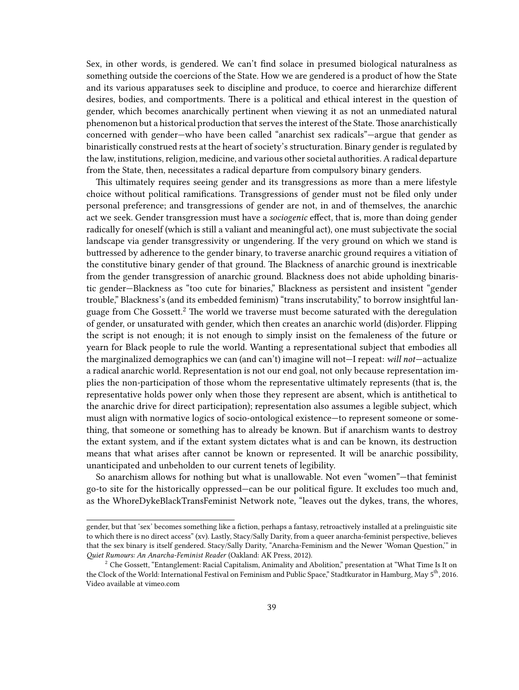Sex, in other words, is gendered. We can't find solace in presumed biological naturalness as something outside the coercions of the State. How we are gendered is a product of how the State and its various apparatuses seek to discipline and produce, to coerce and hierarchize different desires, bodies, and comportments. There is a political and ethical interest in the question of gender, which becomes anarchically pertinent when viewing it as not an unmediated natural phenomenon but a historical production that serves the interest of the State.Those anarchistically concerned with gender—who have been called "anarchist sex radicals"—argue that gender as binaristically construed rests at the heart of society's structuration. Binary gender is regulated by the law, institutions, religion, medicine, and various other societal authorities. A radical departure from the State, then, necessitates a radical departure from compulsory binary genders.

This ultimately requires seeing gender and its transgressions as more than a mere lifestyle choice without political ramifications. Transgressions of gender must not be filed only under personal preference; and transgressions of gender are not, in and of themselves, the anarchic act we seek. Gender transgression must have a *sociogenic* effect, that is, more than doing gender radically for oneself (which is still a valiant and meaningful act), one must subjectivate the social landscape via gender transgressivity or ungendering. If the very ground on which we stand is buttressed by adherence to the gender binary, to traverse anarchic ground requires a vitiation of the constitutive binary gender of that ground. The Blackness of anarchic ground is inextricable from the gender transgression of anarchic ground. Blackness does not abide upholding binaristic gender—Blackness as "too cute for binaries," Blackness as persistent and insistent "gender trouble," Blackness's (and its embedded feminism) "trans inscrutability," to borrow insightful language from Che Gossett.<sup>2</sup> The world we traverse must become saturated with the deregulation of gender, or unsaturated with gender, which then creates an anarchic world (dis)order. Flipping the script is not enough; it is not enough to simply insist on the femaleness of the future or yearn for Black people to rule the world. Wanting a representational subject that embodies all the marginalized demographics we can (and can't) imagine will not—I repeat: *will not*—actualize a radical anarchic world. Representation is not our end goal, not only because representation implies the non-participation of those whom the representative ultimately represents (that is, the representative holds power only when those they represent are absent, which is antithetical to the anarchic drive for direct participation); representation also assumes a legible subject, which must align with normative logics of socio-ontological existence—to represent someone or something, that someone or something has to already be known. But if anarchism wants to destroy the extant system, and if the extant system dictates what is and can be known, its destruction means that what arises after cannot be known or represented. It will be anarchic possibility, unanticipated and unbeholden to our current tenets of legibility.

So anarchism allows for nothing but what is unallowable. Not even "women"—that feminist go-to site for the historically oppressed—can be our political figure. It excludes too much and, as the WhoreDykeBlackTransFeminist Network note, "leaves out the dykes, trans, the whores,

gender, but that 'sex' becomes something like a fiction, perhaps a fantasy, retroactively installed at a prelinguistic site to which there is no direct access" (xv). Lastly, Stacy/Sally Darity, from a queer anarcha-feminist perspective, believes that the sex binary is itself gendered. Stacy/Sally Darity, "Anarcha-Feminism and the Newer 'Woman Question,'" in *Quiet Rumours: An Anarcha-Feminist Reader* (Oakland: AK Press, 2012).

<sup>2</sup> Che Gossett, "Entanglement: Racial Capitalism, Animality and Abolition," presentation at "What Time Is It on the Clock of the World: International Festival on Feminism and Public Space," Stadtkurator in Hamburg, May 5<sup>th</sup>, 2016. Video available at [vimeo.com](https://vimeo.com/173366659)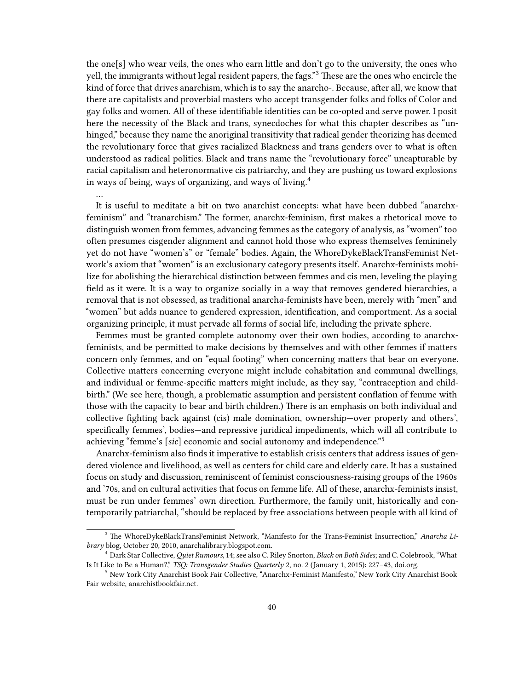the one[s] who wear veils, the ones who earn little and don't go to the university, the ones who yell, the immigrants without legal resident papers, the fags."<sup>3</sup> These are the ones who encircle the kind of force that drives anarchism, which is to say the anarcho-. Because, after all, we know that there are capitalists and proverbial masters who accept transgender folks and folks of Color and gay folks and women. All of these identifiable identities can be co-opted and serve power. I posit here the necessity of the Black and trans, synecdoches for what this chapter describes as "unhinged," because they name the anoriginal transitivity that radical gender theorizing has deemed the revolutionary force that gives racialized Blackness and trans genders over to what is often understood as radical politics. Black and trans name the "revolutionary force" uncapturable by racial capitalism and heteronormative cis patriarchy, and they are pushing us toward explosions in ways of being, ways of organizing, and ways of living.<sup>4</sup>

…

It is useful to meditate a bit on two anarchist concepts: what have been dubbed "anarchxfeminism" and "tranarchism." The former, anarchx-feminism, first makes a rhetorical move to distinguish women from femmes, advancing femmes as the category of analysis, as "women" too often presumes cisgender alignment and cannot hold those who express themselves femininely yet do not have "women's" or "female" bodies. Again, the WhoreDykeBlackTransFeminist Network's axiom that "women" is an exclusionary category presents itself. Anarchx-feminists mobilize for abolishing the hierarchical distinction between femmes and cis men, leveling the playing field as it were. It is a way to organize socially in a way that removes gendered hierarchies, a removal that is not obsessed, as traditional anarch*a*-feminists have been, merely with "men" and "women" but adds nuance to gendered expression, identification, and comportment. As a social organizing principle, it must pervade all forms of social life, including the private sphere.

Femmes must be granted complete autonomy over their own bodies, according to anarchxfeminists, and be permitted to make decisions by themselves and with other femmes if matters concern only femmes, and on "equal footing" when concerning matters that bear on everyone. Collective matters concerning everyone might include cohabitation and communal dwellings, and individual or femme-specific matters might include, as they say, "contraception and childbirth." (We see here, though, a problematic assumption and persistent conflation of femme with those with the capacity to bear and birth children.) There is an emphasis on both individual and collective fighting back against (cis) male domination, ownership—over property and others', specifically femmes', bodies—and repressive juridical impediments, which will all contribute to achieving "femme's [*sic*] economic and social autonomy and independence."<sup>5</sup>

Anarchx-feminism also finds it imperative to establish crisis centers that address issues of gendered violence and livelihood, as well as centers for child care and elderly care. It has a sustained focus on study and discussion, reminiscent of feminist consciousness-raising groups of the 1960s and '70s, and on cultural activities that focus on femme life. All of these, anarchx-feminists insist, must be run under femmes' own direction. Furthermore, the family unit, historically and contemporarily patriarchal, "should be replaced by free associations between people with all kind of

<sup>3</sup> The WhoreDykeBlackTransFeminist Network, "Manifesto for the Trans-Feminist Insurrection," *Anarcha Library* blog, October 20, 2010, [anarchalibrary.blogspot.com.](http://anarchalibrary.blogspot.com/2010/10/manifesto-for-trans-feminist.html)

<sup>4</sup> Dark Star Collective,*Quiet Rumours*, 14; see also C. Riley Snorton, *Black on Both Sides*; and C. Colebrook, "What Is It Like to Be a Human?," *TSQ: Transgender Studies Quarterly* 2, no. 2 (January 1, 2015): 227–43, [doi.org.](https://doi.org/10.1215/23289252-2867472)

<sup>5</sup> New York City Anarchist Book Fair Collective, "Anarchx-Feminist Manifesto," New York City Anarchist Book Fair website, [anarchistbookfair.net](https://anarchistbookfair.net/anarchx-feminist-manifesto/).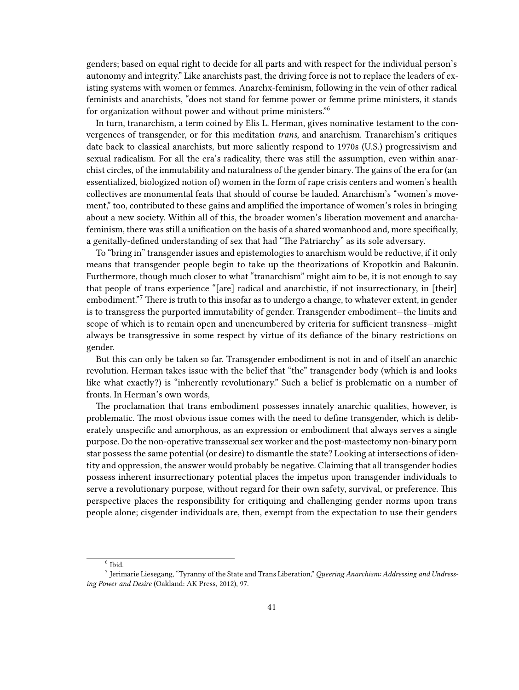genders; based on equal right to decide for all parts and with respect for the individual person's autonomy and integrity." Like anarchists past, the driving force is not to replace the leaders of existing systems with women or femmes. Anarchx-feminism, following in the vein of other radical feminists and anarchists, "does not stand for femme power or femme prime ministers, it stands for organization without power and without prime ministers."<sup>6</sup>

In turn, tranarchism, a term coined by Elis L. Herman, gives nominative testament to the convergences of transgender, or for this meditation *trans*, and anarchism. Tranarchism's critiques date back to classical anarchists, but more saliently respond to 1970s (U.S.) progressivism and sexual radicalism. For all the era's radicality, there was still the assumption, even within anarchist circles, of the immutability and naturalness of the gender binary. The gains of the era for (an essentialized, biologized notion of) women in the form of rape crisis centers and women's health collectives are monumental feats that should of course be lauded. Anarchism's "women's movement," too, contributed to these gains and amplified the importance of women's roles in bringing about a new society. Within all of this, the broader women's liberation movement and anarchafeminism, there was still a unification on the basis of a shared womanhood and, more specifically, a genitally-defined understanding of sex that had "The Patriarchy" as its sole adversary.

To "bring in" transgender issues and epistemologies to anarchism would be reductive, if it only means that transgender people begin to take up the theorizations of Kropotkin and Bakunin. Furthermore, though much closer to what "tranarchism" might aim to be, it is not enough to say that people of trans experience "[are] radical and anarchistic, if not insurrectionary, in [their] embodiment."<sup>7</sup> There is truth to this insofar as to undergo a change, to whatever extent, in gender is to transgress the purported immutability of gender. Transgender embodiment—the limits and scope of which is to remain open and unencumbered by criteria for sufficient transness—might always be transgressive in some respect by virtue of its defiance of the binary restrictions on gender.

But this can only be taken so far. Transgender embodiment is not in and of itself an anarchic revolution. Herman takes issue with the belief that "the" transgender body (which is and looks like what exactly?) is "inherently revolutionary." Such a belief is problematic on a number of fronts. In Herman's own words,

The proclamation that trans embodiment possesses innately anarchic qualities, however, is problematic. The most obvious issue comes with the need to define transgender, which is deliberately unspecific and amorphous, as an expression or embodiment that always serves a single purpose. Do the non-operative transsexual sex worker and the post-mastectomy non-binary porn star possess the same potential (or desire) to dismantle the state? Looking at intersections of identity and oppression, the answer would probably be negative. Claiming that all transgender bodies possess inherent insurrectionary potential places the impetus upon transgender individuals to serve a revolutionary purpose, without regard for their own safety, survival, or preference. This perspective places the responsibility for critiquing and challenging gender norms upon trans people alone; cisgender individuals are, then, exempt from the expectation to use their genders

<sup>6</sup> Ibid.

<sup>7</sup> Jerimarie Liesegang, "Tyranny of the State and Trans Liberation,"*Queering Anarchism: Addressing and Undressing Power and Desire* (Oakland: AK Press, 2012), 97.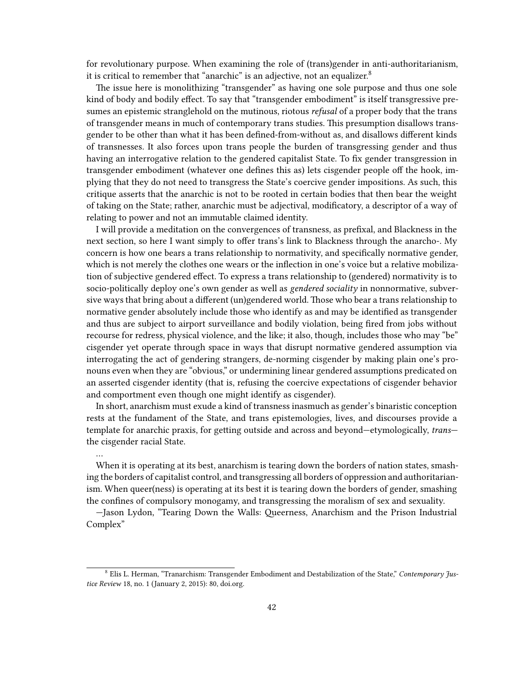for revolutionary purpose. When examining the role of (trans)gender in anti-authoritarianism, it is critical to remember that "anarchic" is an adjective, not an equalizer.<sup>8</sup>

The issue here is monolithizing "transgender" as having one sole purpose and thus one sole kind of body and bodily effect. To say that "transgender embodiment" is itself transgressive presumes an epistemic stranglehold on the mutinous, riotous *refusal* of a proper body that the trans of transgender means in much of contemporary trans studies. This presumption disallows transgender to be other than what it has been defined-from-without as, and disallows different kinds of transnesses. It also forces upon trans people the burden of transgressing gender and thus having an interrogative relation to the gendered capitalist State. To fix gender transgression in transgender embodiment (whatever one defines this as) lets cisgender people off the hook, implying that they do not need to transgress the State's coercive gender impositions. As such, this critique asserts that the anarchic is not to be rooted in certain bodies that then bear the weight of taking on the State; rather, anarchic must be adjectival, modificatory, a descriptor of a way of relating to power and not an immutable claimed identity.

I will provide a meditation on the convergences of transness, as prefixal, and Blackness in the next section, so here I want simply to offer trans's link to Blackness through the anarcho-. My concern is how one bears a trans relationship to normativity, and specifically normative gender, which is not merely the clothes one wears or the inflection in one's voice but a relative mobilization of subjective gendered effect. To express a trans relationship to (gendered) normativity is to socio-politically deploy one's own gender as well as *gendered sociality* in nonnormative, subversive ways that bring about a different (un)gendered world. Those who bear a trans relationship to normative gender absolutely include those who identify as and may be identified as transgender and thus are subject to airport surveillance and bodily violation, being fired from jobs without recourse for redress, physical violence, and the like; it also, though, includes those who may "be" cisgender yet operate through space in ways that disrupt normative gendered assumption via interrogating the act of gendering strangers, de-norming cisgender by making plain one's pronouns even when they are "obvious," or undermining linear gendered assumptions predicated on an asserted cisgender identity (that is, refusing the coercive expectations of cisgender behavior and comportment even though one might identify as cisgender).

In short, anarchism must exude a kind of transness inasmuch as gender's binaristic conception rests at the fundament of the State, and trans epistemologies, lives, and discourses provide a template for anarchic praxis, for getting outside and across and beyond—etymologically, *trans* the cisgender racial State.

…

When it is operating at its best, anarchism is tearing down the borders of nation states, smashing the borders of capitalist control, and transgressing all borders of oppression and authoritarianism. When queer(ness) is operating at its best it is tearing down the borders of gender, smashing the confines of compulsory monogamy, and transgressing the moralism of sex and sexuality.

—Jason Lydon, "Tearing Down the Walls: Queerness, Anarchism and the Prison Industrial Complex"

<sup>8</sup> Elis L. Herman, "Tranarchism: Transgender Embodiment and Destabilization of the State," *Contemporary Justice Review* 18, no. 1 (January 2, 2015): 80, [doi.org.](https://doi.org/10.1080/10282580.2015.1008946)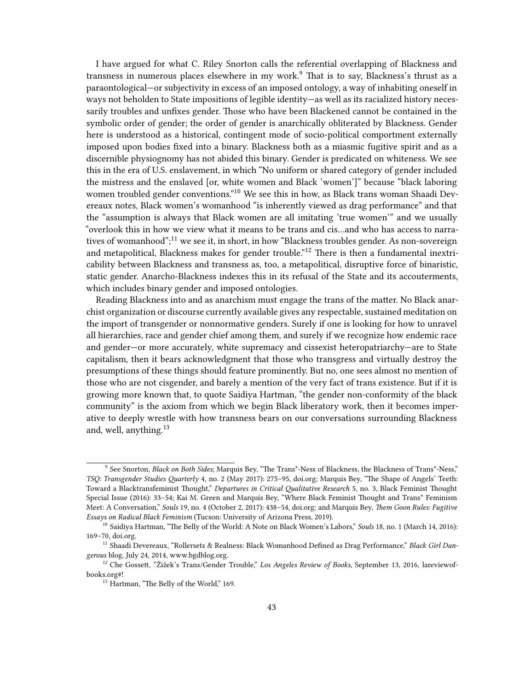I have argued for what C. Riley Snorton calls the referential overlapping of Blackness and transness in numerous places elsewhere in my work.<sup>9</sup> That is to say, Blackness's thrust as a paraontological—or subjectivity in excess of an imposed ontology, a way of inhabiting oneself in ways not beholden to State impositions of legible identity—as well as its racialized history necessarily troubles and unfixes gender. Those who have been Blackened cannot be contained in the symbolic order of gender; the order of gender is anarchically obliterated by Blackness. Gender here is understood as a historical, contingent mode of socio-political comportment externally imposed upon bodies fixed into a binary. Blackness both as a miasmic fugitive spirit and as a discernible physiognomy has not abided this binary. Gender is predicated on whiteness. We see this in the era of U.S. enslavement, in which "No uniform or shared category of gender included the mistress and the enslaved [or, white women and Black 'women']" because "black laboring women troubled gender conventions."<sup>10</sup> We see this in how, as Black trans woman Shaadi Devereaux notes, Black women's womanhood "is inherently viewed as drag performance" and that the "assumption is always that Black women are all imitating 'true women'" and we usually "overlook this in how we view what it means to be trans and cis…and who has access to narratives of womanhood";<sup>11</sup> we see it, in short, in how "Blackness troubles gender. As non-sovereign and metapolitical, Blackness makes for gender trouble."<sup>12</sup> There is then a fundamental inextricability between Blackness and transness as, too, a metapolitical, disruptive force of binaristic, static gender. Anarcho-Blackness indexes this in its refusal of the State and its accouterments, which includes binary gender and imposed ontologies.

Reading Blackness into and as anarchism must engage the trans of the matter. No Black anarchist organization or discourse currently available gives any respectable, sustained meditation on the import of transgender or nonnormative genders. Surely if one is looking for how to unravel all hierarchies, race and gender chief among them, and surely if we recognize how endemic race and gender—or more accurately, white supremacy and cissexist heteropatriarchy—are to State capitalism, then it bears acknowledgment that those who transgress and virtually destroy the presumptions of these things should feature prominently. But no, one sees almost no mention of those who are not cisgender, and barely a mention of the very fact of trans existence. But if it is growing more known that, to quote Saidiya Hartman, "the gender non-conformity of the black community" is the axiom from which we begin Black liberatory work, then it becomes imperative to deeply wrestle with how transness bears on our conversations surrounding Blackness and, well, anything.<sup>13</sup>

<sup>9</sup> See Snorton, *Black on Both Sides*; Marquis Bey, "The Trans\*-Ness of Blackness, the Blackness of Trans\*-Ness," *TSQ: Transgender Studies Quarterly* 4, no. 2 (May 2017): 275–95, [doi.org](https://doi.org/10.1215/23289252-3815069); Marquis Bey, "The Shape of Angels' Teeth: Toward a Blacktransfeminist Thought," *Departures in Critical Qualitative Research* 5, no. 3, Black Feminist Thought Special Issue (2016): 33–54; Kai M. Green and Marquis Bey, "Where Black Feminist Thought and Trans\* Feminism Meet: A Conversation," *Souls* 19, no. 4 (October 2, 2017): 438–54, [doi.org;](https://doi.org/10.1080/10999949.2018.1434365) and Marquis Bey, *Them Goon Rules: Fugitive Essays on Radical Black Feminism* (Tucson: University of Arizona Press, 2019).

<sup>&</sup>lt;sup>10</sup> Saidiya Hartman, "The Belly of the World: A Note on Black Women's Labors," *Souls* 18, no. 1 (March 14, 2016): 169–70, [doi.org.](https://doi.org/10.1080/10999949.2016.1162596)

<sup>&</sup>lt;sup>11</sup> Shaadi Devereaux, "Rollersets & Realness: Black Womanhood Defined as Drag Performance," Black Girl Dan*gerous* blog, July 24, 2014, [www.bgdblog.org](https://www.bgdblog.org/2014/07/rollersets-realness-black-womanhood-defined-drag-performance/).

<sup>12</sup> Che Gossett, "Žižek's Trans/Gender Trouble," *Los Angeles Review of Books*, September 13, 2016, [lareviewof](https://lareviewofbooks.org/article/zizeks-transgender-trouble/)[books.org](https://lareviewofbooks.org/article/zizeks-transgender-trouble/)#!

<sup>&</sup>lt;sup>13</sup> Hartman, "The Belly of the World," 169.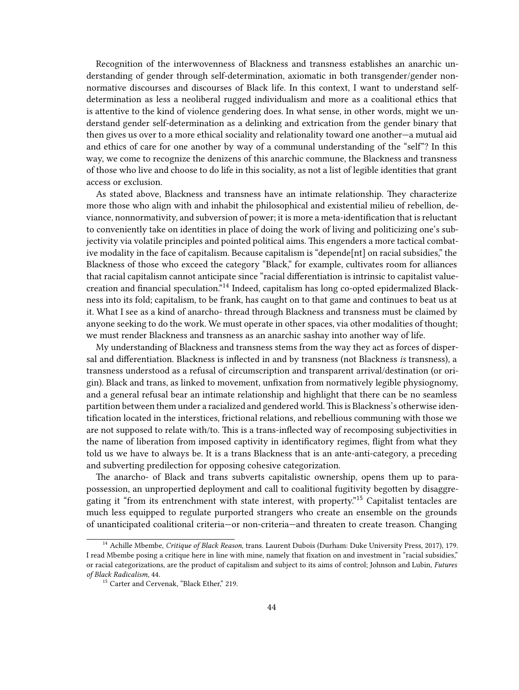Recognition of the interwovenness of Blackness and transness establishes an anarchic understanding of gender through self-determination, axiomatic in both transgender/gender nonnormative discourses and discourses of Black life. In this context, I want to understand selfdetermination as less a neoliberal rugged individualism and more as a coalitional ethics that is attentive to the kind of violence gendering does. In what sense, in other words, might we understand gender self-determination as a delinking and extrication from the gender binary that then gives us over to a more ethical sociality and relationality toward one another—a mutual aid and ethics of care for one another by way of a communal understanding of the "self"? In this way, we come to recognize the denizens of this anarchic commune, the Blackness and transness of those who live and choose to do life in this sociality, as not a list of legible identities that grant access or exclusion.

As stated above, Blackness and transness have an intimate relationship. They characterize more those who align with and inhabit the philosophical and existential milieu of rebellion, deviance, nonnormativity, and subversion of power; it is more a meta-identification that is reluctant to conveniently take on identities in place of doing the work of living and politicizing one's subjectivity via volatile principles and pointed political aims. This engenders a more tactical combative modality in the face of capitalism. Because capitalism is "depende[nt] on racial subsidies," the Blackness of those who exceed the category "Black," for example, cultivates room for alliances that racial capitalism cannot anticipate since "racial differentiation is intrinsic to capitalist valuecreation and financial speculation."<sup>14</sup> Indeed, capitalism has long co-opted epidermalized Blackness into its fold; capitalism, to be frank, has caught on to that game and continues to beat us at it. What I see as a kind of anarcho- thread through Blackness and transness must be claimed by anyone seeking to do the work. We must operate in other spaces, via other modalities of thought; we must render Blackness and transness as an anarchic sashay into another way of life.

My understanding of Blackness and transness stems from the way they act as forces of dispersal and differentiation. Blackness is inflected in and by transness (not Blackness *is* transness), a transness understood as a refusal of circumscription and transparent arrival/destination (or origin). Black and trans, as linked to movement, unfixation from normatively legible physiognomy, and a general refusal bear an intimate relationship and highlight that there can be no seamless partition between them under a racialized and gendered world. This is Blackness's otherwise identification located in the interstices, frictional relations, and rebellious communing with those we are not supposed to relate with/to. This is a trans-inflected way of recomposing subjectivities in the name of liberation from imposed captivity in identificatory regimes, flight from what they told us we have to always be. It is a trans Blackness that is an ante-anti-category, a preceding and subverting predilection for opposing cohesive categorization.

The anarcho- of Black and trans subverts capitalistic ownership, opens them up to parapossession, an unpropertied deployment and call to coalitional fugitivity begotten by disaggregating it "from its entrenchment with state interest, with property."<sup>15</sup> Capitalist tentacles are much less equipped to regulate purported strangers who create an ensemble on the grounds of unanticipated coalitional criteria—or non-criteria—and threaten to create treason. Changing

<sup>14</sup> Achille Mbembe, *Critique of Black Reason*, trans. Laurent Dubois (Durham: Duke University Press, 2017), 179. I read Mbembe posing a critique here in line with mine, namely that fixation on and investment in "racial subsidies," or racial categorizations, are the product of capitalism and subject to its aims of control; Johnson and Lubin, *Futures of Black Radicalism*, 44.

<sup>&</sup>lt;sup>15</sup> Carter and Cervenak, "Black Ether," 219.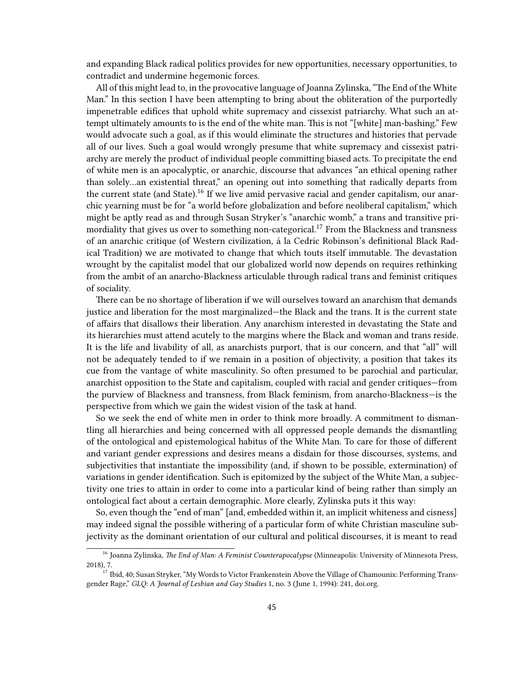and expanding Black radical politics provides for new opportunities, necessary opportunities, to contradict and undermine hegemonic forces.

All of this might lead to, in the provocative language of Joanna Zylinska, "The End of the White Man." In this section I have been attempting to bring about the obliteration of the purportedly impenetrable edifices that uphold white supremacy and cissexist patriarchy. What such an attempt ultimately amounts to is the end of the white man. This is not "[white] man-bashing." Few would advocate such a goal, as if this would eliminate the structures and histories that pervade all of our lives. Such a goal would wrongly presume that white supremacy and cissexist patriarchy are merely the product of individual people committing biased acts. To precipitate the end of white men is an apocalyptic, or anarchic, discourse that advances "an ethical opening rather than solely…an existential threat," an opening out into something that radically departs from the current state (and State).<sup>16</sup> If we live amid pervasive racial and gender capitalism, our anarchic yearning must be for "a world before globalization and before neoliberal capitalism," which might be aptly read as and through Susan Stryker's "anarchic womb," a trans and transitive primordiality that gives us over to something non-categorical.<sup>17</sup> From the Blackness and transness of an anarchic critique (of Western civilization, á la Cedric Robinson's definitional Black Radical Tradition) we are motivated to change that which touts itself immutable. The devastation wrought by the capitalist model that our globalized world now depends on requires rethinking from the ambit of an anarcho-Blackness articulable through radical trans and feminist critiques of sociality.

There can be no shortage of liberation if we will ourselves toward an anarchism that demands justice and liberation for the most marginalized—the Black and the trans. It is the current state of affairs that disallows their liberation. Any anarchism interested in devastating the State and its hierarchies must attend acutely to the margins where the Black and woman and trans reside. It is the life and livability of all, as anarchists purport, that is our concern, and that "all" will not be adequately tended to if we remain in a position of objectivity, a position that takes its cue from the vantage of white masculinity. So often presumed to be parochial and particular, anarchist opposition to the State and capitalism, coupled with racial and gender critiques—from the purview of Blackness and transness, from Black feminism, from anarcho-Blackness—is the perspective from which we gain the widest vision of the task at hand.

So we seek the end of white men in order to think more broadly. A commitment to dismantling all hierarchies and being concerned with all oppressed people demands the dismantling of the ontological and epistemological habitus of the White Man. To care for those of different and variant gender expressions and desires means a disdain for those discourses, systems, and subjectivities that instantiate the impossibility (and, if shown to be possible, extermination) of variations in gender identification. Such is epitomized by the subject of the White Man, a subjectivity one tries to attain in order to come into a particular kind of being rather than simply an ontological fact about a certain demographic. More clearly, Zylinska puts it this way:

So, even though the "end of man" [and, embedded within it, an implicit whiteness and cisness] may indeed signal the possible withering of a particular form of white Christian masculine subjectivity as the dominant orientation of our cultural and political discourses, it is meant to read

<sup>16</sup> Joanna Zylinska, *The End of Man: A Feminist Counterapocalypse* (Minneapolis: University of Minnesota Press, 2018), 7.

<sup>&</sup>lt;sup>17</sup> Ibid, 40; Susan Stryker, "My Words to Victor Frankenstein Above the Village of Chamounix: Performing Transgender Rage," *GLQ: A Journal of Lesbian and Gay Studies* 1, no. 3 (June 1, 1994): 241, [doi.org.](https://doi.org/10.1215/10642684-1-3-237)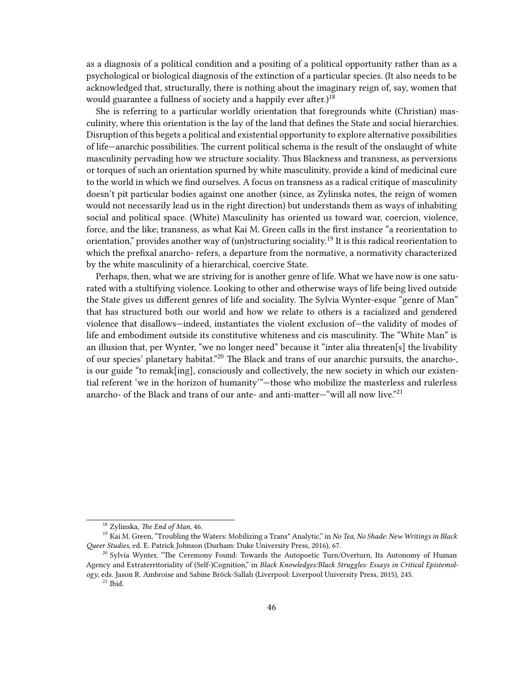as a diagnosis of a political condition and a positing of a political opportunity rather than as a psychological or biological diagnosis of the extinction of a particular species. (It also needs to be acknowledged that, structurally, there is nothing about the imaginary reign of, say, women that would guarantee a fullness of society and a happily ever after.)<sup>18</sup>

She is referring to a particular worldly orientation that foregrounds white (Christian) masculinity, where this orientation is the lay of the land that defines the State and social hierarchies. Disruption of this begets a political and existential opportunity to explore alternative possibilities of life—anarchic possibilities. The current political schema is the result of the onslaught of white masculinity pervading how we structure sociality. Thus Blackness and transness, as perversions or torques of such an orientation spurned by white masculinity, provide a kind of medicinal cure to the world in which we find ourselves. A focus on transness as a radical critique of masculinity doesn't pit particular bodies against one another (since, as Zylinska notes, the reign of women would not necessarily lead us in the right direction) but understands them as ways of inhabiting social and political space. (White) Masculinity has oriented us toward war, coercion, violence, force, and the like; transness, as what Kai M. Green calls in the first instance "a reorientation to orientation," provides another way of (un)structuring sociality.<sup>19</sup> It is this radical reorientation to which the prefixal anarcho- refers, a departure from the normative, a normativity characterized by the white masculinity of a hierarchical, coercive State.

Perhaps, then, what we are striving for is another genre of life. What we have now is one saturated with a stultifying violence. Looking to other and otherwise ways of life being lived outside the State gives us different genres of life and sociality. The Sylvia Wynter-esque "genre of Man" that has structured both our world and how we relate to others is a racialized and gendered violence that disallows—indeed, instantiates the violent exclusion of—the validity of modes of life and embodiment outside its constitutive whiteness and cis masculinity. The "White Man" is an illusion that, per Wynter, "we no longer need" because it "inter alia threaten[s] the livability of our species' planetary habitat."<sup>20</sup> The Black and trans of our anarchic pursuits, the anarcho-, is our guide "to remak[ing], consciously and collectively, the new society in which our existential referent 'we in the horizon of humanity'"—those who mobilize the masterless and rulerless anarcho- of the Black and trans of our ante- and anti-matter—"will all now live."<sup>21</sup>

<sup>18</sup> Zylinska, *The End of Man*, 46.

<sup>19</sup> Kai M. Green, "Troubling the Waters: Mobilizing a Trans\* Analytic," in *No Tea, No Shade: New Writings in Black Queer Studies*, ed. E. Patrick Johnson (Durham: Duke University Press, 2016), 67.

<sup>&</sup>lt;sup>20</sup> Sylvia Wynter, "The Ceremony Found: Towards the Autopoetic Turn/Overturn, Its Autonomy of Human Agency and Extraterritoriality of (Self-)Cognition," in *Black Knowledges/Black Struggles: Essays in Critical Epistemology*, eds. Jason R. Ambroise and Sabine Bröck-Sallah (Liverpool: Liverpool University Press, 2015), 245.

 $21$  Ibid.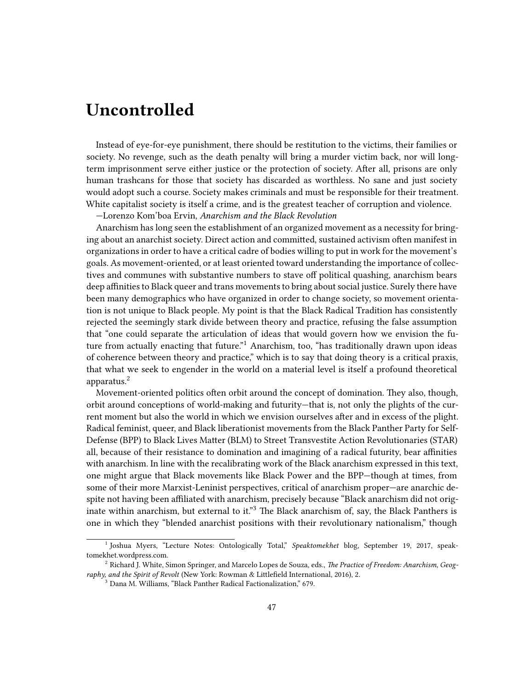#### <span id="page-46-0"></span>**Uncontrolled**

Instead of eye-for-eye punishment, there should be restitution to the victims, their families or society. No revenge, such as the death penalty will bring a murder victim back, nor will longterm imprisonment serve either justice or the protection of society. After all, prisons are only human trashcans for those that society has discarded as worthless. No sane and just society would adopt such a course. Society makes criminals and must be responsible for their treatment. White capitalist society is itself a crime, and is the greatest teacher of corruption and violence.

—Lorenzo Kom'boa Ervin, *Anarchism and the Black Revolution*

Anarchism has long seen the establishment of an organized movement as a necessity for bringing about an anarchist society. Direct action and committed, sustained activism often manifest in organizations in order to have a critical cadre of bodies willing to put in work for the movement's goals. As movement-oriented, or at least oriented toward understanding the importance of collectives and communes with substantive numbers to stave off political quashing, anarchism bears deep affinities to Black queer and trans movements to bring about social justice. Surely there have been many demographics who have organized in order to change society, so movement orientation is not unique to Black people. My point is that the Black Radical Tradition has consistently rejected the seemingly stark divide between theory and practice, refusing the false assumption that "one could separate the articulation of ideas that would govern how we envision the future from actually enacting that future."<sup>1</sup> Anarchism, too, "has traditionally drawn upon ideas of coherence between theory and practice," which is to say that doing theory is a critical praxis, that what we seek to engender in the world on a material level is itself a profound theoretical apparatus.<sup>2</sup>

Movement-oriented politics often orbit around the concept of domination. They also, though, orbit around conceptions of world-making and futurity—that is, not only the plights of the current moment but also the world in which we envision ourselves after and in excess of the plight. Radical feminist, queer, and Black liberationist movements from the Black Panther Party for Self-Defense (BPP) to Black Lives Matter (BLM) to Street Transvestite Action Revolutionaries (STAR) all, because of their resistance to domination and imagining of a radical futurity, bear affinities with anarchism. In line with the recalibrating work of the Black anarchism expressed in this text, one might argue that Black movements like Black Power and the BPP—though at times, from some of their more Marxist-Leninist perspectives, critical of anarchism proper—are anarchic despite not having been affiliated with anarchism, precisely because "Black anarchism did not originate within anarchism, but external to it."<sup>3</sup> The Black anarchism of, say, the Black Panthers is one in which they "blended anarchist positions with their revolutionary nationalism," though

<sup>1</sup> Joshua Myers, "Lecture Notes: Ontologically Total," *Speaktomekhet* blog, September 19, 2017, [speak](https://speaktomekhet.wordpress.com/2017/09/19/lecture-notes-ontologically-total/)[tomekhet.wordpress.com](https://speaktomekhet.wordpress.com/2017/09/19/lecture-notes-ontologically-total/).

<sup>2</sup> Richard J. White, Simon Springer, and Marcelo Lopes de Souza, eds., *The Practice of Freedom: Anarchism, Geography, and the Spirit of Revolt* (New York: Rowman & Littlefield International, 2016), 2.

<sup>3</sup> Dana M. Williams, "Black Panther Radical Factionalization," 679.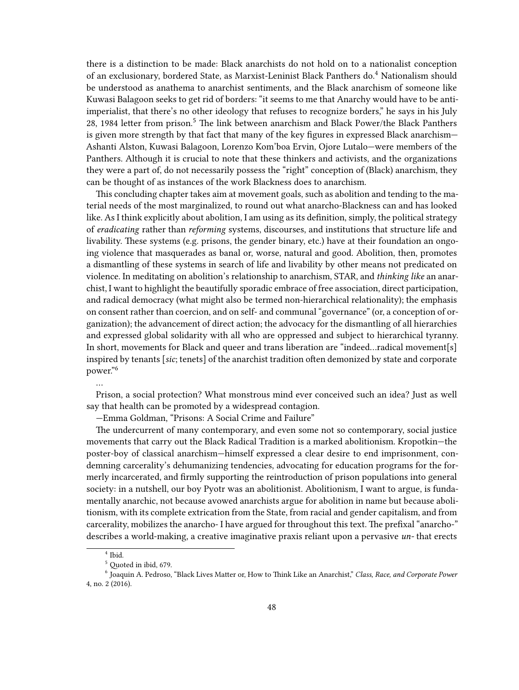there is a distinction to be made: Black anarchists do not hold on to a nationalist conception of an exclusionary, bordered State, as Marxist-Leninist Black Panthers do.<sup>4</sup> Nationalism should be understood as anathema to anarchist sentiments, and the Black anarchism of someone like Kuwasi Balagoon seeks to get rid of borders: "it seems to me that Anarchy would have to be antiimperialist, that there's no other ideology that refuses to recognize borders," he says in his July 28, 1984 letter from prison.<sup>5</sup> The link between anarchism and Black Power/the Black Panthers is given more strength by that fact that many of the key figures in expressed Black anarchism— Ashanti Alston, Kuwasi Balagoon, Lorenzo Kom'boa Ervin, Ojore Lutalo—were members of the Panthers. Although it is crucial to note that these thinkers and activists, and the organizations they were a part of, do not necessarily possess the "right" conception of (Black) anarchism, they can be thought of as instances of the work Blackness does to anarchism.

This concluding chapter takes aim at movement goals, such as abolition and tending to the material needs of the most marginalized, to round out what anarcho-Blackness can and has looked like. As I think explicitly about abolition, I am using as its definition, simply, the political strategy of *eradicating* rather than *reforming* systems, discourses, and institutions that structure life and livability. These systems (e.g. prisons, the gender binary, etc.) have at their foundation an ongoing violence that masquerades as banal or, worse, natural and good. Abolition, then, promotes a dismantling of these systems in search of life and livability by other means not predicated on violence. In meditating on abolition's relationship to anarchism, STAR, and *thinking like* an anarchist, I want to highlight the beautifully sporadic embrace of free association, direct participation, and radical democracy (what might also be termed non-hierarchical relationality); the emphasis on consent rather than coercion, and on self- and communal "governance" (or, a conception of organization); the advancement of direct action; the advocacy for the dismantling of all hierarchies and expressed global solidarity with all who are oppressed and subject to hierarchical tyranny. In short, movements for Black and queer and trans liberation are "indeed…radical movement[s] inspired by tenants [*sic*; tenets] of the anarchist tradition often demonized by state and corporate power."<sup>6</sup>

…

Prison, a social protection? What monstrous mind ever conceived such an idea? Just as well say that health can be promoted by a widespread contagion.

—Emma Goldman, "Prisons: A Social Crime and Failure"

The undercurrent of many contemporary, and even some not so contemporary, social justice movements that carry out the Black Radical Tradition is a marked abolitionism. Kropotkin—the poster-boy of classical anarchism—himself expressed a clear desire to end imprisonment, condemning carcerality's dehumanizing tendencies, advocating for education programs for the formerly incarcerated, and firmly supporting the reintroduction of prison populations into general society: in a nutshell, our boy Pyotr was an abolitionist. Abolitionism, I want to argue, is fundamentally anarchic, not because avowed anarchists argue for abolition in name but because abolitionism, with its complete extrication from the State, from racial and gender capitalism, and from carcerality, mobilizes the anarcho- I have argued for throughout this text. The prefixal "anarcho-" describes a world-making, a creative imaginative praxis reliant upon a pervasive *un-* that erects

<sup>4</sup> Ibid.

<sup>5</sup> Quoted in ibid, 679.

<sup>6</sup> Joaquin A. Pedroso, "Black Lives Matter or, How to Think Like an Anarchist," *Class, Race, and Corporate Power* 4, no. 2 (2016).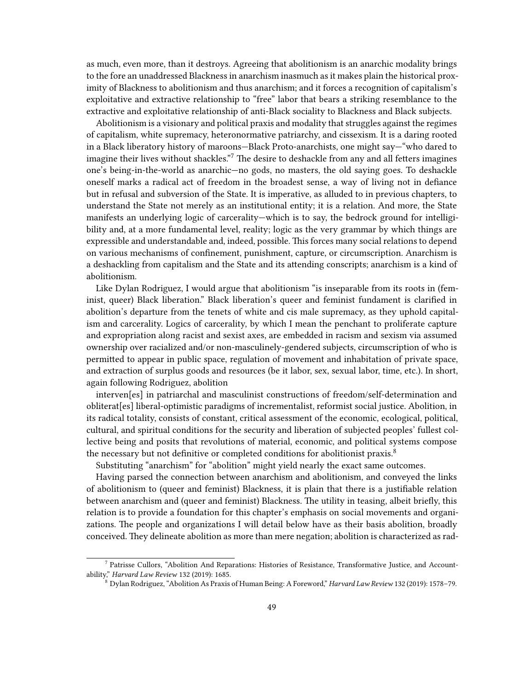as much, even more, than it destroys. Agreeing that abolitionism is an anarchic modality brings to the fore an unaddressed Blackness in anarchism inasmuch as it makes plain the historical proximity of Blackness to abolitionism and thus anarchism; and it forces a recognition of capitalism's exploitative and extractive relationship to "free" labor that bears a striking resemblance to the extractive and exploitative relationship of anti-Black sociality to Blackness and Black subjects.

Abolitionism is a visionary and political praxis and modality that struggles against the regimes of capitalism, white supremacy, heteronormative patriarchy, and cissexism. It is a daring rooted in a Black liberatory history of maroons—Black Proto-anarchists, one might say—"who dared to imagine their lives without shackles."<sup>7</sup> The desire to deshackle from any and all fetters imagines one's being-in-the-world as anarchic—no gods, no masters, the old saying goes. To deshackle oneself marks a radical act of freedom in the broadest sense, a way of living not in defiance but in refusal and subversion of the State. It is imperative, as alluded to in previous chapters, to understand the State not merely as an institutional entity; it is a relation. And more, the State manifests an underlying logic of carcerality—which is to say, the bedrock ground for intelligibility and, at a more fundamental level, reality; logic as the very grammar by which things are expressible and understandable and, indeed, possible. This forces many social relations to depend on various mechanisms of confinement, punishment, capture, or circumscription. Anarchism is a deshackling from capitalism and the State and its attending conscripts; anarchism is a kind of abolitionism.

Like Dylan Rodriguez, I would argue that abolitionism "is inseparable from its roots in (feminist, queer) Black liberation." Black liberation's queer and feminist fundament is clarified in abolition's departure from the tenets of white and cis male supremacy, as they uphold capitalism and carcerality. Logics of carcerality, by which I mean the penchant to proliferate capture and expropriation along racist and sexist axes, are embedded in racism and sexism via assumed ownership over racialized and/or non-masculinely-gendered subjects, circumscription of who is permitted to appear in public space, regulation of movement and inhabitation of private space, and extraction of surplus goods and resources (be it labor, sex, sexual labor, time, etc.). In short, again following Rodriguez, abolition

interven[es] in patriarchal and masculinist constructions of freedom/self-determination and obliterat[es] liberal-optimistic paradigms of incrementalist, reformist social justice. Abolition, in its radical totality, consists of constant, critical assessment of the economic, ecological, political, cultural, and spiritual conditions for the security and liberation of subjected peoples' fullest collective being and posits that revolutions of material, economic, and political systems compose the necessary but not definitive or completed conditions for abolitionist praxis.<sup>8</sup>

Substituting "anarchism" for "abolition" might yield nearly the exact same outcomes.

Having parsed the connection between anarchism and abolitionism, and conveyed the links of abolitionism to (queer and feminist) Blackness, it is plain that there is a justifiable relation between anarchism and (queer and feminist) Blackness. The utility in teasing, albeit briefly, this relation is to provide a foundation for this chapter's emphasis on social movements and organizations. The people and organizations I will detail below have as their basis abolition, broadly conceived. They delineate abolition as more than mere negation; abolition is characterized as rad-

<sup>7</sup> Patrisse Cullors, "Abolition And Reparations: Histories of Resistance, Transformative Justice, and Accountability," *Harvard Law Review* 132 (2019): 1685.

<sup>8</sup> Dylan Rodriguez, "Abolition As Praxis of Human Being: A Foreword," *Harvard Law Review* 132 (2019): 1578–79.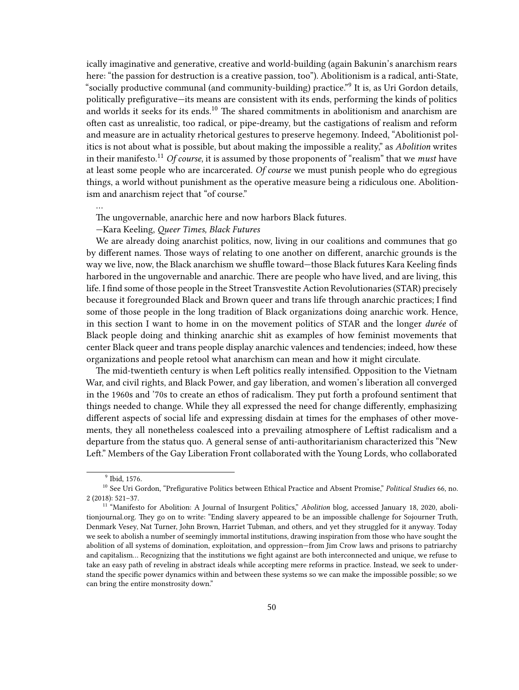ically imaginative and generative, creative and world-building (again Bakunin's anarchism rears here: "the passion for destruction is a creative passion, too"). Abolitionism is a radical, anti-State, "socially productive communal (and community-building) practice."<sup>9</sup> It is, as Uri Gordon details, politically prefigurative—its means are consistent with its ends, performing the kinds of politics and worlds it seeks for its ends.<sup>10</sup> The shared commitments in abolitionism and anarchism are often cast as unrealistic, too radical, or pipe-dreamy, but the castigations of realism and reform and measure are in actuality rhetorical gestures to preserve hegemony. Indeed, "Abolitionist politics is not about what is possible, but about making the impossible a reality," as *Abolition* writes in their manifesto.<sup>11</sup> *Of course*, it is assumed by those proponents of "realism" that we *must* have at least some people who are incarcerated. *Of course* we must punish people who do egregious things, a world without punishment as the operative measure being a ridiculous one. Abolitionism and anarchism reject that "of course."

#### …

The ungovernable, anarchic here and now harbors Black futures.

—Kara Keeling, *Queer Times, Black Futures*

We are already doing anarchist politics, now, living in our coalitions and communes that go by different names. Those ways of relating to one another on different, anarchic grounds is the way we live, now, the Black anarchism we shuffle toward—those Black futures Kara Keeling finds harbored in the ungovernable and anarchic. There are people who have lived, and are living, this life. I find some of those people in the Street Transvestite Action Revolutionaries (STAR) precisely because it foregrounded Black and Brown queer and trans life through anarchic practices; I find some of those people in the long tradition of Black organizations doing anarchic work. Hence, in this section I want to home in on the movement politics of STAR and the longer *durée* of Black people doing and thinking anarchic shit as examples of how feminist movements that center Black queer and trans people display anarchic valences and tendencies; indeed, how these organizations and people retool what anarchism can mean and how it might circulate.

The mid-twentieth century is when Left politics really intensified. Opposition to the Vietnam War, and civil rights, and Black Power, and gay liberation, and women's liberation all converged in the 1960s and '70s to create an ethos of radicalism. They put forth a profound sentiment that things needed to change. While they all expressed the need for change differently, emphasizing different aspects of social life and expressing disdain at times for the emphases of other movements, they all nonetheless coalesced into a prevailing atmosphere of Leftist radicalism and a departure from the status quo. A general sense of anti-authoritarianism characterized this "New Left." Members of the Gay Liberation Front collaborated with the Young Lords, who collaborated

<sup>9</sup> Ibid, 1576.

<sup>&</sup>lt;sup>10</sup> See Uri Gordon, "Prefigurative Politics between Ethical Practice and Absent Promise," Political Studies 66, no. 2 (2018): 521–37.

<sup>11</sup> "Manifesto for Abolition: A Journal of Insurgent Politics," *Abolition* blog, accessed January 18, 2020, [aboli](https://abolitionjournal.org/frontpage/)[tionjournal.org.](https://abolitionjournal.org/frontpage/) They go on to write: "Ending slavery appeared to be an impossible challenge for Sojourner Truth, Denmark Vesey, Nat Turner, John Brown, Harriet Tubman, and others, and yet they struggled for it anyway. Today we seek to abolish a number of seemingly immortal institutions, drawing inspiration from those who have sought the abolition of all systems of domination, exploitation, and oppression—from Jim Crow laws and prisons to patriarchy and capitalism… Recognizing that the institutions we fight against are both interconnected and unique, we refuse to take an easy path of reveling in abstract ideals while accepting mere reforms in practice. Instead, we seek to understand the specific power dynamics within and between these systems so we can make the impossible possible; so we can bring the entire monstrosity down."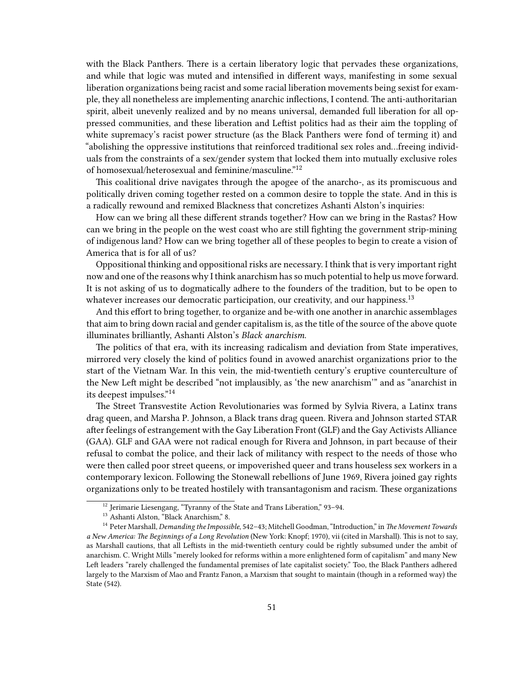with the Black Panthers. There is a certain liberatory logic that pervades these organizations, and while that logic was muted and intensified in different ways, manifesting in some sexual liberation organizations being racist and some racial liberation movements being sexist for example, they all nonetheless are implementing anarchic inflections, I contend. The anti-authoritarian spirit, albeit unevenly realized and by no means universal, demanded full liberation for all oppressed communities, and these liberation and Leftist politics had as their aim the toppling of white supremacy's racist power structure (as the Black Panthers were fond of terming it) and "abolishing the oppressive institutions that reinforced traditional sex roles and…freeing individuals from the constraints of a sex/gender system that locked them into mutually exclusive roles of homosexual/heterosexual and feminine/masculine."<sup>12</sup>

This coalitional drive navigates through the apogee of the anarcho-, as its promiscuous and politically driven coming together rested on a common desire to topple the state. And in this is a radically rewound and remixed Blackness that concretizes Ashanti Alston's inquiries:

How can we bring all these different strands together? How can we bring in the Rastas? How can we bring in the people on the west coast who are still fighting the government strip-mining of indigenous land? How can we bring together all of these peoples to begin to create a vision of America that is for all of us?

Oppositional thinking and oppositional risks are necessary. I think that is very important right now and one of the reasons why I think anarchism has so much potential to help us move forward. It is not asking of us to dogmatically adhere to the founders of the tradition, but to be open to whatever increases our democratic participation, our creativity, and our happiness.<sup>13</sup>

And this effort to bring together, to organize and be-with one another in anarchic assemblages that aim to bring down racial and gender capitalism is, as the title of the source of the above quote illuminates brilliantly, Ashanti Alston's *Black anarchism*.

The politics of that era, with its increasing radicalism and deviation from State imperatives, mirrored very closely the kind of politics found in avowed anarchist organizations prior to the start of the Vietnam War. In this vein, the mid-twentieth century's eruptive counterculture of the New Left might be described "not implausibly, as 'the new anarchism'" and as "anarchist in its deepest impulses."<sup>14</sup>

The Street Transvestite Action Revolutionaries was formed by Sylvia Rivera, a Latinx trans drag queen, and Marsha P. Johnson, a Black trans drag queen. Rivera and Johnson started STAR after feelings of estrangement with the Gay Liberation Front (GLF) and the Gay Activists Alliance (GAA). GLF and GAA were not radical enough for Rivera and Johnson, in part because of their refusal to combat the police, and their lack of militancy with respect to the needs of those who were then called poor street queens, or impoverished queer and trans houseless sex workers in a contemporary lexicon. Following the Stonewall rebellions of June 1969, Rivera joined gay rights organizations only to be treated hostilely with transantagonism and racism. These organizations

<sup>&</sup>lt;sup>12</sup> Jerimarie Liesengang, "Tyranny of the State and Trans Liberation," 93-94.

<sup>13</sup> Ashanti Alston, "Black Anarchism," 8.

<sup>14</sup> Peter Marshall, *Demanding the Impossible*, 542–43; Mitchell Goodman, "Introduction," in *The Movement Towards a New America: The Beginnings of a Long Revolution* (New York: Knopf; 1970), vii (cited in Marshall). This is not to say, as Marshall cautions, that all Leftists in the mid-twentieth century could be rightly subsumed under the ambit of anarchism. C. Wright Mills "merely looked for reforms within a more enlightened form of capitalism" and many New Left leaders "rarely challenged the fundamental premises of late capitalist society." Too, the Black Panthers adhered largely to the Marxism of Mao and Frantz Fanon, a Marxism that sought to maintain (though in a reformed way) the State (542).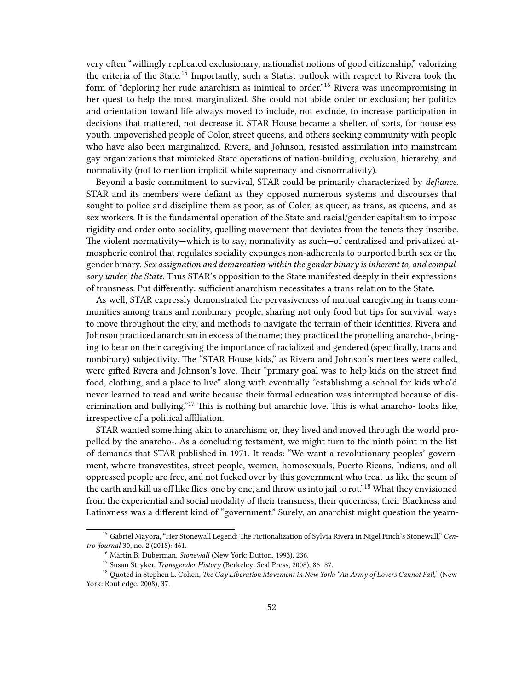very often "willingly replicated exclusionary, nationalist notions of good citizenship," valorizing the criteria of the State.<sup>15</sup> Importantly, such a Statist outlook with respect to Rivera took the form of "deploring her rude anarchism as inimical to order."<sup>16</sup> Rivera was uncompromising in her quest to help the most marginalized. She could not abide order or exclusion; her politics and orientation toward life always moved to include, not exclude, to increase participation in decisions that mattered, not decrease it. STAR House became a shelter, of sorts, for houseless youth, impoverished people of Color, street queens, and others seeking community with people who have also been marginalized. Rivera, and Johnson, resisted assimilation into mainstream gay organizations that mimicked State operations of nation-building, exclusion, hierarchy, and normativity (not to mention implicit white supremacy and cisnormativity).

Beyond a basic commitment to survival, STAR could be primarily characterized by *defiance*. STAR and its members were defiant as they opposed numerous systems and discourses that sought to police and discipline them as poor, as of Color, as queer, as trans, as queens, and as sex workers. It is the fundamental operation of the State and racial/gender capitalism to impose rigidity and order onto sociality, quelling movement that deviates from the tenets they inscribe. The violent normativity—which is to say, normativity as such—of centralized and privatized atmospheric control that regulates sociality expunges non-adherents to purported birth sex or the gender binary. *Sex assignation and demarcation within the gender binary is inherent to, and compulsory under, the State*. Thus STAR's opposition to the State manifested deeply in their expressions of transness. Put differently: sufficient anarchism necessitates a trans relation to the State.

As well, STAR expressly demonstrated the pervasiveness of mutual caregiving in trans communities among trans and nonbinary people, sharing not only food but tips for survival, ways to move throughout the city, and methods to navigate the terrain of their identities. Rivera and Johnson practiced anarchism in excess of the name; they practiced the propelling anarcho-, bringing to bear on their caregiving the importance of racialized and gendered (specifically, trans and nonbinary) subjectivity. The "STAR House kids," as Rivera and Johnson's mentees were called, were gifted Rivera and Johnson's love. Their "primary goal was to help kids on the street find food, clothing, and a place to live" along with eventually "establishing a school for kids who'd never learned to read and write because their formal education was interrupted because of discrimination and bullying."<sup>17</sup> This is nothing but anarchic love. This is what anarcho- looks like, irrespective of a political affiliation.

STAR wanted something akin to anarchism; or, they lived and moved through the world propelled by the anarcho-. As a concluding testament, we might turn to the ninth point in the list of demands that STAR published in 1971. It reads: "We want a revolutionary peoples' government, where transvestites, street people, women, homosexuals, Puerto Ricans, Indians, and all oppressed people are free, and not fucked over by this government who treat us like the scum of the earth and kill us off like flies, one by one, and throw us into jail to rot."<sup>18</sup> What they envisioned from the experiential and social modality of their transness, their queerness, their Blackness and Latinxness was a different kind of "government." Surely, an anarchist might question the yearn-

<sup>15</sup> Gabriel Mayora, "Her Stonewall Legend: The Fictionalization of Sylvia Rivera in Nigel Finch's Stonewall," *Centro Journal* 30, no. 2 (2018): 461.

<sup>16</sup> Martin B. Duberman, *Stonewall* (New York: Dutton, 1993), 236.

<sup>17</sup> Susan Stryker, *Transgender History* (Berkeley: Seal Press, 2008), 86–87.

<sup>18</sup> Quoted in Stephen L. Cohen, *The Gay Liberation Movement in New York: "An Army of Lovers Cannot Fail,"* (New York: Routledge, 2008), 37.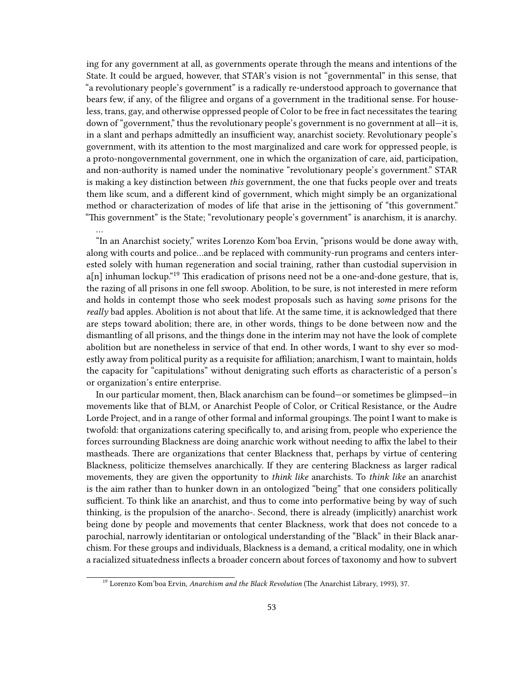ing for any government at all, as governments operate through the means and intentions of the State. It could be argued, however, that STAR's vision is not "governmental" in this sense, that "a revolutionary people's government" is a radically re-understood approach to governance that bears few, if any, of the filigree and organs of a government in the traditional sense. For houseless, trans, gay, and otherwise oppressed people of Color to be free in fact necessitates the tearing down of "government," thus the revolutionary people's government is no government at all—it is, in a slant and perhaps admittedly an insufficient way, anarchist society. Revolutionary people's government, with its attention to the most marginalized and care work for oppressed people, is a proto-nongovernmental government, one in which the organization of care, aid, participation, and non-authority is named under the nominative "revolutionary people's government." STAR is making a key distinction between *this* government, the one that fucks people over and treats them like scum, and a different kind of government, which might simply be an organizational method or characterization of modes of life that arise in the jettisoning of "this government." "This government" is the State; "revolutionary people's government" is anarchism, it is anarchy. …

"In an Anarchist society," writes Lorenzo Kom'boa Ervin, "prisons would be done away with, along with courts and police…and be replaced with community-run programs and centers interested solely with human regeneration and social training, rather than custodial supervision in  $a[n]$  inhuman lockup.<sup>"19</sup> This eradication of prisons need not be a one-and-done gesture, that is, the razing of all prisons in one fell swoop. Abolition, to be sure, is not interested in mere reform and holds in contempt those who seek modest proposals such as having *some* prisons for the *really* bad apples. Abolition is not about that life. At the same time, it is acknowledged that there are steps toward abolition; there are, in other words, things to be done between now and the dismantling of all prisons, and the things done in the interim may not have the look of complete abolition but are nonetheless in service of that end. In other words, I want to shy ever so modestly away from political purity as a requisite for affiliation; anarchism, I want to maintain, holds the capacity for "capitulations" without denigrating such efforts as characteristic of a person's or organization's entire enterprise.

In our particular moment, then, Black anarchism can be found—or sometimes be glimpsed—in movements like that of BLM, or Anarchist People of Color, or Critical Resistance, or the Audre Lorde Project, and in a range of other formal and informal groupings. The point I want to make is twofold: that organizations catering specifically to, and arising from, people who experience the forces surrounding Blackness are doing anarchic work without needing to affix the label to their mastheads. There are organizations that center Blackness that, perhaps by virtue of centering Blackness, politicize themselves anarchically. If they are centering Blackness as larger radical movements, they are given the opportunity to *think like* anarchists. To *think like* an anarchist is the aim rather than to hunker down in an ontologized "being" that one considers politically sufficient. To think like an anarchist, and thus to come into performative being by way of such thinking, is the propulsion of the anarcho-. Second, there is already (implicitly) anarchist work being done by people and movements that center Blackness, work that does not concede to a parochial, narrowly identitarian or ontological understanding of the "Black" in their Black anarchism. For these groups and individuals, Blackness is a demand, a critical modality, one in which a racialized situatedness inflects a broader concern about forces of taxonomy and how to subvert

<sup>19</sup> Lorenzo Kom'boa Ervin, *Anarchism and the Black Revolution* (The Anarchist Library, 1993), 37.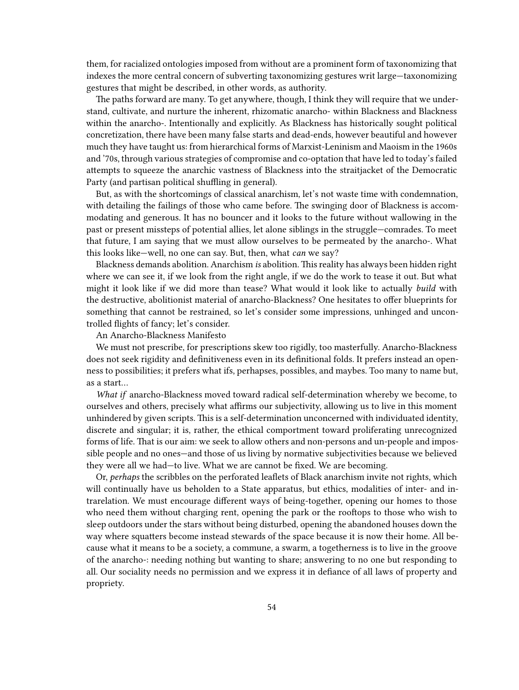them, for racialized ontologies imposed from without are a prominent form of taxonomizing that indexes the more central concern of subverting taxonomizing gestures writ large—taxonomizing gestures that might be described, in other words, as authority.

The paths forward are many. To get anywhere, though, I think they will require that we understand, cultivate, and nurture the inherent, rhizomatic anarcho- within Blackness and Blackness within the anarcho-. Intentionally and explicitly. As Blackness has historically sought political concretization, there have been many false starts and dead-ends, however beautiful and however much they have taught us: from hierarchical forms of Marxist-Leninism and Maoism in the 1960s and '70s, through various strategies of compromise and co-optation that have led to today's failed attempts to squeeze the anarchic vastness of Blackness into the straitjacket of the Democratic Party (and partisan political shuffling in general).

But, as with the shortcomings of classical anarchism, let's not waste time with condemnation, with detailing the failings of those who came before. The swinging door of Blackness is accommodating and generous. It has no bouncer and it looks to the future without wallowing in the past or present missteps of potential allies, let alone siblings in the struggle—comrades. To meet that future, I am saying that we must allow ourselves to be permeated by the anarcho-. What this looks like—well, no one can say. But, then, what *can* we say?

Blackness demands abolition. Anarchism *is* abolition. This reality has always been hidden right where we can see it, if we look from the right angle, if we do the work to tease it out. But what might it look like if we did more than tease? What would it look like to actually *build* with the destructive, abolitionist material of anarcho-Blackness? One hesitates to offer blueprints for something that cannot be restrained, so let's consider some impressions, unhinged and uncontrolled flights of fancy; let's consider.

An Anarcho-Blackness Manifesto

We must not prescribe, for prescriptions skew too rigidly, too masterfully. Anarcho-Blackness does not seek rigidity and definitiveness even in its definitional folds. It prefers instead an openness to possibilities; it prefers what ifs, perhapses, possibles, and maybes. Too many to name but, as a start…

*What if* anarcho-Blackness moved toward radical self-determination whereby we become, to ourselves and others, precisely what affirms our subjectivity, allowing us to live in this moment unhindered by given scripts. This is a self-determination unconcerned with individuated identity, discrete and singular; it is, rather, the ethical comportment toward proliferating unrecognized forms of life. That is our aim: we seek to allow others and non-persons and un-people and impossible people and no ones—and those of us living by normative subjectivities because we believed they were all we had—to live. What we are cannot be fixed. We are becoming.

Or, *perhaps* the scribbles on the perforated leaflets of Black anarchism invite not rights, which will continually have us beholden to a State apparatus, but ethics, modalities of inter- and intrarelation. We must encourage different ways of being-together, opening our homes to those who need them without charging rent, opening the park or the rooftops to those who wish to sleep outdoors under the stars without being disturbed, opening the abandoned houses down the way where squatters become instead stewards of the space because it is now their home. All because what it means to be a society, a commune, a swarm, a togetherness is to live in the groove of the anarcho-: needing nothing but wanting to share; answering to no one but responding to all. Our sociality needs no permission and we express it in defiance of all laws of property and propriety.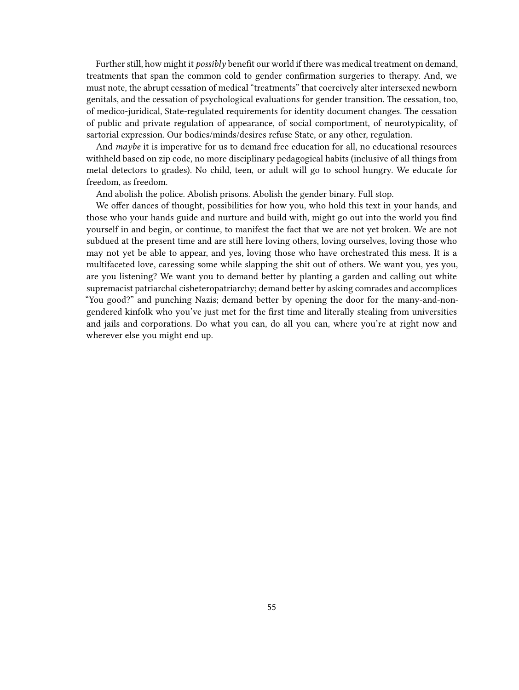Further still, how might it *possibly* benefit our world if there was medical treatment on demand, treatments that span the common cold to gender confirmation surgeries to therapy. And, we must note, the abrupt cessation of medical "treatments" that coercively alter intersexed newborn genitals, and the cessation of psychological evaluations for gender transition. The cessation, too, of medico-juridical, State-regulated requirements for identity document changes. The cessation of public and private regulation of appearance, of social comportment, of neurotypicality, of sartorial expression. Our bodies/minds/desires refuse State, or any other, regulation.

And *maybe* it is imperative for us to demand free education for all, no educational resources withheld based on zip code, no more disciplinary pedagogical habits (inclusive of all things from metal detectors to grades). No child, teen, or adult will go to school hungry. We educate for freedom, as freedom.

And abolish the police. Abolish prisons. Abolish the gender binary. Full stop.

We offer dances of thought, possibilities for how you, who hold this text in your hands, and those who your hands guide and nurture and build with, might go out into the world you find yourself in and begin, or continue, to manifest the fact that we are not yet broken. We are not subdued at the present time and are still here loving others, loving ourselves, loving those who may not yet be able to appear, and yes, loving those who have orchestrated this mess. It is a multifaceted love, caressing some while slapping the shit out of others. We want you, yes you, are you listening? We want you to demand better by planting a garden and calling out white supremacist patriarchal cisheteropatriarchy; demand better by asking comrades and accomplices "You good?" and punching Nazis; demand better by opening the door for the many-and-nongendered kinfolk who you've just met for the first time and literally stealing from universities and jails and corporations. Do what you can, do all you can, where you're at right now and wherever else you might end up.